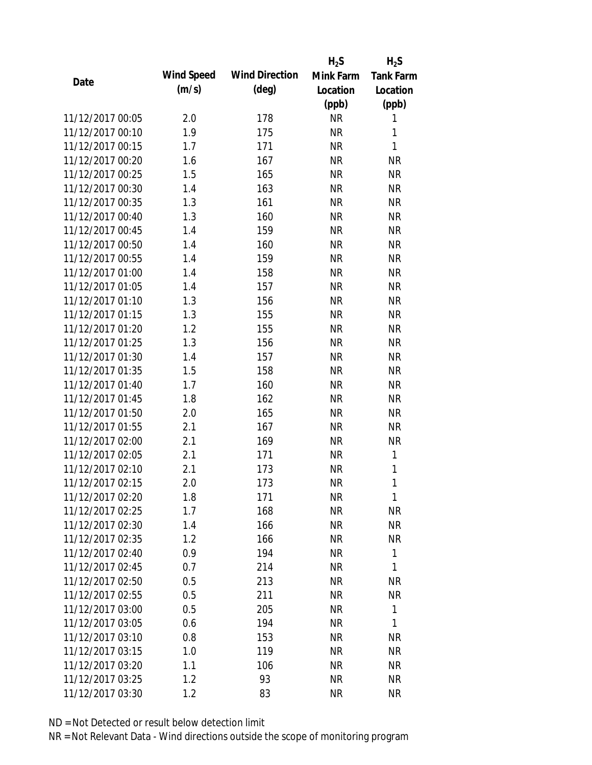|                  |            |                       | $H_2S$    | $H_2S$           |
|------------------|------------|-----------------------|-----------|------------------|
| Date             | Wind Speed | <b>Wind Direction</b> | Mink Farm | <b>Tank Farm</b> |
|                  | (m/s)      | $(\text{deg})$        | Location  | Location         |
|                  |            |                       | (ppb)     | (ppb)            |
| 11/12/2017 00:05 | 2.0        | 178                   | <b>NR</b> | 1                |
| 11/12/2017 00:10 | 1.9        | 175                   | <b>NR</b> | 1                |
| 11/12/2017 00:15 | 1.7        | 171                   | <b>NR</b> | 1                |
| 11/12/2017 00:20 | 1.6        | 167                   | <b>NR</b> | <b>NR</b>        |
| 11/12/2017 00:25 | 1.5        | 165                   | <b>NR</b> | <b>NR</b>        |
| 11/12/2017 00:30 | 1.4        | 163                   | <b>NR</b> | <b>NR</b>        |
| 11/12/2017 00:35 | 1.3        | 161                   | <b>NR</b> | <b>NR</b>        |
| 11/12/2017 00:40 | 1.3        | 160                   | <b>NR</b> | <b>NR</b>        |
| 11/12/2017 00:45 | 1.4        | 159                   | <b>NR</b> | <b>NR</b>        |
| 11/12/2017 00:50 | 1.4        | 160                   | <b>NR</b> | <b>NR</b>        |
| 11/12/2017 00:55 | 1.4        | 159                   | <b>NR</b> | <b>NR</b>        |
| 11/12/2017 01:00 | 1.4        | 158                   | <b>NR</b> | <b>NR</b>        |
| 11/12/2017 01:05 | 1.4        | 157                   | <b>NR</b> | <b>NR</b>        |
| 11/12/2017 01:10 | 1.3        | 156                   | <b>NR</b> | <b>NR</b>        |
| 11/12/2017 01:15 | 1.3        | 155                   | <b>NR</b> | <b>NR</b>        |
| 11/12/2017 01:20 | 1.2        | 155                   | <b>NR</b> | <b>NR</b>        |
| 11/12/2017 01:25 | 1.3        | 156                   | <b>NR</b> | <b>NR</b>        |
| 11/12/2017 01:30 | 1.4        | 157                   | <b>NR</b> | <b>NR</b>        |
| 11/12/2017 01:35 | 1.5        | 158                   | <b>NR</b> | <b>NR</b>        |
| 11/12/2017 01:40 | 1.7        | 160                   | <b>NR</b> | <b>NR</b>        |
| 11/12/2017 01:45 | 1.8        | 162                   | <b>NR</b> | <b>NR</b>        |
| 11/12/2017 01:50 | 2.0        | 165                   | <b>NR</b> | <b>NR</b>        |
| 11/12/2017 01:55 | 2.1        | 167                   | <b>NR</b> | <b>NR</b>        |
| 11/12/2017 02:00 | 2.1        | 169                   | <b>NR</b> | <b>NR</b>        |
| 11/12/2017 02:05 | 2.1        | 171                   | <b>NR</b> | 1                |
| 11/12/2017 02:10 | 2.1        | 173                   | <b>NR</b> | 1                |
| 11/12/2017 02:15 | 2.0        | 173                   | <b>NR</b> | $\mathbf{1}$     |
| 11/12/2017 02:20 | 1.8        | 171                   | <b>NR</b> | 1                |
| 11/12/2017 02:25 | 1.7        | 168                   | <b>NR</b> | <b>NR</b>        |
| 11/12/2017 02:30 | 1.4        | 166                   | NR        | <b>NR</b>        |
| 11/12/2017 02:35 | 1.2        | 166                   | <b>NR</b> | <b>NR</b>        |
| 11/12/2017 02:40 | 0.9        | 194                   | <b>NR</b> | 1                |
| 11/12/2017 02:45 | 0.7        | 214                   | <b>NR</b> | 1                |
| 11/12/2017 02:50 | 0.5        | 213                   | <b>NR</b> | <b>NR</b>        |
| 11/12/2017 02:55 | 0.5        | 211                   | <b>NR</b> | <b>NR</b>        |
| 11/12/2017 03:00 | 0.5        | 205                   | <b>NR</b> | 1                |
| 11/12/2017 03:05 | 0.6        | 194                   | NR        | 1                |
| 11/12/2017 03:10 | 0.8        | 153                   | NR        | <b>NR</b>        |
| 11/12/2017 03:15 | 1.0        | 119                   | <b>NR</b> | <b>NR</b>        |
| 11/12/2017 03:20 | 1.1        | 106                   | <b>NR</b> | <b>NR</b>        |
| 11/12/2017 03:25 | 1.2        | 93                    | <b>NR</b> | <b>NR</b>        |
|                  |            |                       |           |                  |
| 11/12/2017 03:30 | 1.2        | 83                    | <b>NR</b> | <b>NR</b>        |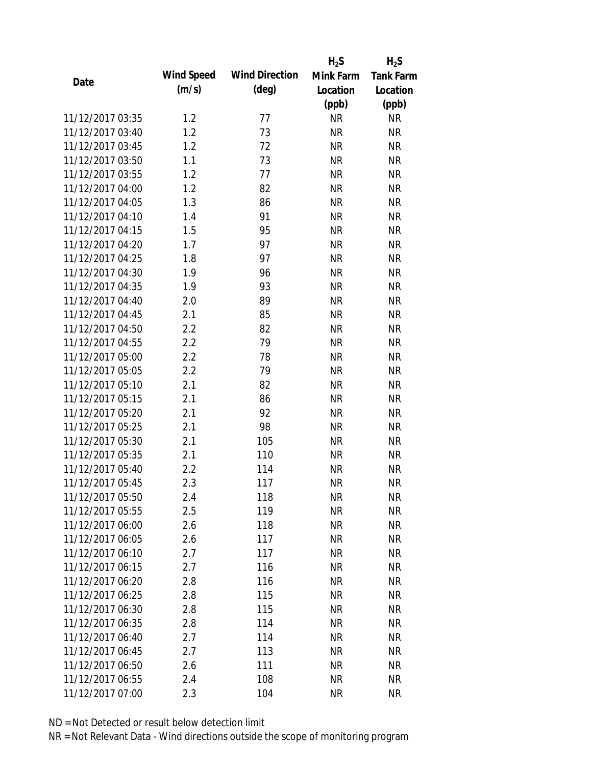|                  |            |                       | $H_2S$    | $H_2S$           |
|------------------|------------|-----------------------|-----------|------------------|
|                  | Wind Speed | <b>Wind Direction</b> | Mink Farm | <b>Tank Farm</b> |
| Date             | (m/s)      | $(\text{deg})$        | Location  | Location         |
|                  |            |                       | (ppb)     | (ppb)            |
| 11/12/2017 03:35 | 1.2        | 77                    | <b>NR</b> | <b>NR</b>        |
| 11/12/2017 03:40 | 1.2        | 73                    | <b>NR</b> | <b>NR</b>        |
| 11/12/2017 03:45 | 1.2        | 72                    | <b>NR</b> | <b>NR</b>        |
| 11/12/2017 03:50 | 1.1        | 73                    | <b>NR</b> | <b>NR</b>        |
| 11/12/2017 03:55 | 1.2        | 77                    | <b>NR</b> | <b>NR</b>        |
| 11/12/2017 04:00 | 1.2        | 82                    | <b>NR</b> | <b>NR</b>        |
| 11/12/2017 04:05 | 1.3        | 86                    | <b>NR</b> | <b>NR</b>        |
| 11/12/2017 04:10 | 1.4        | 91                    | <b>NR</b> | <b>NR</b>        |
| 11/12/2017 04:15 | 1.5        | 95                    | <b>NR</b> | <b>NR</b>        |
| 11/12/2017 04:20 | 1.7        | 97                    | <b>NR</b> | <b>NR</b>        |
| 11/12/2017 04:25 | 1.8        | 97                    | <b>NR</b> | <b>NR</b>        |
| 11/12/2017 04:30 | 1.9        | 96                    | <b>NR</b> | <b>NR</b>        |
| 11/12/2017 04:35 | 1.9        | 93                    | <b>NR</b> | <b>NR</b>        |
| 11/12/2017 04:40 | 2.0        | 89                    | <b>NR</b> | <b>NR</b>        |
| 11/12/2017 04:45 | 2.1        | 85                    | <b>NR</b> | <b>NR</b>        |
| 11/12/2017 04:50 | 2.2        | 82                    | <b>NR</b> | <b>NR</b>        |
| 11/12/2017 04:55 | 2.2        | 79                    | <b>NR</b> | <b>NR</b>        |
| 11/12/2017 05:00 | 2.2        | 78                    | <b>NR</b> | <b>NR</b>        |
| 11/12/2017 05:05 | 2.2        | 79                    | <b>NR</b> | <b>NR</b>        |
| 11/12/2017 05:10 | 2.1        | 82                    | <b>NR</b> | <b>NR</b>        |
| 11/12/2017 05:15 | 2.1        | 86                    | <b>NR</b> | <b>NR</b>        |
| 11/12/2017 05:20 | 2.1        | 92                    | <b>NR</b> | <b>NR</b>        |
| 11/12/2017 05:25 | 2.1        | 98                    | <b>NR</b> | <b>NR</b>        |
| 11/12/2017 05:30 | 2.1        | 105                   | <b>NR</b> | <b>NR</b>        |
| 11/12/2017 05:35 | 2.1        | 110                   | <b>NR</b> | <b>NR</b>        |
| 11/12/2017 05:40 | 2.2        | 114                   | <b>NR</b> | <b>NR</b>        |
| 11/12/2017 05:45 | 2.3        | 117                   | <b>NR</b> | <b>NR</b>        |
| 11/12/2017 05:50 | 2.4        | 118                   | <b>NR</b> | <b>NR</b>        |
| 11/12/2017 05:55 | 2.5        | 119                   | <b>NR</b> | <b>NR</b>        |
| 11/12/2017 06:00 | 2.6        | 118                   | NR        | <b>NR</b>        |
| 11/12/2017 06:05 | 2.6        | 117                   | <b>NR</b> | <b>NR</b>        |
| 11/12/2017 06:10 | 2.7        | 117                   | <b>NR</b> | <b>NR</b>        |
| 11/12/2017 06:15 | 2.7        | 116                   | <b>NR</b> | <b>NR</b>        |
| 11/12/2017 06:20 | 2.8        | 116                   | <b>NR</b> | <b>NR</b>        |
| 11/12/2017 06:25 | 2.8        | 115                   | <b>NR</b> | <b>NR</b>        |
| 11/12/2017 06:30 | 2.8        | 115                   | <b>NR</b> | <b>NR</b>        |
| 11/12/2017 06:35 | 2.8        | 114                   | <b>NR</b> | <b>NR</b>        |
| 11/12/2017 06:40 | 2.7        | 114                   | NR        | <b>NR</b>        |
| 11/12/2017 06:45 | 2.7        | 113                   | <b>NR</b> | <b>NR</b>        |
| 11/12/2017 06:50 | 2.6        | 111                   | <b>NR</b> | NR               |
| 11/12/2017 06:55 | 2.4        | 108                   | <b>NR</b> | <b>NR</b>        |
| 11/12/2017 07:00 | 2.3        | 104                   | <b>NR</b> | <b>NR</b>        |
|                  |            |                       |           |                  |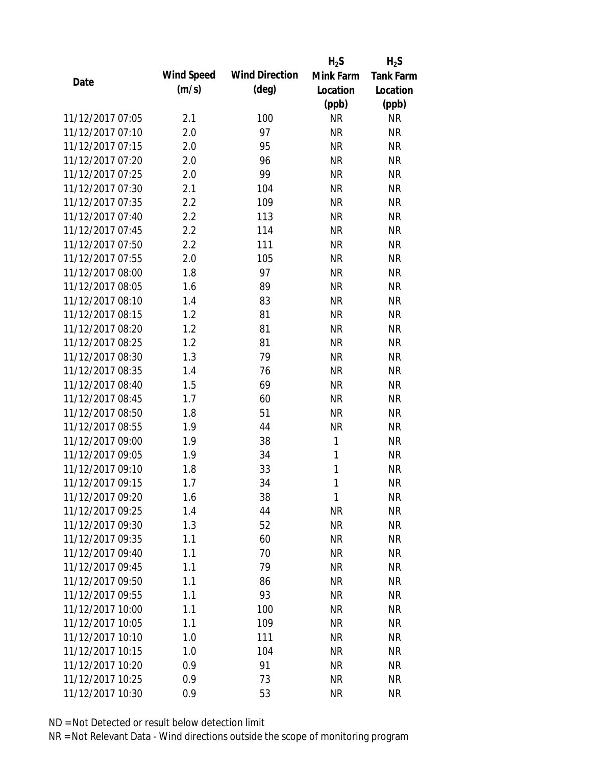|                  |            |                       | $H_2S$    | $H_2S$           |
|------------------|------------|-----------------------|-----------|------------------|
| Date             | Wind Speed | <b>Wind Direction</b> | Mink Farm | <b>Tank Farm</b> |
|                  | (m/s)      | $(\text{deg})$        | Location  | Location         |
|                  |            |                       | (ppb)     | (ppb)            |
| 11/12/2017 07:05 | 2.1        | 100                   | <b>NR</b> | <b>NR</b>        |
| 11/12/2017 07:10 | 2.0        | 97                    | <b>NR</b> | <b>NR</b>        |
| 11/12/2017 07:15 | 2.0        | 95                    | <b>NR</b> | <b>NR</b>        |
| 11/12/2017 07:20 | 2.0        | 96                    | <b>NR</b> | <b>NR</b>        |
| 11/12/2017 07:25 | 2.0        | 99                    | <b>NR</b> | <b>NR</b>        |
| 11/12/2017 07:30 | 2.1        | 104                   | <b>NR</b> | <b>NR</b>        |
| 11/12/2017 07:35 | 2.2        | 109                   | <b>NR</b> | <b>NR</b>        |
| 11/12/2017 07:40 | 2.2        | 113                   | <b>NR</b> | <b>NR</b>        |
| 11/12/2017 07:45 | 2.2        | 114                   | <b>NR</b> | <b>NR</b>        |
| 11/12/2017 07:50 | 2.2        | 111                   | <b>NR</b> | <b>NR</b>        |
| 11/12/2017 07:55 | 2.0        | 105                   | <b>NR</b> | <b>NR</b>        |
| 11/12/2017 08:00 | 1.8        | 97                    | <b>NR</b> | <b>NR</b>        |
| 11/12/2017 08:05 | 1.6        | 89                    | <b>NR</b> | <b>NR</b>        |
| 11/12/2017 08:10 | 1.4        | 83                    | <b>NR</b> | <b>NR</b>        |
| 11/12/2017 08:15 | 1.2        | 81                    | <b>NR</b> | <b>NR</b>        |
| 11/12/2017 08:20 | 1.2        | 81                    | <b>NR</b> | <b>NR</b>        |
| 11/12/2017 08:25 | 1.2        | 81                    | <b>NR</b> | <b>NR</b>        |
| 11/12/2017 08:30 | 1.3        | 79                    | <b>NR</b> | <b>NR</b>        |
| 11/12/2017 08:35 | 1.4        | 76                    | <b>NR</b> | <b>NR</b>        |
| 11/12/2017 08:40 | 1.5        | 69                    | <b>NR</b> | <b>NR</b>        |
| 11/12/2017 08:45 | 1.7        | 60                    | <b>NR</b> | <b>NR</b>        |
| 11/12/2017 08:50 | 1.8        | 51                    | <b>NR</b> | <b>NR</b>        |
| 11/12/2017 08:55 | 1.9        | 44                    | <b>NR</b> | <b>NR</b>        |
| 11/12/2017 09:00 | 1.9        | 38                    | 1         | <b>NR</b>        |
| 11/12/2017 09:05 | 1.9        | 34                    | 1         | <b>NR</b>        |
| 11/12/2017 09:10 | 1.8        | 33                    | 1         | <b>NR</b>        |
| 11/12/2017 09:15 | 1.7        | 34                    | 1         | <b>NR</b>        |
| 11/12/2017 09:20 | 1.6        | 38                    | 1         | <b>NR</b>        |
| 11/12/2017 09:25 | 1.4        | 44                    | <b>NR</b> | <b>NR</b>        |
| 11/12/2017 09:30 | 1.3        | 52                    | <b>NR</b> | <b>NR</b>        |
| 11/12/2017 09:35 | 1.1        | 60                    | <b>NR</b> | <b>NR</b>        |
| 11/12/2017 09:40 | 1.1        | 70                    | <b>NR</b> | <b>NR</b>        |
| 11/12/2017 09:45 | 1.1        | 79                    | <b>NR</b> | <b>NR</b>        |
| 11/12/2017 09:50 | 1.1        | 86                    | <b>NR</b> | <b>NR</b>        |
| 11/12/2017 09:55 | 1.1        | 93                    | <b>NR</b> | <b>NR</b>        |
| 11/12/2017 10:00 | 1.1        | 100                   | <b>NR</b> | <b>NR</b>        |
| 11/12/2017 10:05 | 1.1        | 109                   | <b>NR</b> | <b>NR</b>        |
| 11/12/2017 10:10 | 1.0        | 111                   | NR        | <b>NR</b>        |
| 11/12/2017 10:15 | 1.0        | 104                   | <b>NR</b> | <b>NR</b>        |
| 11/12/2017 10:20 | 0.9        | 91                    | <b>NR</b> | <b>NR</b>        |
| 11/12/2017 10:25 | 0.9        | 73                    | <b>NR</b> | <b>NR</b>        |
| 11/12/2017 10:30 | 0.9        | 53                    | <b>NR</b> | <b>NR</b>        |
|                  |            |                       |           |                  |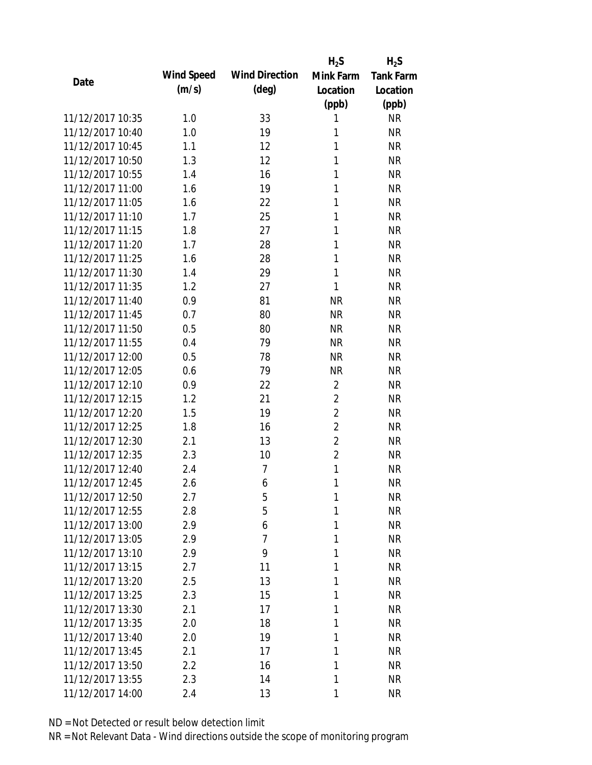|                  |            |                       | $H_2S$         | $H_2S$           |
|------------------|------------|-----------------------|----------------|------------------|
| Date             | Wind Speed | <b>Wind Direction</b> | Mink Farm      | <b>Tank Farm</b> |
|                  | (m/s)      | $(\text{deg})$        | Location       | Location         |
|                  |            |                       | (ppb)          | (ppb)            |
| 11/12/2017 10:35 | 1.0        | 33                    | 1              | <b>NR</b>        |
| 11/12/2017 10:40 | 1.0        | 19                    | 1              | <b>NR</b>        |
| 11/12/2017 10:45 | 1.1        | 12                    | 1              | <b>NR</b>        |
| 11/12/2017 10:50 | 1.3        | 12                    | 1              | <b>NR</b>        |
| 11/12/2017 10:55 | 1.4        | 16                    | 1              | <b>NR</b>        |
| 11/12/2017 11:00 | 1.6        | 19                    | 1              | <b>NR</b>        |
| 11/12/2017 11:05 | 1.6        | 22                    | 1              | <b>NR</b>        |
| 11/12/2017 11:10 | 1.7        | 25                    | 1              | <b>NR</b>        |
| 11/12/2017 11:15 | 1.8        | 27                    | 1              | <b>NR</b>        |
| 11/12/2017 11:20 | 1.7        | 28                    | 1              | <b>NR</b>        |
| 11/12/2017 11:25 | 1.6        | 28                    | 1              | <b>NR</b>        |
| 11/12/2017 11:30 | 1.4        | 29                    | 1              | <b>NR</b>        |
| 11/12/2017 11:35 | 1.2        | 27                    | 1              | <b>NR</b>        |
| 11/12/2017 11:40 | 0.9        | 81                    | <b>NR</b>      | <b>NR</b>        |
| 11/12/2017 11:45 | 0.7        | 80                    | <b>NR</b>      | <b>NR</b>        |
| 11/12/2017 11:50 | 0.5        | 80                    | <b>NR</b>      | <b>NR</b>        |
| 11/12/2017 11:55 | 0.4        | 79                    | <b>NR</b>      | <b>NR</b>        |
| 11/12/2017 12:00 | 0.5        | 78                    | <b>NR</b>      | <b>NR</b>        |
| 11/12/2017 12:05 | 0.6        | 79                    | <b>NR</b>      | <b>NR</b>        |
| 11/12/2017 12:10 | 0.9        | 22                    | $\overline{2}$ | <b>NR</b>        |
| 11/12/2017 12:15 | 1.2        | 21                    | $\overline{2}$ | <b>NR</b>        |
| 11/12/2017 12:20 | 1.5        | 19                    | $\overline{2}$ | <b>NR</b>        |
| 11/12/2017 12:25 | 1.8        | 16                    | $\overline{2}$ | <b>NR</b>        |
| 11/12/2017 12:30 | 2.1        | 13                    | $\overline{2}$ | <b>NR</b>        |
| 11/12/2017 12:35 | 2.3        | 10                    | $\overline{2}$ | <b>NR</b>        |
| 11/12/2017 12:40 | 2.4        | 7                     | 1              | <b>NR</b>        |
| 11/12/2017 12:45 | 2.6        | 6                     | 1              | <b>NR</b>        |
| 11/12/2017 12:50 | 2.7        | 5                     | 1              | <b>NR</b>        |
| 11/12/2017 12:55 | 2.8        | 5                     | 1              | <b>NR</b>        |
| 11/12/2017 13:00 | 2.9        | 6                     | 1              | <b>NR</b>        |
| 11/12/2017 13:05 | 2.9        | $\overline{7}$        | 1              | <b>NR</b>        |
| 11/12/2017 13:10 | 2.9        | 9                     | 1              | <b>NR</b>        |
| 11/12/2017 13:15 | 2.7        | 11                    | 1              | <b>NR</b>        |
| 11/12/2017 13:20 | 2.5        | 13                    | 1              | <b>NR</b>        |
| 11/12/2017 13:25 | 2.3        | 15                    | 1              | <b>NR</b>        |
| 11/12/2017 13:30 | 2.1        | 17                    | 1              | <b>NR</b>        |
| 11/12/2017 13:35 | 2.0        | 18                    | 1              | <b>NR</b>        |
| 11/12/2017 13:40 | 2.0        | 19                    | 1              | <b>NR</b>        |
| 11/12/2017 13:45 | 2.1        | 17                    | 1              | <b>NR</b>        |
| 11/12/2017 13:50 | 2.2        | 16                    | 1              | <b>NR</b>        |
| 11/12/2017 13:55 | 2.3        | 14                    | 1              | <b>NR</b>        |
| 11/12/2017 14:00 | 2.4        | 13                    | 1              | <b>NR</b>        |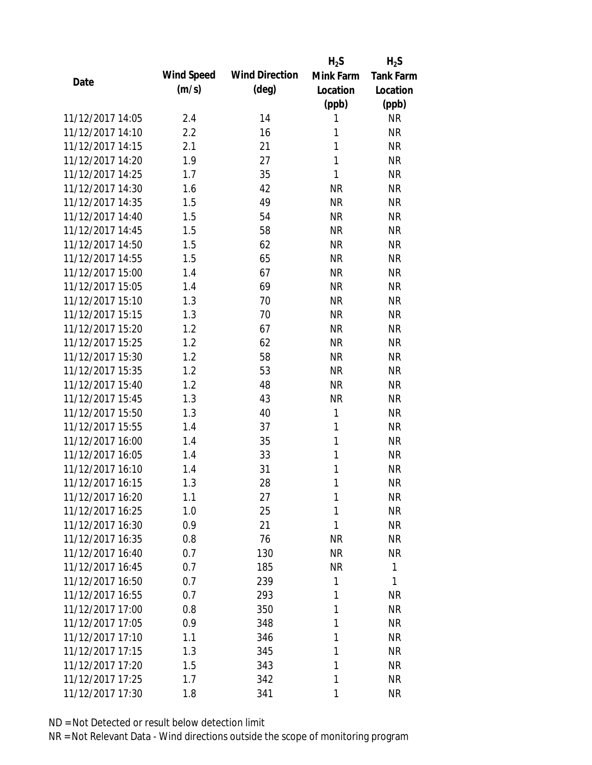|                  |            |                       | $H_2S$       | $H_2S$           |
|------------------|------------|-----------------------|--------------|------------------|
|                  | Wind Speed | <b>Wind Direction</b> | Mink Farm    | <b>Tank Farm</b> |
| Date             | (m/s)      | $(\text{deg})$        | Location     | Location         |
|                  |            |                       | (ppb)        | (ppb)            |
| 11/12/2017 14:05 | 2.4        | 14                    | 1            | <b>NR</b>        |
| 11/12/2017 14:10 | 2.2        | 16                    | 1            | <b>NR</b>        |
| 11/12/2017 14:15 | 2.1        | 21                    | 1            | <b>NR</b>        |
| 11/12/2017 14:20 | 1.9        | 27                    | $\mathbf{1}$ | <b>NR</b>        |
| 11/12/2017 14:25 | 1.7        | 35                    | 1            | <b>NR</b>        |
| 11/12/2017 14:30 | 1.6        | 42                    | <b>NR</b>    | <b>NR</b>        |
| 11/12/2017 14:35 | 1.5        | 49                    | <b>NR</b>    | <b>NR</b>        |
| 11/12/2017 14:40 | 1.5        | 54                    | <b>NR</b>    | <b>NR</b>        |
| 11/12/2017 14:45 | 1.5        | 58                    | <b>NR</b>    | <b>NR</b>        |
| 11/12/2017 14:50 | 1.5        | 62                    | <b>NR</b>    | <b>NR</b>        |
| 11/12/2017 14:55 | 1.5        | 65                    | <b>NR</b>    | <b>NR</b>        |
| 11/12/2017 15:00 | 1.4        | 67                    | <b>NR</b>    | <b>NR</b>        |
| 11/12/2017 15:05 | 1.4        | 69                    | <b>NR</b>    | <b>NR</b>        |
| 11/12/2017 15:10 | 1.3        | 70                    | <b>NR</b>    | <b>NR</b>        |
| 11/12/2017 15:15 | 1.3        | 70                    | <b>NR</b>    | <b>NR</b>        |
| 11/12/2017 15:20 | 1.2        | 67                    | <b>NR</b>    | <b>NR</b>        |
| 11/12/2017 15:25 | 1.2        | 62                    | <b>NR</b>    | <b>NR</b>        |
| 11/12/2017 15:30 | 1.2        | 58                    | <b>NR</b>    | <b>NR</b>        |
| 11/12/2017 15:35 | 1.2        | 53                    | <b>NR</b>    | <b>NR</b>        |
| 11/12/2017 15:40 | 1.2        | 48                    | <b>NR</b>    | <b>NR</b>        |
| 11/12/2017 15:45 | 1.3        | 43                    | <b>NR</b>    | <b>NR</b>        |
| 11/12/2017 15:50 | 1.3        | 40                    | 1            | <b>NR</b>        |
| 11/12/2017 15:55 | 1.4        | 37                    | 1            | <b>NR</b>        |
| 11/12/2017 16:00 | 1.4        | 35                    | $\mathbf{1}$ | <b>NR</b>        |
| 11/12/2017 16:05 | 1.4        | 33                    | 1            | <b>NR</b>        |
| 11/12/2017 16:10 | 1.4        | 31                    | 1            | <b>NR</b>        |
| 11/12/2017 16:15 | 1.3        | 28                    | 1            | <b>NR</b>        |
| 11/12/2017 16:20 | 1.1        | 27                    | 1            | <b>NR</b>        |
| 11/12/2017 16:25 | 1.0        | 25                    | 1            | <b>NR</b>        |
| 11/12/2017 16:30 | 0.9        | 21                    | 1            | <b>NR</b>        |
| 11/12/2017 16:35 |            |                       |              |                  |
| 11/12/2017 16:40 | 0.8        | 76                    | <b>NR</b>    | <b>NR</b>        |
|                  | 0.7        | 130                   | <b>NR</b>    | <b>NR</b>        |
| 11/12/2017 16:45 | 0.7        | 185                   | <b>NR</b>    | 1                |
| 11/12/2017 16:50 | 0.7        | 239                   | $\mathbf{1}$ | 1                |
| 11/12/2017 16:55 | 0.7        | 293                   | 1            | <b>NR</b>        |
| 11/12/2017 17:00 | 0.8        | 350                   | 1            | <b>NR</b>        |
| 11/12/2017 17:05 | 0.9        | 348                   | 1            | <b>NR</b>        |
| 11/12/2017 17:10 | 1.1        | 346                   | 1            | <b>NR</b>        |
| 11/12/2017 17:15 | 1.3        | 345                   | 1            | <b>NR</b>        |
| 11/12/2017 17:20 | 1.5        | 343                   | 1            | <b>NR</b>        |
| 11/12/2017 17:25 | 1.7        | 342                   | 1            | <b>NR</b>        |
| 11/12/2017 17:30 | 1.8        | 341                   | 1            | <b>NR</b>        |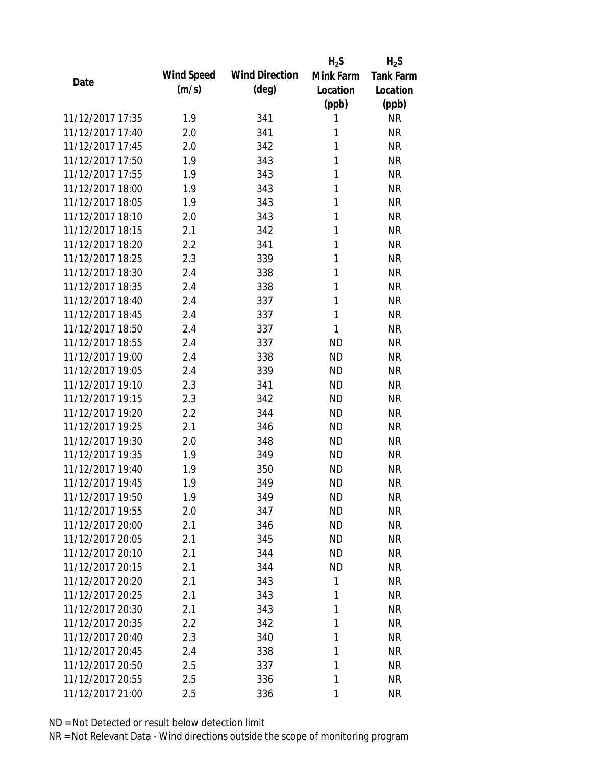|                  |            |                       | $H_2S$    | $H_2S$           |
|------------------|------------|-----------------------|-----------|------------------|
| Date             | Wind Speed | <b>Wind Direction</b> | Mink Farm | <b>Tank Farm</b> |
|                  | (m/s)      | $(\text{deg})$        | Location  | Location         |
|                  |            |                       | (ppb)     | (ppb)            |
| 11/12/2017 17:35 | 1.9        | 341                   | 1         | <b>NR</b>        |
| 11/12/2017 17:40 | 2.0        | 341                   | 1         | <b>NR</b>        |
| 11/12/2017 17:45 | 2.0        | 342                   | 1         | <b>NR</b>        |
| 11/12/2017 17:50 | 1.9        | 343                   | 1         | <b>NR</b>        |
| 11/12/2017 17:55 | 1.9        | 343                   | 1         | <b>NR</b>        |
| 11/12/2017 18:00 | 1.9        | 343                   | 1         | <b>NR</b>        |
| 11/12/2017 18:05 | 1.9        | 343                   | 1         | <b>NR</b>        |
| 11/12/2017 18:10 | 2.0        | 343                   | 1         | <b>NR</b>        |
| 11/12/2017 18:15 | 2.1        | 342                   | 1         | <b>NR</b>        |
| 11/12/2017 18:20 | 2.2        | 341                   | 1         | <b>NR</b>        |
| 11/12/2017 18:25 | 2.3        | 339                   | 1         | <b>NR</b>        |
| 11/12/2017 18:30 | 2.4        | 338                   | 1         | <b>NR</b>        |
| 11/12/2017 18:35 | 2.4        | 338                   | 1         | <b>NR</b>        |
| 11/12/2017 18:40 | 2.4        | 337                   | 1         | <b>NR</b>        |
| 11/12/2017 18:45 | 2.4        | 337                   | 1         | <b>NR</b>        |
| 11/12/2017 18:50 | 2.4        | 337                   | 1         | <b>NR</b>        |
| 11/12/2017 18:55 | 2.4        | 337                   | <b>ND</b> | <b>NR</b>        |
| 11/12/2017 19:00 | 2.4        | 338                   | <b>ND</b> | <b>NR</b>        |
| 11/12/2017 19:05 | 2.4        | 339                   | <b>ND</b> | <b>NR</b>        |
| 11/12/2017 19:10 | 2.3        | 341                   | <b>ND</b> | <b>NR</b>        |
| 11/12/2017 19:15 | 2.3        | 342                   | <b>ND</b> | <b>NR</b>        |
| 11/12/2017 19:20 | 2.2        | 344                   | <b>ND</b> | <b>NR</b>        |
| 11/12/2017 19:25 | 2.1        | 346                   | <b>ND</b> | <b>NR</b>        |
| 11/12/2017 19:30 | 2.0        | 348                   | <b>ND</b> | <b>NR</b>        |
| 11/12/2017 19:35 | 1.9        | 349                   | <b>ND</b> | <b>NR</b>        |
| 11/12/2017 19:40 | 1.9        | 350                   | <b>ND</b> | <b>NR</b>        |
| 11/12/2017 19:45 | 1.9        | 349                   | <b>ND</b> | <b>NR</b>        |
| 11/12/2017 19:50 | 1.9        | 349                   | <b>ND</b> | <b>NR</b>        |
| 11/12/2017 19:55 | 2.0        | 347                   | <b>ND</b> | <b>NR</b>        |
| 11/12/2017 20:00 | 2.1        | 346                   | <b>ND</b> | <b>NR</b>        |
| 11/12/2017 20:05 | 2.1        | 345                   | <b>ND</b> | <b>NR</b>        |
| 11/12/2017 20:10 | 2.1        | 344                   | <b>ND</b> | <b>NR</b>        |
| 11/12/2017 20:15 | 2.1        | 344                   | <b>ND</b> | <b>NR</b>        |
| 11/12/2017 20:20 | 2.1        | 343                   | 1         | <b>NR</b>        |
| 11/12/2017 20:25 | 2.1        | 343                   | 1         | <b>NR</b>        |
| 11/12/2017 20:30 | 2.1        | 343                   | 1         | <b>NR</b>        |
| 11/12/2017 20:35 | 2.2        | 342                   | 1         | <b>NR</b>        |
| 11/12/2017 20:40 |            |                       |           |                  |
|                  | 2.3        | 340                   | 1         | <b>NR</b>        |
| 11/12/2017 20:45 | 2.4        | 338                   | 1<br>1    | <b>NR</b>        |
| 11/12/2017 20:50 | 2.5        | 337                   |           | <b>NR</b>        |
| 11/12/2017 20:55 | 2.5        | 336                   | 1         | <b>NR</b>        |
| 11/12/2017 21:00 | 2.5        | 336                   | 1         | <b>NR</b>        |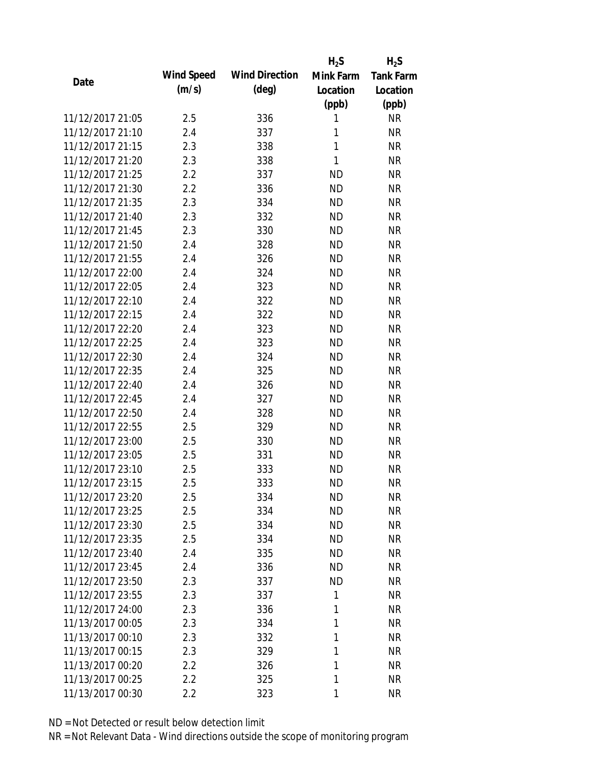|                  |            |                       | $H_2S$    | $H_2S$           |
|------------------|------------|-----------------------|-----------|------------------|
| Date             | Wind Speed | <b>Wind Direction</b> | Mink Farm | <b>Tank Farm</b> |
|                  | (m/s)      | $(\text{deg})$        | Location  | Location         |
|                  |            |                       | (ppb)     | (ppb)            |
| 11/12/2017 21:05 | 2.5        | 336                   | 1         | <b>NR</b>        |
| 11/12/2017 21:10 | 2.4        | 337                   | 1         | <b>NR</b>        |
| 11/12/2017 21:15 | 2.3        | 338                   | 1         | <b>NR</b>        |
| 11/12/2017 21:20 | 2.3        | 338                   | 1         | <b>NR</b>        |
| 11/12/2017 21:25 | 2.2        | 337                   | <b>ND</b> | <b>NR</b>        |
| 11/12/2017 21:30 | 2.2        | 336                   | <b>ND</b> | <b>NR</b>        |
| 11/12/2017 21:35 | 2.3        | 334                   | <b>ND</b> | <b>NR</b>        |
| 11/12/2017 21:40 | 2.3        | 332                   | <b>ND</b> | <b>NR</b>        |
| 11/12/2017 21:45 | 2.3        | 330                   | <b>ND</b> | <b>NR</b>        |
| 11/12/2017 21:50 | 2.4        | 328                   | <b>ND</b> | <b>NR</b>        |
| 11/12/2017 21:55 | 2.4        | 326                   | <b>ND</b> | <b>NR</b>        |
| 11/12/2017 22:00 | 2.4        | 324                   | <b>ND</b> | <b>NR</b>        |
| 11/12/2017 22:05 | 2.4        | 323                   | <b>ND</b> | <b>NR</b>        |
| 11/12/2017 22:10 | 2.4        | 322                   | <b>ND</b> | <b>NR</b>        |
| 11/12/2017 22:15 | 2.4        | 322                   | <b>ND</b> | <b>NR</b>        |
| 11/12/2017 22:20 | 2.4        | 323                   | <b>ND</b> | <b>NR</b>        |
| 11/12/2017 22:25 | 2.4        | 323                   | <b>ND</b> | <b>NR</b>        |
| 11/12/2017 22:30 | 2.4        | 324                   | <b>ND</b> | <b>NR</b>        |
| 11/12/2017 22:35 | 2.4        | 325                   | <b>ND</b> | <b>NR</b>        |
| 11/12/2017 22:40 | 2.4        | 326                   | <b>ND</b> | <b>NR</b>        |
| 11/12/2017 22:45 | 2.4        | 327                   | <b>ND</b> | <b>NR</b>        |
| 11/12/2017 22:50 | 2.4        | 328                   | <b>ND</b> | <b>NR</b>        |
| 11/12/2017 22:55 | 2.5        | 329                   | <b>ND</b> | <b>NR</b>        |
| 11/12/2017 23:00 | 2.5        | 330                   | <b>ND</b> | <b>NR</b>        |
| 11/12/2017 23:05 | 2.5        | 331                   | <b>ND</b> | <b>NR</b>        |
| 11/12/2017 23:10 | 2.5        | 333                   | <b>ND</b> | <b>NR</b>        |
| 11/12/2017 23:15 | 2.5        | 333                   | <b>ND</b> | <b>NR</b>        |
| 11/12/2017 23:20 | 2.5        | 334                   | <b>ND</b> | NR               |
| 11/12/2017 23:25 | 2.5        | 334                   | <b>ND</b> | <b>NR</b>        |
| 11/12/2017 23:30 | 2.5        | 334                   | ND        | <b>NR</b>        |
| 11/12/2017 23:35 | 2.5        | 334                   | <b>ND</b> | <b>NR</b>        |
| 11/12/2017 23:40 | 2.4        | 335                   | <b>ND</b> | <b>NR</b>        |
| 11/12/2017 23:45 | 2.4        | 336                   | <b>ND</b> | <b>NR</b>        |
| 11/12/2017 23:50 | 2.3        | 337                   | <b>ND</b> | <b>NR</b>        |
| 11/12/2017 23:55 | 2.3        | 337                   | 1         | <b>NR</b>        |
| 11/12/2017 24:00 | 2.3        | 336                   | 1         | <b>NR</b>        |
| 11/13/2017 00:05 | 2.3        | 334                   | 1         | <b>NR</b>        |
| 11/13/2017 00:10 | 2.3        | 332                   | 1         | <b>NR</b>        |
| 11/13/2017 00:15 | 2.3        | 329                   | 1         | <b>NR</b>        |
| 11/13/2017 00:20 | 2.2        | 326                   | 1         | <b>NR</b>        |
| 11/13/2017 00:25 | 2.2        | 325                   | 1         | <b>NR</b>        |
| 11/13/2017 00:30 | 2.2        | 323                   | 1         | <b>NR</b>        |
|                  |            |                       |           |                  |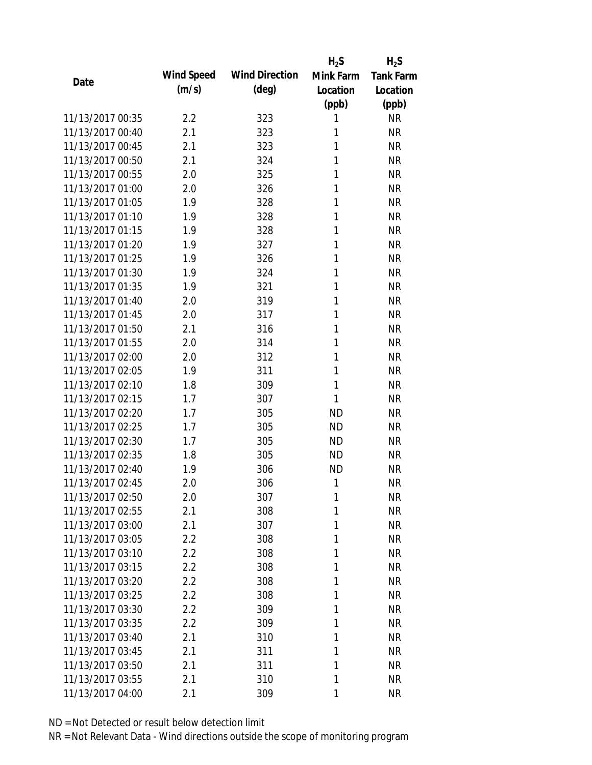|                  |            |                       | $H_2S$    | $H_2S$           |
|------------------|------------|-----------------------|-----------|------------------|
| Date             | Wind Speed | <b>Wind Direction</b> | Mink Farm | <b>Tank Farm</b> |
|                  | (m/s)      | $(\text{deg})$        | Location  | Location         |
|                  |            |                       | (ppb)     | (ppb)            |
| 11/13/2017 00:35 | 2.2        | 323                   | 1         | <b>NR</b>        |
| 11/13/2017 00:40 | 2.1        | 323                   | 1         | <b>NR</b>        |
| 11/13/2017 00:45 | 2.1        | 323                   | 1         | <b>NR</b>        |
| 11/13/2017 00:50 | 2.1        | 324                   | 1         | <b>NR</b>        |
| 11/13/2017 00:55 | 2.0        | 325                   | 1         | <b>NR</b>        |
| 11/13/2017 01:00 | 2.0        | 326                   | 1         | <b>NR</b>        |
| 11/13/2017 01:05 | 1.9        | 328                   | 1         | <b>NR</b>        |
| 11/13/2017 01:10 | 1.9        | 328                   | 1         | <b>NR</b>        |
| 11/13/2017 01:15 | 1.9        | 328                   | 1         | <b>NR</b>        |
| 11/13/2017 01:20 | 1.9        | 327                   | 1         | <b>NR</b>        |
| 11/13/2017 01:25 | 1.9        | 326                   | 1         | <b>NR</b>        |
| 11/13/2017 01:30 | 1.9        | 324                   | 1         | <b>NR</b>        |
| 11/13/2017 01:35 | 1.9        | 321                   | 1         | <b>NR</b>        |
| 11/13/2017 01:40 | 2.0        | 319                   | 1         | <b>NR</b>        |
| 11/13/2017 01:45 | 2.0        | 317                   | 1         | <b>NR</b>        |
| 11/13/2017 01:50 | 2.1        | 316                   | 1         | <b>NR</b>        |
| 11/13/2017 01:55 | 2.0        | 314                   | 1         | <b>NR</b>        |
| 11/13/2017 02:00 | 2.0        | 312                   | 1         | <b>NR</b>        |
| 11/13/2017 02:05 | 1.9        | 311                   | 1         | <b>NR</b>        |
| 11/13/2017 02:10 | 1.8        | 309                   | 1         | <b>NR</b>        |
| 11/13/2017 02:15 | 1.7        | 307                   | 1         | <b>NR</b>        |
| 11/13/2017 02:20 | 1.7        | 305                   | <b>ND</b> | <b>NR</b>        |
| 11/13/2017 02:25 | 1.7        | 305                   | <b>ND</b> | <b>NR</b>        |
| 11/13/2017 02:30 | 1.7        | 305                   | <b>ND</b> | <b>NR</b>        |
| 11/13/2017 02:35 | 1.8        | 305                   | <b>ND</b> | <b>NR</b>        |
| 11/13/2017 02:40 | 1.9        | 306                   | <b>ND</b> | <b>NR</b>        |
| 11/13/2017 02:45 | 2.0        | 306                   | 1         | <b>NR</b>        |
| 11/13/2017 02:50 | 2.0        | 307                   | 1         | NR               |
| 11/13/2017 02:55 | 2.1        | 308                   | 1         | <b>NR</b>        |
| 11/13/2017 03:00 | 2.1        | 307                   | 1         | <b>NR</b>        |
| 11/13/2017 03:05 | 2.2        | 308                   | 1         | <b>NR</b>        |
| 11/13/2017 03:10 | 2.2        | 308                   | 1         | <b>NR</b>        |
| 11/13/2017 03:15 | 2.2        | 308                   | 1         | <b>NR</b>        |
| 11/13/2017 03:20 | 2.2        | 308                   | 1         | <b>NR</b>        |
| 11/13/2017 03:25 | 2.2        | 308                   | 1         | <b>NR</b>        |
| 11/13/2017 03:30 | 2.2        | 309                   | 1         | <b>NR</b>        |
| 11/13/2017 03:35 | 2.2        | 309                   | 1         | <b>NR</b>        |
| 11/13/2017 03:40 | 2.1        | 310                   | 1         | <b>NR</b>        |
| 11/13/2017 03:45 | 2.1        | 311                   | 1         | <b>NR</b>        |
| 11/13/2017 03:50 | 2.1        | 311                   | 1         | <b>NR</b>        |
| 11/13/2017 03:55 | 2.1        | 310                   | 1         | <b>NR</b>        |
| 11/13/2017 04:00 | 2.1        | 309                   | 1         | <b>NR</b>        |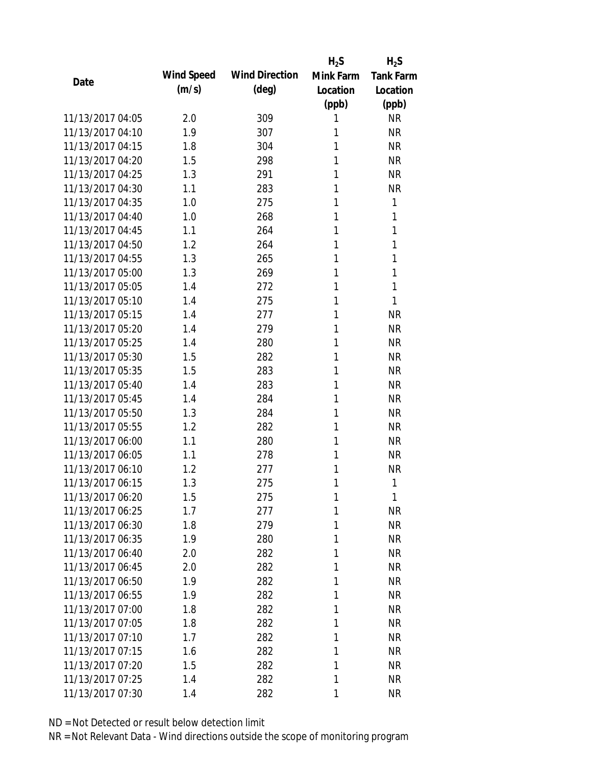|                  |            |                       | $H_2S$    | $H_2S$           |
|------------------|------------|-----------------------|-----------|------------------|
|                  | Wind Speed | <b>Wind Direction</b> | Mink Farm | <b>Tank Farm</b> |
| Date             | (m/s)      | $(\text{deg})$        | Location  | Location         |
|                  |            |                       | (ppb)     | (ppb)            |
| 11/13/2017 04:05 | 2.0        | 309                   | 1         | <b>NR</b>        |
| 11/13/2017 04:10 | 1.9        | 307                   | 1         | <b>NR</b>        |
| 11/13/2017 04:15 | 1.8        | 304                   | 1         | <b>NR</b>        |
| 11/13/2017 04:20 | 1.5        | 298                   | 1         | <b>NR</b>        |
| 11/13/2017 04:25 | 1.3        | 291                   | 1         | <b>NR</b>        |
| 11/13/2017 04:30 | 1.1        | 283                   | 1         | <b>NR</b>        |
| 11/13/2017 04:35 | 1.0        | 275                   | 1         | 1                |
| 11/13/2017 04:40 | 1.0        | 268                   | 1         | 1                |
| 11/13/2017 04:45 | 1.1        | 264                   | 1         | 1                |
| 11/13/2017 04:50 | 1.2        | 264                   | 1         | 1                |
| 11/13/2017 04:55 | 1.3        | 265                   | 1         | 1                |
| 11/13/2017 05:00 | 1.3        | 269                   | 1         | 1                |
| 11/13/2017 05:05 | 1.4        | 272                   | 1         | 1                |
| 11/13/2017 05:10 | 1.4        | 275                   | 1         | 1                |
| 11/13/2017 05:15 | 1.4        | 277                   | 1         | <b>NR</b>        |
| 11/13/2017 05:20 | 1.4        | 279                   | 1         | <b>NR</b>        |
| 11/13/2017 05:25 | 1.4        | 280                   | 1         | <b>NR</b>        |
| 11/13/2017 05:30 | 1.5        | 282                   | 1         | <b>NR</b>        |
| 11/13/2017 05:35 | 1.5        | 283                   | 1         | <b>NR</b>        |
| 11/13/2017 05:40 | 1.4        | 283                   | 1         | <b>NR</b>        |
| 11/13/2017 05:45 | 1.4        | 284                   | 1         | <b>NR</b>        |
| 11/13/2017 05:50 | 1.3        | 284                   | 1         | <b>NR</b>        |
| 11/13/2017 05:55 | 1.2        | 282                   | 1         | <b>NR</b>        |
| 11/13/2017 06:00 | 1.1        | 280                   | 1         | <b>NR</b>        |
| 11/13/2017 06:05 | 1.1        | 278                   | 1         | <b>NR</b>        |
| 11/13/2017 06:10 | 1.2        | 277                   | 1         | <b>NR</b>        |
| 11/13/2017 06:15 | 1.3        | 275                   | 1         | 1                |
| 11/13/2017 06:20 | 1.5        | 275                   | 1         | 1                |
| 11/13/2017 06:25 | 1.7        | 277                   | 1         | <b>NR</b>        |
| 11/13/2017 06:30 | 1.8        | 279                   | 1         | <b>NR</b>        |
| 11/13/2017 06:35 | 1.9        | 280                   | 1         | <b>NR</b>        |
| 11/13/2017 06:40 | 2.0        | 282                   | 1         | <b>NR</b>        |
| 11/13/2017 06:45 | 2.0        | 282                   | 1         | <b>NR</b>        |
| 11/13/2017 06:50 | 1.9        | 282                   | 1         | <b>NR</b>        |
| 11/13/2017 06:55 | 1.9        | 282                   | 1         | <b>NR</b>        |
| 11/13/2017 07:00 | 1.8        | 282                   | 1         | <b>NR</b>        |
| 11/13/2017 07:05 | 1.8        | 282                   | 1         | <b>NR</b>        |
| 11/13/2017 07:10 | 1.7        | 282                   | 1         | <b>NR</b>        |
| 11/13/2017 07:15 | 1.6        | 282                   | 1         | <b>NR</b>        |
| 11/13/2017 07:20 | 1.5        | 282                   | 1         | <b>NR</b>        |
| 11/13/2017 07:25 | 1.4        | 282                   | 1         | <b>NR</b>        |
| 11/13/2017 07:30 | 1.4        | 282                   | 1         | <b>NR</b>        |
|                  |            |                       |           |                  |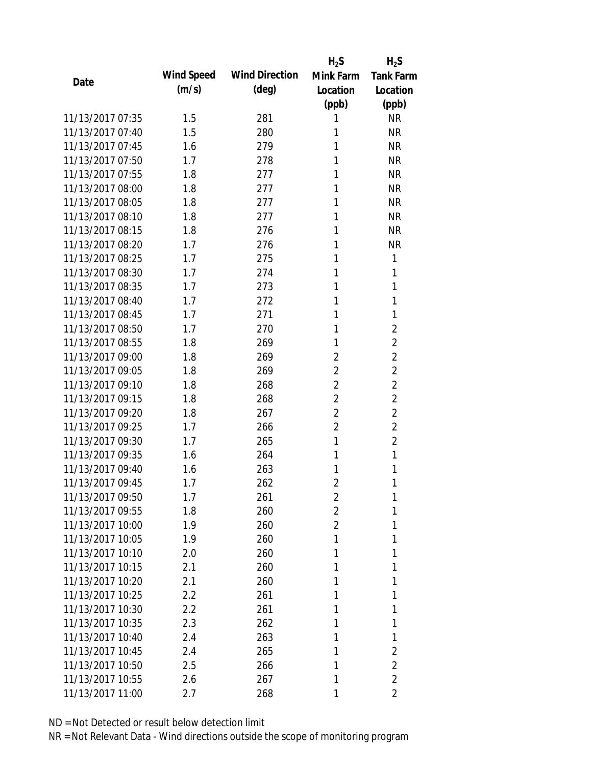|                  |            |                       | $H_2S$         | $H_2S$           |
|------------------|------------|-----------------------|----------------|------------------|
|                  | Wind Speed | <b>Wind Direction</b> | Mink Farm      | <b>Tank Farm</b> |
| Date             | (m/s)      | $(\text{deg})$        | Location       | Location         |
|                  |            |                       | (ppb)          | (ppb)            |
| 11/13/2017 07:35 | 1.5        | 281                   | 1              | <b>NR</b>        |
| 11/13/2017 07:40 | 1.5        | 280                   | 1              | <b>NR</b>        |
| 11/13/2017 07:45 | 1.6        | 279                   | 1              | <b>NR</b>        |
| 11/13/2017 07:50 | 1.7        | 278                   | 1              | <b>NR</b>        |
| 11/13/2017 07:55 | 1.8        | 277                   | 1              | <b>NR</b>        |
| 11/13/2017 08:00 | 1.8        | 277                   | 1              | <b>NR</b>        |
| 11/13/2017 08:05 | 1.8        | 277                   | 1              | <b>NR</b>        |
| 11/13/2017 08:10 | 1.8        | 277                   | 1              | <b>NR</b>        |
| 11/13/2017 08:15 | 1.8        | 276                   | 1              | <b>NR</b>        |
| 11/13/2017 08:20 | 1.7        | 276                   | 1              | <b>NR</b>        |
| 11/13/2017 08:25 | 1.7        | 275                   | 1              | 1                |
| 11/13/2017 08:30 | 1.7        | 274                   | 1              | 1                |
| 11/13/2017 08:35 | 1.7        | 273                   | 1              | 1                |
| 11/13/2017 08:40 | 1.7        | 272                   | 1              | 1                |
| 11/13/2017 08:45 | 1.7        | 271                   | 1              | 1                |
| 11/13/2017 08:50 | 1.7        | 270                   | 1              | $\overline{2}$   |
| 11/13/2017 08:55 | 1.8        | 269                   | 1              | $\overline{2}$   |
| 11/13/2017 09:00 | 1.8        | 269                   | $\overline{2}$ | $\overline{2}$   |
| 11/13/2017 09:05 | 1.8        | 269                   | $\overline{2}$ | $\overline{2}$   |
| 11/13/2017 09:10 | 1.8        | 268                   | $\overline{2}$ | $\overline{2}$   |
| 11/13/2017 09:15 | 1.8        | 268                   | $\overline{2}$ | $\overline{2}$   |
| 11/13/2017 09:20 | 1.8        | 267                   | $\overline{2}$ | $\overline{2}$   |
| 11/13/2017 09:25 | 1.7        | 266                   | $\overline{2}$ | $\overline{2}$   |
| 11/13/2017 09:30 | 1.7        | 265                   | 1              | $\overline{2}$   |
| 11/13/2017 09:35 | 1.6        | 264                   | 1              | 1                |
| 11/13/2017 09:40 | 1.6        | 263                   | 1              | 1                |
| 11/13/2017 09:45 | 1.7        | 262                   | $\overline{2}$ | 1                |
| 11/13/2017 09:50 | 1.7        | 261                   | $\overline{2}$ | 1                |
| 11/13/2017 09:55 | 1.8        | 260                   | $\overline{2}$ | 1                |
| 11/13/2017 10:00 | 1.9        | 260                   | $\overline{2}$ | 1                |
| 11/13/2017 10:05 | 1.9        | 260                   | 1              | 1                |
| 11/13/2017 10:10 | 2.0        | 260                   | 1              | 1                |
| 11/13/2017 10:15 | 2.1        | 260                   | 1              | 1                |
| 11/13/2017 10:20 | 2.1        | 260                   | 1              | 1                |
| 11/13/2017 10:25 | 2.2        | 261                   | 1              | 1                |
| 11/13/2017 10:30 | 2.2        | 261                   | 1              | 1                |
| 11/13/2017 10:35 | 2.3        | 262                   | 1              | 1                |
| 11/13/2017 10:40 | 2.4        | 263                   | 1              | 1                |
| 11/13/2017 10:45 | 2.4        | 265                   | 1              | $\overline{2}$   |
| 11/13/2017 10:50 | 2.5        | 266                   | 1              | $\overline{2}$   |
| 11/13/2017 10:55 | 2.6        | 267                   | 1              | $\overline{2}$   |
| 11/13/2017 11:00 | 2.7        | 268                   | 1              | 2                |
|                  |            |                       |                |                  |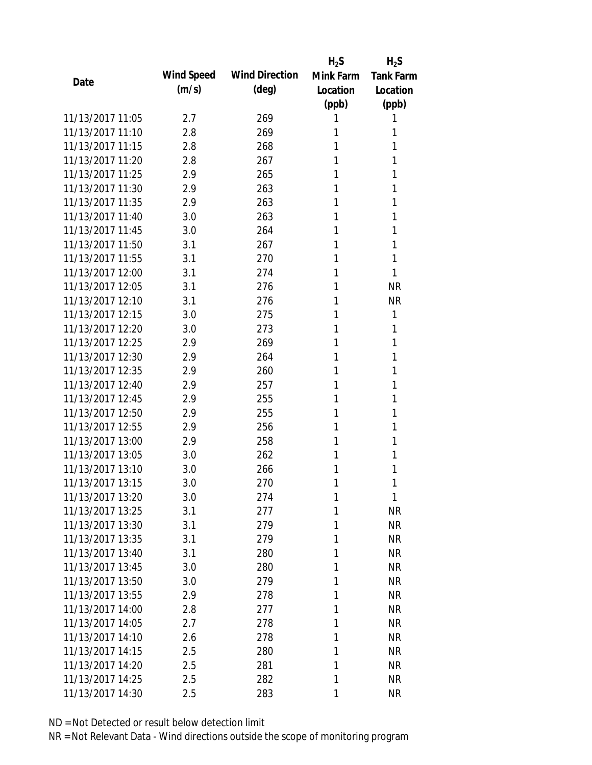|                  |            |                       | $H_2S$    | $H_2S$           |
|------------------|------------|-----------------------|-----------|------------------|
| Date             | Wind Speed | <b>Wind Direction</b> | Mink Farm | <b>Tank Farm</b> |
|                  | (m/s)      | $(\text{deg})$        | Location  | Location         |
|                  |            |                       | (ppb)     | (ppb)            |
| 11/13/2017 11:05 | 2.7        | 269                   | 1         | 1                |
| 11/13/2017 11:10 | 2.8        | 269                   | 1         | 1                |
| 11/13/2017 11:15 | 2.8        | 268                   | 1         | 1                |
| 11/13/2017 11:20 | 2.8        | 267                   | 1         | 1                |
| 11/13/2017 11:25 | 2.9        | 265                   | 1         | 1                |
| 11/13/2017 11:30 | 2.9        | 263                   | 1         | 1                |
| 11/13/2017 11:35 | 2.9        | 263                   | 1         | 1                |
| 11/13/2017 11:40 | 3.0        | 263                   | 1         | 1                |
| 11/13/2017 11:45 | 3.0        | 264                   | 1         | 1                |
| 11/13/2017 11:50 | 3.1        | 267                   | 1         | 1                |
| 11/13/2017 11:55 | 3.1        | 270                   | 1         | 1                |
| 11/13/2017 12:00 | 3.1        | 274                   | 1         | 1                |
| 11/13/2017 12:05 | 3.1        | 276                   | 1         | <b>NR</b>        |
| 11/13/2017 12:10 | 3.1        | 276                   | 1         | <b>NR</b>        |
| 11/13/2017 12:15 | 3.0        | 275                   | 1         | 1                |
| 11/13/2017 12:20 | 3.0        | 273                   | 1         | 1                |
| 11/13/2017 12:25 | 2.9        | 269                   | 1         | 1                |
| 11/13/2017 12:30 | 2.9        | 264                   | 1         | 1                |
| 11/13/2017 12:35 | 2.9        | 260                   | 1         | 1                |
| 11/13/2017 12:40 | 2.9        | 257                   | 1         | 1                |
| 11/13/2017 12:45 | 2.9        | 255                   | 1         | 1                |
| 11/13/2017 12:50 | 2.9        | 255                   | 1         | 1                |
| 11/13/2017 12:55 | 2.9        | 256                   | 1         | 1                |
| 11/13/2017 13:00 | 2.9        | 258                   | 1         | 1                |
| 11/13/2017 13:05 | 3.0        | 262                   | 1         | 1                |
| 11/13/2017 13:10 | 3.0        | 266                   | 1         | 1                |
| 11/13/2017 13:15 | 3.0        | 270                   | 1         | 1                |
| 11/13/2017 13:20 | 3.0        | 274                   | 1         | 1                |
| 11/13/2017 13:25 | 3.1        | 277                   | 1         | <b>NR</b>        |
| 11/13/2017 13:30 | 3.1        | 279                   | 1         | <b>NR</b>        |
| 11/13/2017 13:35 | 3.1        | 279                   | 1         | <b>NR</b>        |
| 11/13/2017 13:40 | 3.1        | 280                   | 1         | <b>NR</b>        |
| 11/13/2017 13:45 | 3.0        | 280                   | 1         | <b>NR</b>        |
| 11/13/2017 13:50 | 3.0        | 279                   | 1         | <b>NR</b>        |
| 11/13/2017 13:55 | 2.9        | 278                   | 1         | <b>NR</b>        |
| 11/13/2017 14:00 | 2.8        | 277                   | 1         | <b>NR</b>        |
| 11/13/2017 14:05 | 2.7        | 278                   | 1         | <b>NR</b>        |
| 11/13/2017 14:10 | 2.6        | 278                   | 1         | <b>NR</b>        |
| 11/13/2017 14:15 | 2.5        | 280                   | 1         | <b>NR</b>        |
| 11/13/2017 14:20 | 2.5        | 281                   | 1         | <b>NR</b>        |
| 11/13/2017 14:25 | 2.5        | 282                   | 1         | <b>NR</b>        |
| 11/13/2017 14:30 | 2.5        | 283                   | 1         | <b>NR</b>        |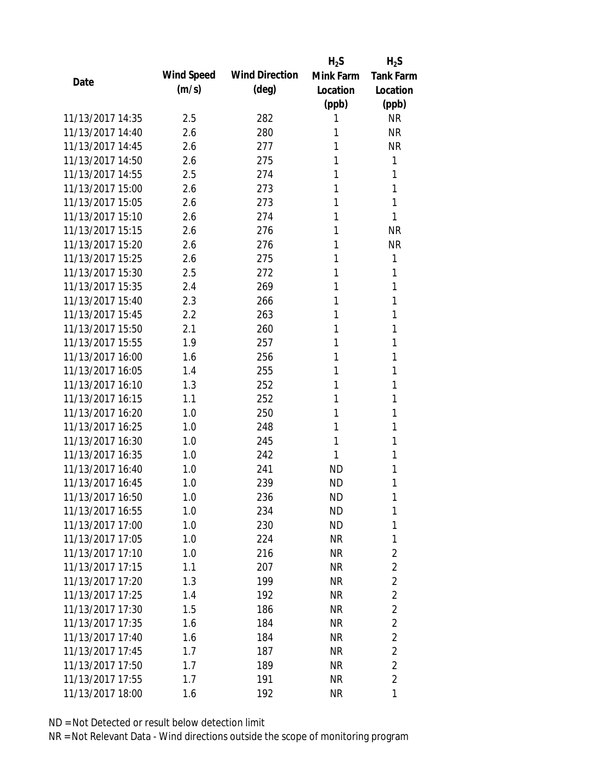|                  |            |                       | $H_2S$    | $H_2S$           |
|------------------|------------|-----------------------|-----------|------------------|
|                  | Wind Speed | <b>Wind Direction</b> | Mink Farm | <b>Tank Farm</b> |
| Date             | (m/s)      | $(\text{deg})$        | Location  | Location         |
|                  |            |                       | (ppb)     | (ppb)            |
| 11/13/2017 14:35 | 2.5        | 282                   | 1         | <b>NR</b>        |
| 11/13/2017 14:40 | 2.6        | 280                   | 1         | <b>NR</b>        |
| 11/13/2017 14:45 | 2.6        | 277                   | 1         | <b>NR</b>        |
| 11/13/2017 14:50 | 2.6        | 275                   | 1         | 1                |
| 11/13/2017 14:55 | 2.5        | 274                   | 1         | 1                |
| 11/13/2017 15:00 | 2.6        | 273                   | 1         | 1                |
| 11/13/2017 15:05 | 2.6        | 273                   | 1         | 1                |
| 11/13/2017 15:10 | 2.6        | 274                   | 1         | 1                |
| 11/13/2017 15:15 | 2.6        | 276                   | 1         | <b>NR</b>        |
| 11/13/2017 15:20 | 2.6        | 276                   | 1         | <b>NR</b>        |
| 11/13/2017 15:25 | 2.6        | 275                   | 1         | 1                |
| 11/13/2017 15:30 | 2.5        | 272                   | 1         | 1                |
| 11/13/2017 15:35 | 2.4        | 269                   | 1         | 1                |
| 11/13/2017 15:40 | 2.3        | 266                   | 1         | 1                |
| 11/13/2017 15:45 | 2.2        | 263                   | 1         | 1                |
| 11/13/2017 15:50 | 2.1        | 260                   | 1         | 1                |
| 11/13/2017 15:55 | 1.9        | 257                   | 1         | 1                |
| 11/13/2017 16:00 | 1.6        | 256                   | 1         | 1                |
| 11/13/2017 16:05 | 1.4        | 255                   | 1         | 1                |
| 11/13/2017 16:10 | 1.3        | 252                   | 1         | 1                |
| 11/13/2017 16:15 | 1.1        | 252                   | 1         | 1                |
| 11/13/2017 16:20 | 1.0        | 250                   | 1         | 1                |
| 11/13/2017 16:25 | 1.0        | 248                   | 1         | 1                |
| 11/13/2017 16:30 | 1.0        | 245                   | 1         | 1                |
| 11/13/2017 16:35 | 1.0        | 242                   | 1         | 1                |
| 11/13/2017 16:40 | 1.0        | 241                   | <b>ND</b> | 1                |
| 11/13/2017 16:45 | 1.0        | 239                   | <b>ND</b> | 1                |
| 11/13/2017 16:50 | 1.0        | 236                   | ND        | 1                |
| 11/13/2017 16:55 | 1.0        | 234                   | <b>ND</b> | 1                |
| 11/13/2017 17:00 | 1.0        | 230                   | <b>ND</b> | 1                |
| 11/13/2017 17:05 | 1.0        | 224                   | <b>NR</b> | 1                |
| 11/13/2017 17:10 | 1.0        | 216                   | <b>NR</b> | $\overline{2}$   |
| 11/13/2017 17:15 | 1.1        | 207                   | NR        | $\overline{2}$   |
| 11/13/2017 17:20 | 1.3        | 199                   | <b>NR</b> | $\overline{2}$   |
| 11/13/2017 17:25 | 1.4        | 192                   | NR        | $\overline{2}$   |
| 11/13/2017 17:30 | 1.5        | 186                   | <b>NR</b> | $\overline{2}$   |
| 11/13/2017 17:35 | 1.6        | 184                   | <b>NR</b> | $\overline{2}$   |
| 11/13/2017 17:40 | 1.6        | 184                   | NR        | $\overline{2}$   |
| 11/13/2017 17:45 | 1.7        | 187                   | NR        | $\overline{2}$   |
| 11/13/2017 17:50 | 1.7        | 189                   | NR        | $\overline{2}$   |
| 11/13/2017 17:55 | 1.7        | 191                   | <b>NR</b> | $\overline{2}$   |
| 11/13/2017 18:00 | 1.6        | 192                   | <b>NR</b> | 1                |
|                  |            |                       |           |                  |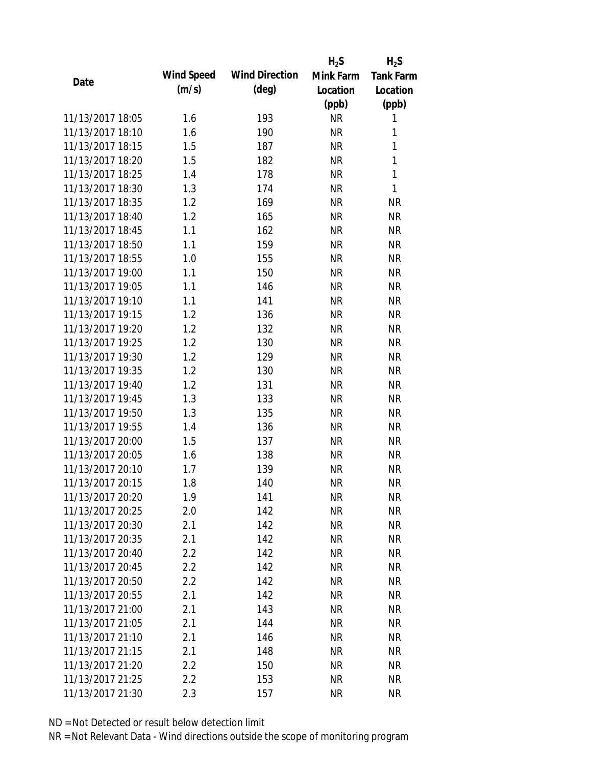|                  |            |                       | $H_2S$    | $H_2S$           |
|------------------|------------|-----------------------|-----------|------------------|
| Date             | Wind Speed | <b>Wind Direction</b> | Mink Farm | <b>Tank Farm</b> |
|                  | (m/s)      | $(\text{deg})$        | Location  | Location         |
|                  |            |                       | (ppb)     | (ppb)            |
| 11/13/2017 18:05 | 1.6        | 193                   | <b>NR</b> | 1                |
| 11/13/2017 18:10 | 1.6        | 190                   | <b>NR</b> | 1                |
| 11/13/2017 18:15 | 1.5        | 187                   | <b>NR</b> | 1                |
| 11/13/2017 18:20 | 1.5        | 182                   | <b>NR</b> | 1                |
| 11/13/2017 18:25 | 1.4        | 178                   | <b>NR</b> | 1                |
| 11/13/2017 18:30 | 1.3        | 174                   | <b>NR</b> | 1                |
| 11/13/2017 18:35 | 1.2        | 169                   | <b>NR</b> | <b>NR</b>        |
| 11/13/2017 18:40 | 1.2        | 165                   | <b>NR</b> | <b>NR</b>        |
| 11/13/2017 18:45 | 1.1        | 162                   | <b>NR</b> | <b>NR</b>        |
| 11/13/2017 18:50 | 1.1        | 159                   | <b>NR</b> | <b>NR</b>        |
| 11/13/2017 18:55 | 1.0        | 155                   | <b>NR</b> | <b>NR</b>        |
| 11/13/2017 19:00 | 1.1        | 150                   | <b>NR</b> | <b>NR</b>        |
| 11/13/2017 19:05 | 1.1        | 146                   | <b>NR</b> | <b>NR</b>        |
| 11/13/2017 19:10 | 1.1        | 141                   | <b>NR</b> | <b>NR</b>        |
| 11/13/2017 19:15 | 1.2        | 136                   | <b>NR</b> | <b>NR</b>        |
| 11/13/2017 19:20 | 1.2        | 132                   | <b>NR</b> | <b>NR</b>        |
| 11/13/2017 19:25 | 1.2        | 130                   | <b>NR</b> | <b>NR</b>        |
| 11/13/2017 19:30 | 1.2        | 129                   | <b>NR</b> | <b>NR</b>        |
| 11/13/2017 19:35 | 1.2        | 130                   | <b>NR</b> | <b>NR</b>        |
| 11/13/2017 19:40 | 1.2        | 131                   | <b>NR</b> | <b>NR</b>        |
| 11/13/2017 19:45 | 1.3        | 133                   | <b>NR</b> | <b>NR</b>        |
| 11/13/2017 19:50 | 1.3        | 135                   | <b>NR</b> | <b>NR</b>        |
| 11/13/2017 19:55 | 1.4        | 136                   | <b>NR</b> | <b>NR</b>        |
| 11/13/2017 20:00 | 1.5        | 137                   | <b>NR</b> | <b>NR</b>        |
| 11/13/2017 20:05 | 1.6        | 138                   | <b>NR</b> | <b>NR</b>        |
| 11/13/2017 20:10 | 1.7        | 139                   | <b>NR</b> | <b>NR</b>        |
| 11/13/2017 20:15 | 1.8        | 140                   | <b>NR</b> | <b>NR</b>        |
| 11/13/2017 20:20 | 1.9        | 141                   | <b>NR</b> | NR               |
| 11/13/2017 20:25 | 2.0        | 142                   | <b>NR</b> | <b>NR</b>        |
| 11/13/2017 20:30 | 2.1        | 142                   | NR        | <b>NR</b>        |
| 11/13/2017 20:35 | 2.1        | 142                   | <b>NR</b> | <b>NR</b>        |
| 11/13/2017 20:40 | 2.2        | 142                   | <b>NR</b> | <b>NR</b>        |
| 11/13/2017 20:45 | 2.2        | 142                   | <b>NR</b> | <b>NR</b>        |
| 11/13/2017 20:50 | 2.2        | 142                   | <b>NR</b> | <b>NR</b>        |
| 11/13/2017 20:55 | 2.1        | 142                   | <b>NR</b> | <b>NR</b>        |
| 11/13/2017 21:00 | 2.1        | 143                   | <b>NR</b> | <b>NR</b>        |
| 11/13/2017 21:05 |            |                       |           | <b>NR</b>        |
| 11/13/2017 21:10 | 2.1        | 144                   | <b>NR</b> |                  |
|                  | 2.1        | 146                   | <b>NR</b> | <b>NR</b>        |
| 11/13/2017 21:15 | 2.1        | 148                   | <b>NR</b> | <b>NR</b>        |
| 11/13/2017 21:20 | 2.2        | 150                   | <b>NR</b> | <b>NR</b>        |
| 11/13/2017 21:25 | 2.2        | 153                   | <b>NR</b> | <b>NR</b>        |
| 11/13/2017 21:30 | 2.3        | 157                   | <b>NR</b> | <b>NR</b>        |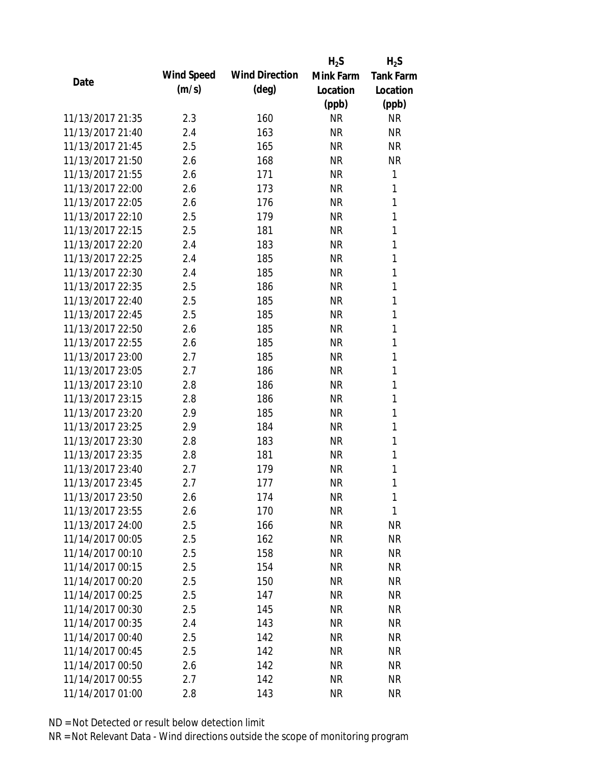|                  |            |                       | $H_2S$    | $H_2S$           |
|------------------|------------|-----------------------|-----------|------------------|
|                  | Wind Speed | <b>Wind Direction</b> | Mink Farm | <b>Tank Farm</b> |
| Date             | (m/s)      | $(\text{deg})$        | Location  | Location         |
|                  |            |                       | (ppb)     | (ppb)            |
| 11/13/2017 21:35 | 2.3        | 160                   | <b>NR</b> | <b>NR</b>        |
| 11/13/2017 21:40 | 2.4        | 163                   | <b>NR</b> | <b>NR</b>        |
| 11/13/2017 21:45 | 2.5        | 165                   | <b>NR</b> | <b>NR</b>        |
| 11/13/2017 21:50 | 2.6        | 168                   | <b>NR</b> | <b>NR</b>        |
| 11/13/2017 21:55 | 2.6        | 171                   | <b>NR</b> | 1                |
| 11/13/2017 22:00 | 2.6        | 173                   | <b>NR</b> | 1                |
| 11/13/2017 22:05 | 2.6        | 176                   | <b>NR</b> | 1                |
| 11/13/2017 22:10 | 2.5        | 179                   | <b>NR</b> | 1                |
| 11/13/2017 22:15 | 2.5        | 181                   | <b>NR</b> | 1                |
| 11/13/2017 22:20 | 2.4        | 183                   | <b>NR</b> | 1                |
| 11/13/2017 22:25 | 2.4        | 185                   | <b>NR</b> | 1                |
| 11/13/2017 22:30 | 2.4        | 185                   | <b>NR</b> | 1                |
| 11/13/2017 22:35 | 2.5        | 186                   | <b>NR</b> | 1                |
| 11/13/2017 22:40 | 2.5        | 185                   | <b>NR</b> | 1                |
| 11/13/2017 22:45 | 2.5        | 185                   | <b>NR</b> | 1                |
| 11/13/2017 22:50 | 2.6        | 185                   | <b>NR</b> | 1                |
| 11/13/2017 22:55 | 2.6        | 185                   | <b>NR</b> | 1                |
| 11/13/2017 23:00 | 2.7        | 185                   | <b>NR</b> | 1                |
| 11/13/2017 23:05 | 2.7        | 186                   | <b>NR</b> | 1                |
| 11/13/2017 23:10 | 2.8        | 186                   | <b>NR</b> | 1                |
| 11/13/2017 23:15 | 2.8        | 186                   | <b>NR</b> | 1                |
| 11/13/2017 23:20 | 2.9        | 185                   | <b>NR</b> | 1                |
| 11/13/2017 23:25 | 2.9        | 184                   | <b>NR</b> | 1                |
| 11/13/2017 23:30 | 2.8        | 183                   | <b>NR</b> | 1                |
| 11/13/2017 23:35 | 2.8        | 181                   | <b>NR</b> | 1                |
| 11/13/2017 23:40 | 2.7        | 179                   | <b>NR</b> | 1                |
| 11/13/2017 23:45 | 2.7        | 177                   | <b>NR</b> | 1                |
| 11/13/2017 23:50 | 2.6        | 174                   | <b>NR</b> | 1                |
| 11/13/2017 23:55 | 2.6        | 170                   | <b>NR</b> | 1                |
| 11/13/2017 24:00 | 2.5        | 166                   | NR        | ΝR               |
| 11/14/2017 00:05 | 2.5        | 162                   | NR        | <b>NR</b>        |
| 11/14/2017 00:10 | 2.5        | 158                   | <b>NR</b> | <b>NR</b>        |
| 11/14/2017 00:15 | 2.5        | 154                   | NR        | <b>NR</b>        |
| 11/14/2017 00:20 | 2.5        | 150                   | <b>NR</b> | <b>NR</b>        |
| 11/14/2017 00:25 | 2.5        | 147                   | <b>NR</b> | NR               |
| 11/14/2017 00:30 | 2.5        | 145                   | <b>NR</b> | <b>NR</b>        |
| 11/14/2017 00:35 | 2.4        | 143                   | NR        | <b>NR</b>        |
| 11/14/2017 00:40 | 2.5        | 142                   | NR        | NR               |
| 11/14/2017 00:45 | 2.5        | 142                   | <b>NR</b> | <b>NR</b>        |
| 11/14/2017 00:50 | 2.6        | 142                   | <b>NR</b> | NR               |
| 11/14/2017 00:55 | 2.7        | 142                   | <b>NR</b> | <b>NR</b>        |
|                  |            |                       |           |                  |
| 11/14/2017 01:00 | 2.8        | 143                   | <b>NR</b> | <b>NR</b>        |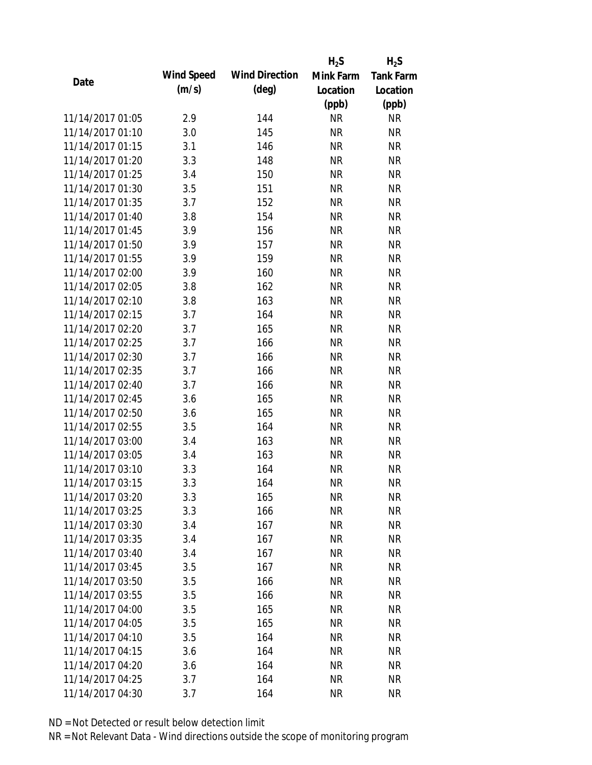|                  |            |                       | $H_2S$    | $H_2S$           |
|------------------|------------|-----------------------|-----------|------------------|
| Date             | Wind Speed | <b>Wind Direction</b> | Mink Farm | <b>Tank Farm</b> |
|                  | (m/s)      | $(\text{deg})$        | Location  | Location         |
|                  |            |                       | (ppb)     | (ppb)            |
| 11/14/2017 01:05 | 2.9        | 144                   | <b>NR</b> | <b>NR</b>        |
| 11/14/2017 01:10 | 3.0        | 145                   | <b>NR</b> | <b>NR</b>        |
| 11/14/2017 01:15 | 3.1        | 146                   | <b>NR</b> | <b>NR</b>        |
| 11/14/2017 01:20 | 3.3        | 148                   | <b>NR</b> | <b>NR</b>        |
| 11/14/2017 01:25 | 3.4        | 150                   | <b>NR</b> | <b>NR</b>        |
| 11/14/2017 01:30 | 3.5        | 151                   | <b>NR</b> | <b>NR</b>        |
| 11/14/2017 01:35 | 3.7        | 152                   | <b>NR</b> | <b>NR</b>        |
| 11/14/2017 01:40 | 3.8        | 154                   | <b>NR</b> | <b>NR</b>        |
| 11/14/2017 01:45 | 3.9        | 156                   | <b>NR</b> | <b>NR</b>        |
| 11/14/2017 01:50 | 3.9        | 157                   | <b>NR</b> | <b>NR</b>        |
| 11/14/2017 01:55 | 3.9        | 159                   | <b>NR</b> | <b>NR</b>        |
| 11/14/2017 02:00 | 3.9        | 160                   | <b>NR</b> | <b>NR</b>        |
| 11/14/2017 02:05 | 3.8        | 162                   | <b>NR</b> | <b>NR</b>        |
| 11/14/2017 02:10 | 3.8        | 163                   | <b>NR</b> | <b>NR</b>        |
| 11/14/2017 02:15 | 3.7        | 164                   | <b>NR</b> | <b>NR</b>        |
| 11/14/2017 02:20 | 3.7        | 165                   | <b>NR</b> | <b>NR</b>        |
| 11/14/2017 02:25 | 3.7        | 166                   | <b>NR</b> | <b>NR</b>        |
| 11/14/2017 02:30 | 3.7        | 166                   | <b>NR</b> | <b>NR</b>        |
| 11/14/2017 02:35 | 3.7        | 166                   | <b>NR</b> | <b>NR</b>        |
| 11/14/2017 02:40 | 3.7        | 166                   | <b>NR</b> | <b>NR</b>        |
| 11/14/2017 02:45 | 3.6        | 165                   | <b>NR</b> | <b>NR</b>        |
| 11/14/2017 02:50 | 3.6        | 165                   | <b>NR</b> | <b>NR</b>        |
| 11/14/2017 02:55 | 3.5        | 164                   | <b>NR</b> | <b>NR</b>        |
| 11/14/2017 03:00 | 3.4        | 163                   | <b>NR</b> | <b>NR</b>        |
| 11/14/2017 03:05 | 3.4        | 163                   | <b>NR</b> | <b>NR</b>        |
| 11/14/2017 03:10 | 3.3        | 164                   | <b>NR</b> | <b>NR</b>        |
| 11/14/2017 03:15 | 3.3        | 164                   | <b>NR</b> | <b>NR</b>        |
| 11/14/2017 03:20 | 3.3        | 165                   | <b>NR</b> | <b>NR</b>        |
| 11/14/2017 03:25 | 3.3        | 166                   | <b>NR</b> | <b>NR</b>        |
| 11/14/2017 03:30 | 3.4        | 167                   | NR        | <b>NR</b>        |
| 11/14/2017 03:35 | 3.4        | 167                   | <b>NR</b> | <b>NR</b>        |
| 11/14/2017 03:40 | 3.4        | 167                   | <b>NR</b> | <b>NR</b>        |
| 11/14/2017 03:45 | 3.5        | 167                   | NR        | <b>NR</b>        |
| 11/14/2017 03:50 | 3.5        | 166                   | <b>NR</b> | <b>NR</b>        |
| 11/14/2017 03:55 | 3.5        | 166                   | <b>NR</b> | <b>NR</b>        |
| 11/14/2017 04:00 | 3.5        | 165                   | <b>NR</b> | <b>NR</b>        |
| 11/14/2017 04:05 | 3.5        | 165                   | NR        | <b>NR</b>        |
| 11/14/2017 04:10 | 3.5        | 164                   | NR        | <b>NR</b>        |
| 11/14/2017 04:15 | 3.6        | 164                   | <b>NR</b> | <b>NR</b>        |
| 11/14/2017 04:20 | 3.6        | 164                   | <b>NR</b> | NR               |
| 11/14/2017 04:25 | 3.7        | 164                   | <b>NR</b> | <b>NR</b>        |
| 11/14/2017 04:30 | 3.7        | 164                   | <b>NR</b> | <b>NR</b>        |
|                  |            |                       |           |                  |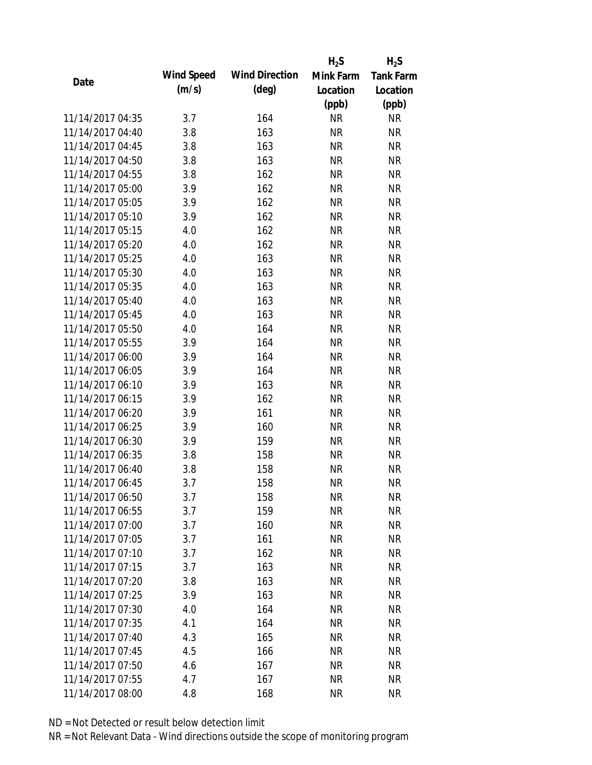|                  |            |                       | $H_2S$    | $H_2S$           |
|------------------|------------|-----------------------|-----------|------------------|
| Date             | Wind Speed | <b>Wind Direction</b> | Mink Farm | <b>Tank Farm</b> |
|                  | (m/s)      | $(\text{deg})$        | Location  | Location         |
|                  |            |                       | (ppb)     | (ppb)            |
| 11/14/2017 04:35 | 3.7        | 164                   | <b>NR</b> | <b>NR</b>        |
| 11/14/2017 04:40 | 3.8        | 163                   | <b>NR</b> | <b>NR</b>        |
| 11/14/2017 04:45 | 3.8        | 163                   | <b>NR</b> | <b>NR</b>        |
| 11/14/2017 04:50 | 3.8        | 163                   | <b>NR</b> | <b>NR</b>        |
| 11/14/2017 04:55 | 3.8        | 162                   | <b>NR</b> | <b>NR</b>        |
| 11/14/2017 05:00 | 3.9        | 162                   | <b>NR</b> | <b>NR</b>        |
| 11/14/2017 05:05 | 3.9        | 162                   | <b>NR</b> | <b>NR</b>        |
| 11/14/2017 05:10 | 3.9        | 162                   | <b>NR</b> | <b>NR</b>        |
| 11/14/2017 05:15 | 4.0        | 162                   | <b>NR</b> | <b>NR</b>        |
| 11/14/2017 05:20 | 4.0        | 162                   | <b>NR</b> | <b>NR</b>        |
| 11/14/2017 05:25 | 4.0        | 163                   | <b>NR</b> | <b>NR</b>        |
| 11/14/2017 05:30 | 4.0        | 163                   | <b>NR</b> | <b>NR</b>        |
| 11/14/2017 05:35 | 4.0        | 163                   | <b>NR</b> | <b>NR</b>        |
| 11/14/2017 05:40 | 4.0        | 163                   | <b>NR</b> | <b>NR</b>        |
| 11/14/2017 05:45 | 4.0        | 163                   | <b>NR</b> | <b>NR</b>        |
| 11/14/2017 05:50 | 4.0        | 164                   | <b>NR</b> | <b>NR</b>        |
| 11/14/2017 05:55 | 3.9        | 164                   | <b>NR</b> | <b>NR</b>        |
| 11/14/2017 06:00 | 3.9        | 164                   | <b>NR</b> | <b>NR</b>        |
| 11/14/2017 06:05 | 3.9        | 164                   | <b>NR</b> | <b>NR</b>        |
| 11/14/2017 06:10 | 3.9        | 163                   | <b>NR</b> | <b>NR</b>        |
| 11/14/2017 06:15 | 3.9        | 162                   | <b>NR</b> | <b>NR</b>        |
| 11/14/2017 06:20 | 3.9        | 161                   | <b>NR</b> | <b>NR</b>        |
| 11/14/2017 06:25 | 3.9        | 160                   | <b>NR</b> | <b>NR</b>        |
| 11/14/2017 06:30 | 3.9        | 159                   | <b>NR</b> | <b>NR</b>        |
| 11/14/2017 06:35 | 3.8        | 158                   | <b>NR</b> | <b>NR</b>        |
| 11/14/2017 06:40 | 3.8        | 158                   | <b>NR</b> | <b>NR</b>        |
| 11/14/2017 06:45 | 3.7        | 158                   | <b>NR</b> | <b>NR</b>        |
| 11/14/2017 06:50 | 3.7        | 158                   | <b>NR</b> | <b>NR</b>        |
| 11/14/2017 06:55 | 3.7        | 159                   | <b>NR</b> | <b>NR</b>        |
| 11/14/2017 07:00 | 3.7        | 160                   | NR        | <b>NR</b>        |
| 11/14/2017 07:05 | 3.7        | 161                   | <b>NR</b> | <b>NR</b>        |
| 11/14/2017 07:10 | 3.7        | 162                   | <b>NR</b> | <b>NR</b>        |
| 11/14/2017 07:15 | 3.7        | 163                   | <b>NR</b> | <b>NR</b>        |
| 11/14/2017 07:20 | 3.8        | 163                   | <b>NR</b> | <b>NR</b>        |
| 11/14/2017 07:25 | 3.9        | 163                   | <b>NR</b> | <b>NR</b>        |
| 11/14/2017 07:30 | 4.0        | 164                   | <b>NR</b> | <b>NR</b>        |
| 11/14/2017 07:35 | 4.1        | 164                   | NR        | <b>NR</b>        |
| 11/14/2017 07:40 | 4.3        | 165                   | NR        | <b>NR</b>        |
| 11/14/2017 07:45 | 4.5        | 166                   | <b>NR</b> | <b>NR</b>        |
| 11/14/2017 07:50 | 4.6        | 167                   | <b>NR</b> | <b>NR</b>        |
| 11/14/2017 07:55 | 4.7        | 167                   | <b>NR</b> | <b>NR</b>        |
| 11/14/2017 08:00 | 4.8        | 168                   | <b>NR</b> | <b>NR</b>        |
|                  |            |                       |           |                  |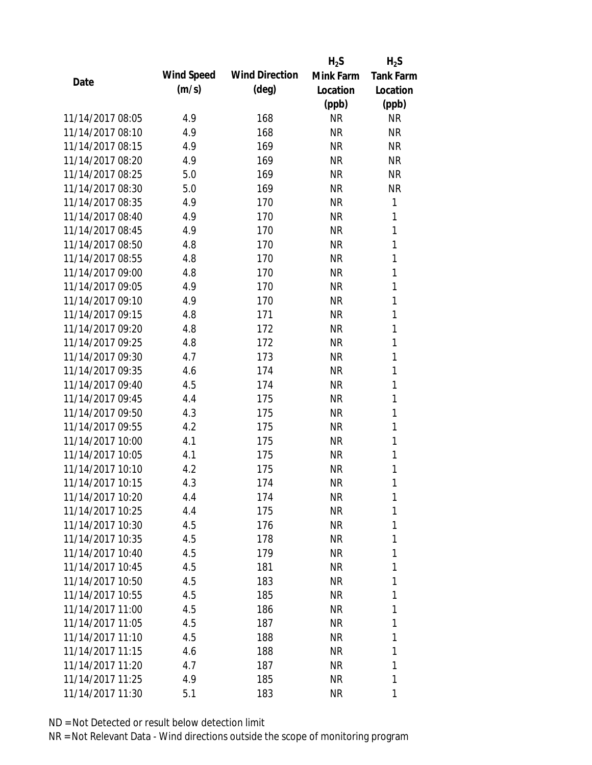|                  |            |                       | $H_2S$    | $H_2S$           |
|------------------|------------|-----------------------|-----------|------------------|
|                  | Wind Speed | <b>Wind Direction</b> | Mink Farm | <b>Tank Farm</b> |
| Date             | (m/s)      | $(\text{deg})$        | Location  | Location         |
|                  |            |                       | (ppb)     | (ppb)            |
| 11/14/2017 08:05 | 4.9        | 168                   | <b>NR</b> | <b>NR</b>        |
| 11/14/2017 08:10 | 4.9        | 168                   | <b>NR</b> | <b>NR</b>        |
| 11/14/2017 08:15 | 4.9        | 169                   | <b>NR</b> | <b>NR</b>        |
| 11/14/2017 08:20 | 4.9        | 169                   | <b>NR</b> | <b>NR</b>        |
| 11/14/2017 08:25 | 5.0        | 169                   | <b>NR</b> | <b>NR</b>        |
| 11/14/2017 08:30 | 5.0        | 169                   | <b>NR</b> | <b>NR</b>        |
| 11/14/2017 08:35 | 4.9        | 170                   | <b>NR</b> | 1                |
| 11/14/2017 08:40 | 4.9        | 170                   | <b>NR</b> | 1                |
| 11/14/2017 08:45 | 4.9        | 170                   | <b>NR</b> | 1                |
| 11/14/2017 08:50 | 4.8        | 170                   | <b>NR</b> | 1                |
| 11/14/2017 08:55 | 4.8        | 170                   | <b>NR</b> | 1                |
| 11/14/2017 09:00 | 4.8        | 170                   | <b>NR</b> | 1                |
| 11/14/2017 09:05 | 4.9        | 170                   | <b>NR</b> | 1                |
| 11/14/2017 09:10 | 4.9        | 170                   | <b>NR</b> | 1                |
| 11/14/2017 09:15 | 4.8        | 171                   | <b>NR</b> | 1                |
| 11/14/2017 09:20 | 4.8        | 172                   | <b>NR</b> | 1                |
| 11/14/2017 09:25 | 4.8        | 172                   | <b>NR</b> | 1                |
| 11/14/2017 09:30 | 4.7        | 173                   | <b>NR</b> | 1                |
| 11/14/2017 09:35 | 4.6        | 174                   | <b>NR</b> | $\mathbf{1}$     |
| 11/14/2017 09:40 | 4.5        | 174                   | <b>NR</b> | 1                |
| 11/14/2017 09:45 | 4.4        | 175                   | <b>NR</b> | 1                |
| 11/14/2017 09:50 | 4.3        | 175                   | <b>NR</b> | 1                |
| 11/14/2017 09:55 | 4.2        | 175                   | <b>NR</b> | 1                |
| 11/14/2017 10:00 | 4.1        | 175                   | <b>NR</b> | 1                |
| 11/14/2017 10:05 | 4.1        | 175                   | <b>NR</b> | 1                |
| 11/14/2017 10:10 | 4.2        | 175                   | <b>NR</b> | 1                |
| 11/14/2017 10:15 | 4.3        | 174                   | <b>NR</b> | 1                |
| 11/14/2017 10:20 | 4.4        | 174                   | NR        | 1                |
| 11/14/2017 10:25 | 4.4        | 175                   | <b>NR</b> | 1                |
| 11/14/2017 10:30 | 4.5        | 176                   | NR        | 1                |
| 11/14/2017 10:35 | 4.5        | 178                   | <b>NR</b> | 1                |
| 11/14/2017 10:40 | 4.5        | 179                   | <b>NR</b> | 1                |
| 11/14/2017 10:45 | 4.5        | 181                   | NR        | 1                |
| 11/14/2017 10:50 | 4.5        | 183                   | <b>NR</b> | 1                |
| 11/14/2017 10:55 | 4.5        | 185                   | NR        | 1                |
| 11/14/2017 11:00 | 4.5        | 186                   | <b>NR</b> | 1                |
| 11/14/2017 11:05 | 4.5        | 187                   | NR        | 1                |
| 11/14/2017 11:10 | 4.5        | 188                   | NR        | 1                |
| 11/14/2017 11:15 | 4.6        | 188                   | NR        | 1                |
| 11/14/2017 11:20 | 4.7        | 187                   | NR        | 1                |
| 11/14/2017 11:25 | 4.9        | 185                   | <b>NR</b> | 1                |
| 11/14/2017 11:30 | 5.1        | 183                   | <b>NR</b> | 1                |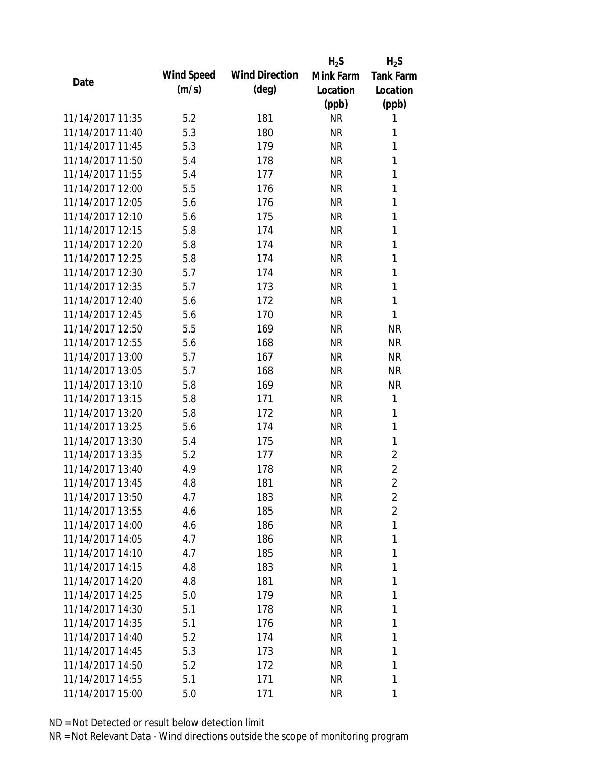|                  |            |                       | $H_2S$    | $H_2S$           |
|------------------|------------|-----------------------|-----------|------------------|
| Date             | Wind Speed | <b>Wind Direction</b> | Mink Farm | <b>Tank Farm</b> |
|                  | (m/s)      | $(\text{deg})$        | Location  | Location         |
|                  |            |                       | (ppb)     | (ppb)            |
| 11/14/2017 11:35 | 5.2        | 181                   | <b>NR</b> | 1                |
| 11/14/2017 11:40 | 5.3        | 180                   | <b>NR</b> | 1                |
| 11/14/2017 11:45 | 5.3        | 179                   | <b>NR</b> | 1                |
| 11/14/2017 11:50 | 5.4        | 178                   | <b>NR</b> | 1                |
| 11/14/2017 11:55 | 5.4        | 177                   | <b>NR</b> | 1                |
| 11/14/2017 12:00 | 5.5        | 176                   | <b>NR</b> | 1                |
| 11/14/2017 12:05 | 5.6        | 176                   | <b>NR</b> | 1                |
| 11/14/2017 12:10 | 5.6        | 175                   | <b>NR</b> | 1                |
| 11/14/2017 12:15 | 5.8        | 174                   | <b>NR</b> | 1                |
| 11/14/2017 12:20 | 5.8        | 174                   | <b>NR</b> | 1                |
| 11/14/2017 12:25 | 5.8        | 174                   | <b>NR</b> | 1                |
| 11/14/2017 12:30 | 5.7        | 174                   | <b>NR</b> | 1                |
| 11/14/2017 12:35 | 5.7        | 173                   | <b>NR</b> | 1                |
| 11/14/2017 12:40 | 5.6        | 172                   | <b>NR</b> | 1                |
| 11/14/2017 12:45 | 5.6        | 170                   | <b>NR</b> | 1                |
| 11/14/2017 12:50 | 5.5        | 169                   | <b>NR</b> | <b>NR</b>        |
| 11/14/2017 12:55 | 5.6        | 168                   | <b>NR</b> | <b>NR</b>        |
| 11/14/2017 13:00 | 5.7        | 167                   | <b>NR</b> | <b>NR</b>        |
| 11/14/2017 13:05 | 5.7        | 168                   | <b>NR</b> | <b>NR</b>        |
| 11/14/2017 13:10 | 5.8        | 169                   | <b>NR</b> | <b>NR</b>        |
| 11/14/2017 13:15 | 5.8        | 171                   | <b>NR</b> | 1                |
| 11/14/2017 13:20 | 5.8        | 172                   | <b>NR</b> | 1                |
| 11/14/2017 13:25 | 5.6        | 174                   | <b>NR</b> | 1                |
| 11/14/2017 13:30 | 5.4        | 175                   | <b>NR</b> | 1                |
| 11/14/2017 13:35 | 5.2        | 177                   | <b>NR</b> | $\overline{2}$   |
| 11/14/2017 13:40 | 4.9        | 178                   | <b>NR</b> | $\overline{2}$   |
| 11/14/2017 13:45 | 4.8        | 181                   | <b>NR</b> | $\overline{2}$   |
| 11/14/2017 13:50 | 4.7        | 183                   | <b>NR</b> | 2                |
| 11/14/2017 13:55 | 4.6        | 185                   | <b>NR</b> | $\overline{2}$   |
| 11/14/2017 14:00 | 4.6        | 186                   | NR        | 1                |
| 11/14/2017 14:05 | 4.7        | 186                   | NR        | 1                |
| 11/14/2017 14:10 | 4.7        | 185                   | <b>NR</b> | 1                |
| 11/14/2017 14:15 | 4.8        | 183                   | NR        | 1                |
| 11/14/2017 14:20 | 4.8        | 181                   | <b>NR</b> | 1                |
| 11/14/2017 14:25 | 5.0        | 179                   | NR        | 1                |
| 11/14/2017 14:30 | 5.1        | 178                   | <b>NR</b> | 1                |
| 11/14/2017 14:35 | 5.1        | 176                   | NR        | 1                |
| 11/14/2017 14:40 | 5.2        | 174                   | NR        | 1                |
| 11/14/2017 14:45 | 5.3        | 173                   | NR        | 1                |
| 11/14/2017 14:50 | 5.2        | 172                   | NR        | 1                |
| 11/14/2017 14:55 | 5.1        | 171                   | <b>NR</b> | 1                |
| 11/14/2017 15:00 | 5.0        | 171                   | <b>NR</b> | 1                |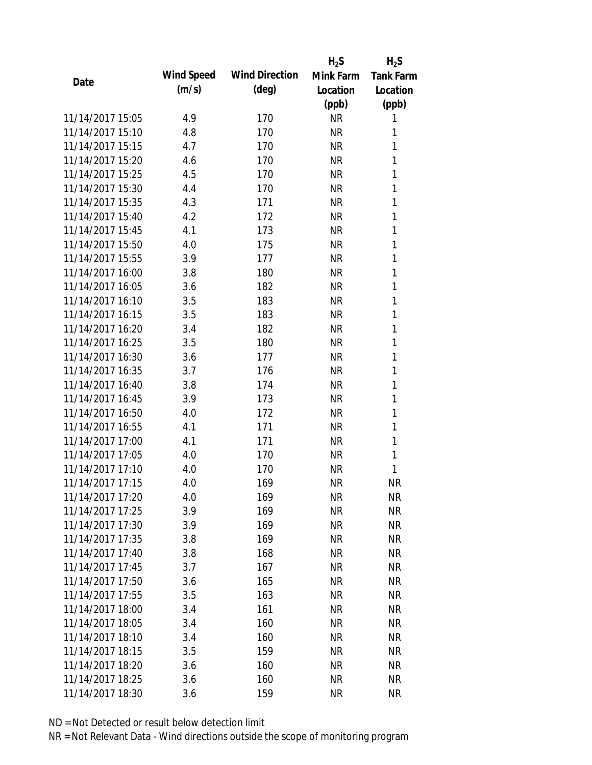|                  |            |                       | $H_2S$    | $H_2S$           |
|------------------|------------|-----------------------|-----------|------------------|
| Date             | Wind Speed | <b>Wind Direction</b> | Mink Farm | <b>Tank Farm</b> |
|                  | (m/s)      | $(\text{deg})$        | Location  | Location         |
|                  |            |                       | (ppb)     | (ppb)            |
| 11/14/2017 15:05 | 4.9        | 170                   | <b>NR</b> | 1                |
| 11/14/2017 15:10 | 4.8        | 170                   | <b>NR</b> | 1                |
| 11/14/2017 15:15 | 4.7        | 170                   | <b>NR</b> | 1                |
| 11/14/2017 15:20 | 4.6        | 170                   | <b>NR</b> | 1                |
| 11/14/2017 15:25 | 4.5        | 170                   | <b>NR</b> | 1                |
| 11/14/2017 15:30 | 4.4        | 170                   | <b>NR</b> | 1                |
| 11/14/2017 15:35 | 4.3        | 171                   | <b>NR</b> | 1                |
| 11/14/2017 15:40 | 4.2        | 172                   | <b>NR</b> | 1                |
| 11/14/2017 15:45 | 4.1        | 173                   | <b>NR</b> | 1                |
| 11/14/2017 15:50 | 4.0        | 175                   | <b>NR</b> | 1                |
| 11/14/2017 15:55 | 3.9        | 177                   | <b>NR</b> | 1                |
| 11/14/2017 16:00 | 3.8        | 180                   | <b>NR</b> | 1                |
| 11/14/2017 16:05 | 3.6        | 182                   | <b>NR</b> | 1                |
| 11/14/2017 16:10 | 3.5        | 183                   | <b>NR</b> | 1                |
| 11/14/2017 16:15 | 3.5        | 183                   | <b>NR</b> | 1                |
| 11/14/2017 16:20 | 3.4        | 182                   | <b>NR</b> | 1                |
| 11/14/2017 16:25 | 3.5        | 180                   | <b>NR</b> | 1                |
| 11/14/2017 16:30 | 3.6        | 177                   | <b>NR</b> | 1                |
| 11/14/2017 16:35 | 3.7        | 176                   | <b>NR</b> | 1                |
| 11/14/2017 16:40 | 3.8        | 174                   | <b>NR</b> | 1                |
| 11/14/2017 16:45 | 3.9        | 173                   | <b>NR</b> | 1                |
| 11/14/2017 16:50 | 4.0        | 172                   | <b>NR</b> | 1                |
| 11/14/2017 16:55 | 4.1        | 171                   | <b>NR</b> | 1                |
| 11/14/2017 17:00 | 4.1        | 171                   | <b>NR</b> | 1                |
| 11/14/2017 17:05 | 4.0        | 170                   | <b>NR</b> | 1                |
| 11/14/2017 17:10 | 4.0        | 170                   | <b>NR</b> | 1                |
| 11/14/2017 17:15 | 4.0        | 169                   | <b>NR</b> | <b>NR</b>        |
| 11/14/2017 17:20 | 4.0        | 169                   | <b>NR</b> | <b>NR</b>        |
| 11/14/2017 17:25 | 3.9        | 169                   | <b>NR</b> | <b>NR</b>        |
| 11/14/2017 17:30 | 3.9        | 169                   | NR        | <b>NR</b>        |
| 11/14/2017 17:35 | 3.8        | 169                   | <b>NR</b> | <b>NR</b>        |
| 11/14/2017 17:40 | 3.8        | 168                   | <b>NR</b> | <b>NR</b>        |
| 11/14/2017 17:45 | 3.7        | 167                   | <b>NR</b> | <b>NR</b>        |
| 11/14/2017 17:50 | 3.6        | 165                   | <b>NR</b> | <b>NR</b>        |
| 11/14/2017 17:55 | 3.5        | 163                   | <b>NR</b> | <b>NR</b>        |
| 11/14/2017 18:00 | 3.4        | 161                   | <b>NR</b> | <b>NR</b>        |
| 11/14/2017 18:05 | 3.4        | 160                   | NR        | <b>NR</b>        |
| 11/14/2017 18:10 | 3.4        | 160                   | NR        | <b>NR</b>        |
| 11/14/2017 18:15 | 3.5        | 159                   | <b>NR</b> | <b>NR</b>        |
| 11/14/2017 18:20 | 3.6        | 160                   | <b>NR</b> | <b>NR</b>        |
| 11/14/2017 18:25 | 3.6        | 160                   | <b>NR</b> | <b>NR</b>        |
| 11/14/2017 18:30 | 3.6        | 159                   | <b>NR</b> | <b>NR</b>        |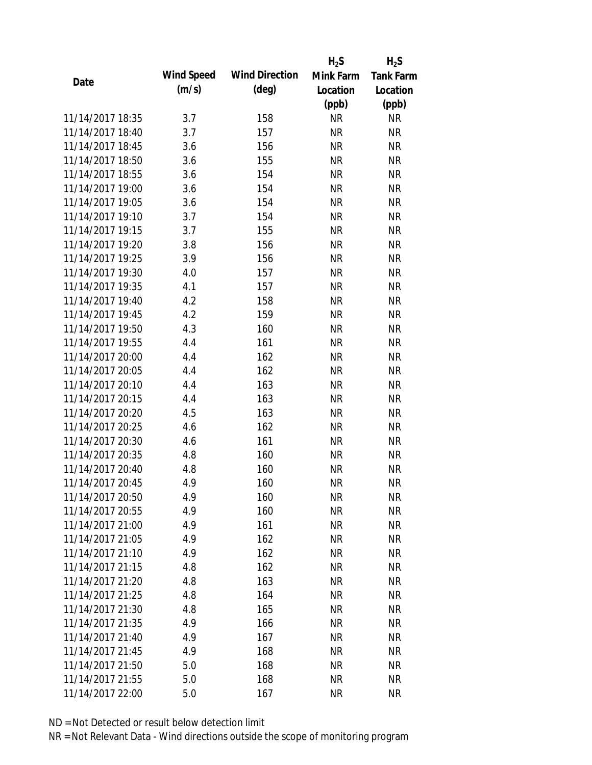|                  |            |                       | $H_2S$    | $H_2S$           |
|------------------|------------|-----------------------|-----------|------------------|
|                  | Wind Speed | <b>Wind Direction</b> | Mink Farm | <b>Tank Farm</b> |
| Date             | (m/s)      | $(\text{deg})$        | Location  | Location         |
|                  |            |                       | (ppb)     | (ppb)            |
| 11/14/2017 18:35 | 3.7        | 158                   | <b>NR</b> | <b>NR</b>        |
| 11/14/2017 18:40 | 3.7        | 157                   | <b>NR</b> | <b>NR</b>        |
| 11/14/2017 18:45 | 3.6        | 156                   | <b>NR</b> | <b>NR</b>        |
| 11/14/2017 18:50 | 3.6        | 155                   | <b>NR</b> | <b>NR</b>        |
| 11/14/2017 18:55 | 3.6        | 154                   | <b>NR</b> | <b>NR</b>        |
| 11/14/2017 19:00 | 3.6        | 154                   | <b>NR</b> | <b>NR</b>        |
| 11/14/2017 19:05 | 3.6        | 154                   | <b>NR</b> | <b>NR</b>        |
| 11/14/2017 19:10 | 3.7        | 154                   | <b>NR</b> | <b>NR</b>        |
| 11/14/2017 19:15 | 3.7        | 155                   | <b>NR</b> | <b>NR</b>        |
| 11/14/2017 19:20 | 3.8        | 156                   | <b>NR</b> | <b>NR</b>        |
| 11/14/2017 19:25 | 3.9        | 156                   | <b>NR</b> | <b>NR</b>        |
| 11/14/2017 19:30 | 4.0        | 157                   | <b>NR</b> | <b>NR</b>        |
| 11/14/2017 19:35 | 4.1        | 157                   | <b>NR</b> | <b>NR</b>        |
| 11/14/2017 19:40 | 4.2        | 158                   | <b>NR</b> | <b>NR</b>        |
| 11/14/2017 19:45 | 4.2        | 159                   | <b>NR</b> | <b>NR</b>        |
| 11/14/2017 19:50 | 4.3        | 160                   | <b>NR</b> | <b>NR</b>        |
| 11/14/2017 19:55 | 4.4        | 161                   | <b>NR</b> | <b>NR</b>        |
| 11/14/2017 20:00 | 4.4        | 162                   | <b>NR</b> | <b>NR</b>        |
| 11/14/2017 20:05 | 4.4        | 162                   | <b>NR</b> | <b>NR</b>        |
| 11/14/2017 20:10 | 4.4        | 163                   | <b>NR</b> | <b>NR</b>        |
| 11/14/2017 20:15 | 4.4        | 163                   | <b>NR</b> | <b>NR</b>        |
| 11/14/2017 20:20 | 4.5        | 163                   | <b>NR</b> | <b>NR</b>        |
| 11/14/2017 20:25 | 4.6        | 162                   | <b>NR</b> | <b>NR</b>        |
| 11/14/2017 20:30 | 4.6        | 161                   | <b>NR</b> | <b>NR</b>        |
| 11/14/2017 20:35 | 4.8        | 160                   | <b>NR</b> | <b>NR</b>        |
| 11/14/2017 20:40 | 4.8        | 160                   | <b>NR</b> | <b>NR</b>        |
| 11/14/2017 20:45 | 4.9        | 160                   | <b>NR</b> | <b>NR</b>        |
| 11/14/2017 20:50 | 4.9        | 160                   | <b>NR</b> | <b>NR</b>        |
| 11/14/2017 20:55 | 4.9        | 160                   | <b>NR</b> | <b>NR</b>        |
| 11/14/2017 21:00 | 4.9        | 161                   | NR        | <b>NR</b>        |
| 11/14/2017 21:05 | 4.9        | 162                   | <b>NR</b> | <b>NR</b>        |
| 11/14/2017 21:10 | 4.9        | 162                   | <b>NR</b> | <b>NR</b>        |
| 11/14/2017 21:15 | 4.8        | 162                   | <b>NR</b> | <b>NR</b>        |
| 11/14/2017 21:20 | 4.8        | 163                   | <b>NR</b> | <b>NR</b>        |
| 11/14/2017 21:25 | 4.8        | 164                   | <b>NR</b> | <b>NR</b>        |
| 11/14/2017 21:30 | 4.8        | 165                   | <b>NR</b> | <b>NR</b>        |
| 11/14/2017 21:35 | 4.9        | 166                   | <b>NR</b> | <b>NR</b>        |
| 11/14/2017 21:40 | 4.9        | 167                   | NR        | <b>NR</b>        |
| 11/14/2017 21:45 | 4.9        | 168                   | <b>NR</b> | <b>NR</b>        |
| 11/14/2017 21:50 | 5.0        | 168                   | <b>NR</b> | NR               |
| 11/14/2017 21:55 | 5.0        | 168                   | <b>NR</b> | <b>NR</b>        |
| 11/14/2017 22:00 |            |                       | <b>NR</b> | <b>NR</b>        |
|                  | 5.0        | 167                   |           |                  |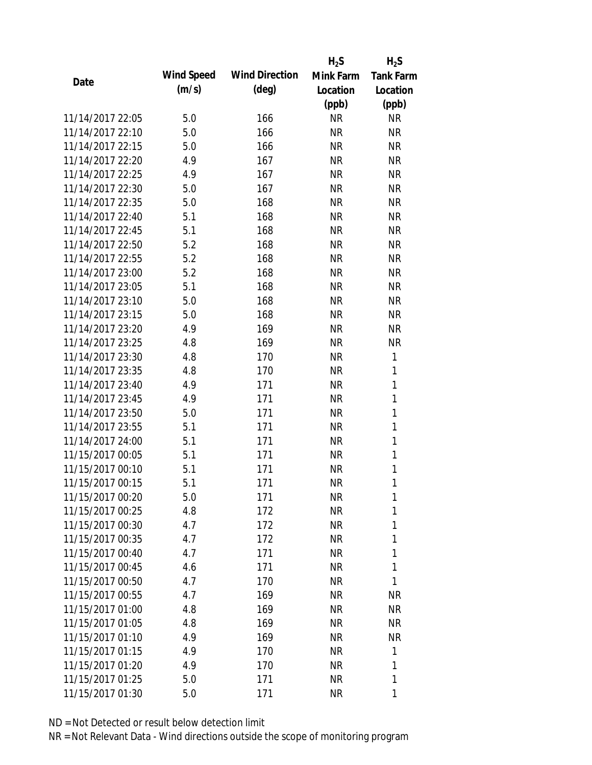|                  |            |                       | $H_2S$    | $H_2S$           |
|------------------|------------|-----------------------|-----------|------------------|
| Date             | Wind Speed | <b>Wind Direction</b> | Mink Farm | <b>Tank Farm</b> |
|                  | (m/s)      | $(\text{deg})$        | Location  | Location         |
|                  |            |                       | (ppb)     | (ppb)            |
| 11/14/2017 22:05 | 5.0        | 166                   | <b>NR</b> | <b>NR</b>        |
| 11/14/2017 22:10 | 5.0        | 166                   | <b>NR</b> | <b>NR</b>        |
| 11/14/2017 22:15 | 5.0        | 166                   | <b>NR</b> | <b>NR</b>        |
| 11/14/2017 22:20 | 4.9        | 167                   | <b>NR</b> | <b>NR</b>        |
| 11/14/2017 22:25 | 4.9        | 167                   | <b>NR</b> | <b>NR</b>        |
| 11/14/2017 22:30 | 5.0        | 167                   | <b>NR</b> | <b>NR</b>        |
| 11/14/2017 22:35 | 5.0        | 168                   | <b>NR</b> | <b>NR</b>        |
| 11/14/2017 22:40 | 5.1        | 168                   | <b>NR</b> | <b>NR</b>        |
| 11/14/2017 22:45 | 5.1        | 168                   | <b>NR</b> | <b>NR</b>        |
| 11/14/2017 22:50 | 5.2        | 168                   | <b>NR</b> | <b>NR</b>        |
| 11/14/2017 22:55 | 5.2        | 168                   | <b>NR</b> | <b>NR</b>        |
| 11/14/2017 23:00 | 5.2        | 168                   | <b>NR</b> | <b>NR</b>        |
| 11/14/2017 23:05 | 5.1        | 168                   | <b>NR</b> | <b>NR</b>        |
| 11/14/2017 23:10 | 5.0        | 168                   | <b>NR</b> | <b>NR</b>        |
| 11/14/2017 23:15 | 5.0        | 168                   | <b>NR</b> | <b>NR</b>        |
| 11/14/2017 23:20 | 4.9        | 169                   | <b>NR</b> | <b>NR</b>        |
| 11/14/2017 23:25 | 4.8        | 169                   | <b>NR</b> | <b>NR</b>        |
| 11/14/2017 23:30 | 4.8        | 170                   | <b>NR</b> | 1                |
| 11/14/2017 23:35 | 4.8        | 170                   | <b>NR</b> | $\mathbf{1}$     |
| 11/14/2017 23:40 | 4.9        | 171                   | <b>NR</b> | 1                |
| 11/14/2017 23:45 | 4.9        | 171                   | <b>NR</b> | 1                |
| 11/14/2017 23:50 | 5.0        | 171                   | <b>NR</b> | $\mathbf{1}$     |
| 11/14/2017 23:55 | 5.1        | 171                   | <b>NR</b> | 1                |
| 11/14/2017 24:00 | 5.1        | 171                   | <b>NR</b> | $\mathbf{1}$     |
| 11/15/2017 00:05 | 5.1        | 171                   | <b>NR</b> | 1                |
| 11/15/2017 00:10 | 5.1        | 171                   | <b>NR</b> | 1                |
| 11/15/2017 00:15 | 5.1        | 171                   | <b>NR</b> | 1                |
| 11/15/2017 00:20 | 5.0        | 171                   | NR        | 1                |
| 11/15/2017 00:25 | 4.8        | 172                   | <b>NR</b> | 1                |
| 11/15/2017 00:30 | 4.7        | 172                   | <b>NR</b> | 1                |
| 11/15/2017 00:35 | 4.7        | 172                   | NR        | 1                |
| 11/15/2017 00:40 | 4.7        | 171                   | <b>NR</b> | 1                |
| 11/15/2017 00:45 | 4.6        | 171                   | <b>NR</b> | 1                |
| 11/15/2017 00:50 | 4.7        | 170                   | <b>NR</b> | 1                |
| 11/15/2017 00:55 | 4.7        | 169                   | NR        | <b>NR</b>        |
| 11/15/2017 01:00 | 4.8        | 169                   | <b>NR</b> | <b>NR</b>        |
| 11/15/2017 01:05 | 4.8        | 169                   | NR        | NR               |
| 11/15/2017 01:10 | 4.9        | 169                   | NR        | <b>NR</b>        |
| 11/15/2017 01:15 | 4.9        | 170                   | NR        | 1                |
| 11/15/2017 01:20 | 4.9        | 170                   | NR        | 1                |
| 11/15/2017 01:25 | 5.0        | 171                   | <b>NR</b> | 1                |
| 11/15/2017 01:30 | 5.0        | 171                   | <b>NR</b> | 1                |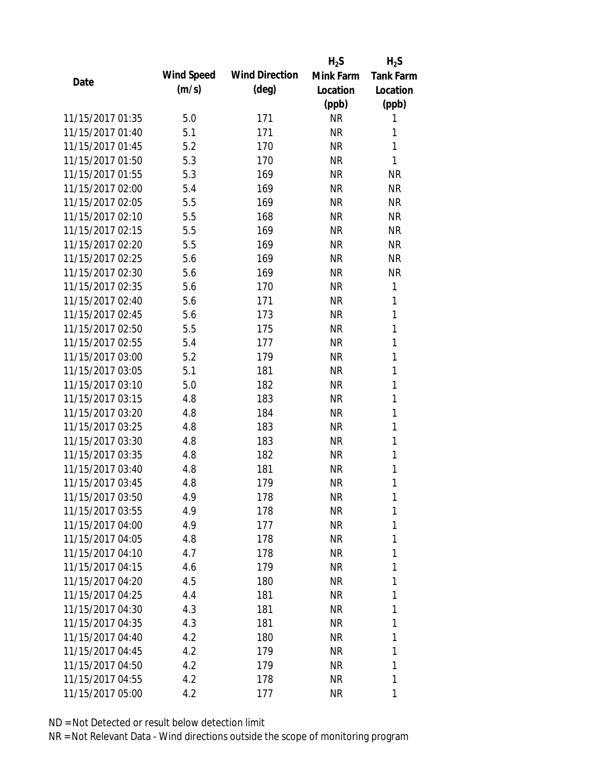|                  |            |                       | $H_2S$    | $H_2S$           |
|------------------|------------|-----------------------|-----------|------------------|
| Date             | Wind Speed | <b>Wind Direction</b> | Mink Farm | <b>Tank Farm</b> |
|                  | (m/s)      | $(\text{deg})$        | Location  | Location         |
|                  |            |                       | (ppb)     | (ppb)            |
| 11/15/2017 01:35 | 5.0        | 171                   | <b>NR</b> | 1                |
| 11/15/2017 01:40 | 5.1        | 171                   | <b>NR</b> | 1                |
| 11/15/2017 01:45 | 5.2        | 170                   | <b>NR</b> | 1                |
| 11/15/2017 01:50 | 5.3        | 170                   | <b>NR</b> | 1                |
| 11/15/2017 01:55 | 5.3        | 169                   | <b>NR</b> | <b>NR</b>        |
| 11/15/2017 02:00 | 5.4        | 169                   | <b>NR</b> | <b>NR</b>        |
| 11/15/2017 02:05 | 5.5        | 169                   | <b>NR</b> | <b>NR</b>        |
| 11/15/2017 02:10 | 5.5        | 168                   | <b>NR</b> | <b>NR</b>        |
| 11/15/2017 02:15 | 5.5        | 169                   | <b>NR</b> | <b>NR</b>        |
| 11/15/2017 02:20 | 5.5        | 169                   | <b>NR</b> | <b>NR</b>        |
| 11/15/2017 02:25 | 5.6        | 169                   | <b>NR</b> | <b>NR</b>        |
| 11/15/2017 02:30 | 5.6        | 169                   | <b>NR</b> | <b>NR</b>        |
| 11/15/2017 02:35 | 5.6        | 170                   | <b>NR</b> | 1                |
| 11/15/2017 02:40 | 5.6        | 171                   | <b>NR</b> | 1                |
| 11/15/2017 02:45 | 5.6        | 173                   | <b>NR</b> | $\mathbf{1}$     |
| 11/15/2017 02:50 | 5.5        | 175                   | <b>NR</b> | 1                |
| 11/15/2017 02:55 | 5.4        | 177                   | <b>NR</b> | 1                |
| 11/15/2017 03:00 | 5.2        | 179                   | <b>NR</b> | 1                |
| 11/15/2017 03:05 | 5.1        | 181                   | <b>NR</b> | 1                |
| 11/15/2017 03:10 | 5.0        | 182                   | <b>NR</b> | 1                |
| 11/15/2017 03:15 | 4.8        | 183                   | <b>NR</b> | 1                |
| 11/15/2017 03:20 | 4.8        | 184                   | <b>NR</b> | 1                |
| 11/15/2017 03:25 | 4.8        | 183                   | <b>NR</b> | 1                |
| 11/15/2017 03:30 | 4.8        | 183                   | <b>NR</b> | 1                |
| 11/15/2017 03:35 | 4.8        | 182                   | <b>NR</b> | 1                |
| 11/15/2017 03:40 | 4.8        | 181                   | <b>NR</b> | 1                |
| 11/15/2017 03:45 | 4.8        | 179                   | <b>NR</b> | 1                |
| 11/15/2017 03:50 | 4.9        | 178                   | <b>NR</b> | 1                |
| 11/15/2017 03:55 | 4.9        | 178                   | <b>NR</b> | 1                |
| 11/15/2017 04:00 | 4.9        | 177                   | <b>NR</b> | 1                |
| 11/15/2017 04:05 | 4.8        | 178                   | <b>NR</b> | 1                |
| 11/15/2017 04:10 | 4.7        | 178                   | <b>NR</b> | 1                |
| 11/15/2017 04:15 | 4.6        | 179                   | NR        | 1                |
| 11/15/2017 04:20 | 4.5        | 180                   | <b>NR</b> | 1                |
| 11/15/2017 04:25 | 4.4        | 181                   | <b>NR</b> | 1                |
| 11/15/2017 04:30 | 4.3        | 181                   | <b>NR</b> | 1                |
| 11/15/2017 04:35 | 4.3        | 181                   | <b>NR</b> | 1                |
| 11/15/2017 04:40 | 4.2        | 180                   | NR        | 1                |
| 11/15/2017 04:45 | 4.2        | 179                   | <b>NR</b> | 1                |
| 11/15/2017 04:50 | 4.2        | 179                   | <b>NR</b> | 1                |
| 11/15/2017 04:55 | 4.2        | 178                   | <b>NR</b> | 1                |
| 11/15/2017 05:00 | 4.2        | 177                   | <b>NR</b> | 1                |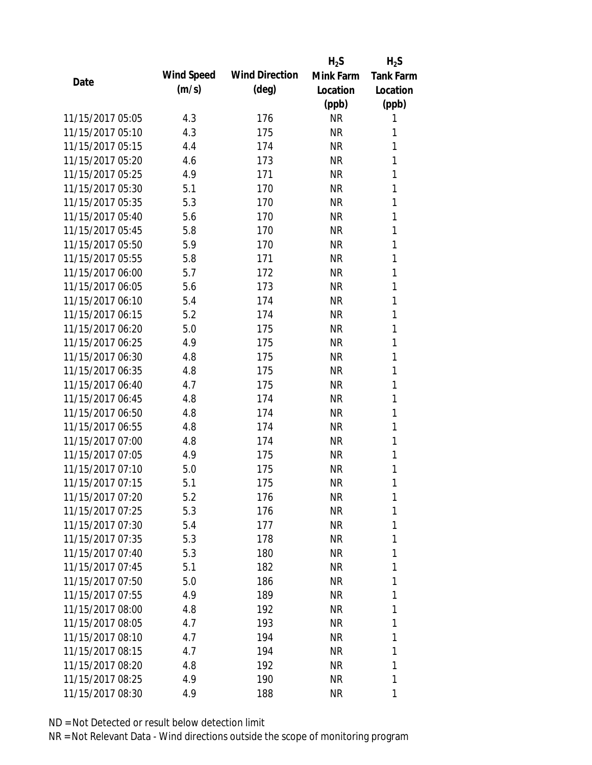|                  |            |                       | $H_2S$    | $H_2S$           |
|------------------|------------|-----------------------|-----------|------------------|
| Date             | Wind Speed | <b>Wind Direction</b> | Mink Farm | <b>Tank Farm</b> |
|                  | (m/s)      | $(\text{deg})$        | Location  | Location         |
|                  |            |                       | (ppb)     | (ppb)            |
| 11/15/2017 05:05 | 4.3        | 176                   | <b>NR</b> | 1                |
| 11/15/2017 05:10 | 4.3        | 175                   | NR        | 1                |
| 11/15/2017 05:15 | 4.4        | 174                   | <b>NR</b> | 1                |
| 11/15/2017 05:20 | 4.6        | 173                   | <b>NR</b> | 1                |
| 11/15/2017 05:25 | 4.9        | 171                   | <b>NR</b> | 1                |
| 11/15/2017 05:30 | 5.1        | 170                   | <b>NR</b> | 1                |
| 11/15/2017 05:35 | 5.3        | 170                   | <b>NR</b> | 1                |
| 11/15/2017 05:40 | 5.6        | 170                   | <b>NR</b> | 1                |
| 11/15/2017 05:45 | 5.8        | 170                   | <b>NR</b> | 1                |
| 11/15/2017 05:50 | 5.9        | 170                   | <b>NR</b> | 1                |
| 11/15/2017 05:55 | 5.8        | 171                   | <b>NR</b> | 1                |
| 11/15/2017 06:00 | 5.7        | 172                   | <b>NR</b> | 1                |
| 11/15/2017 06:05 | 5.6        | 173                   | <b>NR</b> | 1                |
| 11/15/2017 06:10 | 5.4        | 174                   | <b>NR</b> | 1                |
| 11/15/2017 06:15 | 5.2        | 174                   | <b>NR</b> | 1                |
| 11/15/2017 06:20 | 5.0        | 175                   | <b>NR</b> | 1                |
| 11/15/2017 06:25 | 4.9        | 175                   | <b>NR</b> | 1                |
| 11/15/2017 06:30 | 4.8        | 175                   | <b>NR</b> | 1                |
| 11/15/2017 06:35 | 4.8        | 175                   | <b>NR</b> | 1                |
| 11/15/2017 06:40 | 4.7        | 175                   | <b>NR</b> | 1                |
| 11/15/2017 06:45 | 4.8        | 174                   | <b>NR</b> | 1                |
| 11/15/2017 06:50 | 4.8        | 174                   | <b>NR</b> | 1                |
| 11/15/2017 06:55 | 4.8        | 174                   | <b>NR</b> | 1                |
| 11/15/2017 07:00 | 4.8        | 174                   | <b>NR</b> | 1                |
| 11/15/2017 07:05 | 4.9        | 175                   | <b>NR</b> | 1                |
| 11/15/2017 07:10 | 5.0        | 175                   | <b>NR</b> | 1                |
| 11/15/2017 07:15 | 5.1        | 175                   | <b>NR</b> | 1                |
| 11/15/2017 07:20 | 5.2        | 176                   | <b>NR</b> | 1                |
| 11/15/2017 07:25 | 5.3        | 176                   | <b>NR</b> | 1                |
| 11/15/2017 07:30 | 5.4        | 177                   | NR        | 1                |
| 11/15/2017 07:35 | 5.3        | 178                   | NR        | 1                |
| 11/15/2017 07:40 | 5.3        | 180                   | NR        | 1                |
| 11/15/2017 07:45 | 5.1        | 182                   | NR        | 1                |
| 11/15/2017 07:50 | 5.0        | 186                   | <b>NR</b> | 1                |
| 11/15/2017 07:55 | 4.9        | 189                   | NR        | 1                |
| 11/15/2017 08:00 | 4.8        | 192                   | NR        | 1                |
| 11/15/2017 08:05 | 4.7        | 193                   | <b>NR</b> | 1                |
| 11/15/2017 08:10 | 4.7        | 194                   | NR        | 1                |
| 11/15/2017 08:15 | 4.7        | 194                   | <b>NR</b> | 1                |
| 11/15/2017 08:20 | 4.8        | 192                   | NR        | 1                |
| 11/15/2017 08:25 | 4.9        | 190                   | <b>NR</b> | 1                |
|                  |            |                       |           |                  |
| 11/15/2017 08:30 | 4.9        | 188                   | <b>NR</b> | 1                |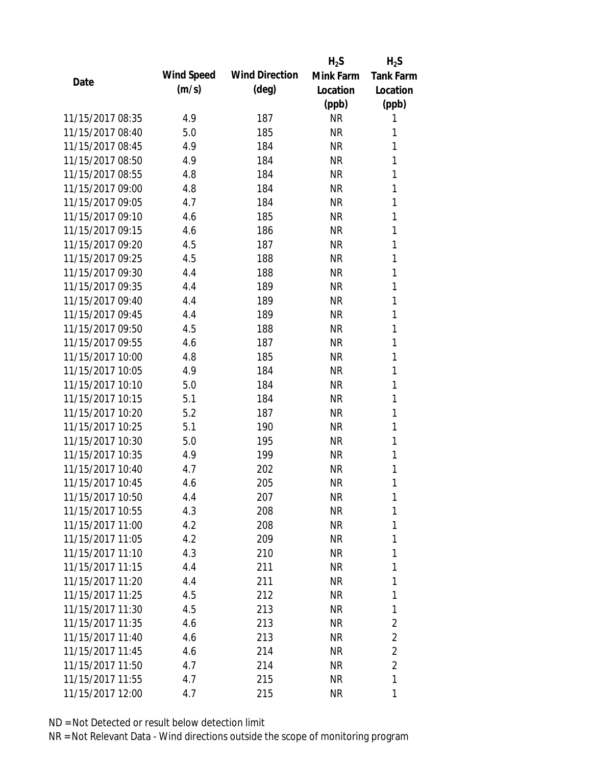|                  |            |                       | $H_2S$    | $H_2S$           |
|------------------|------------|-----------------------|-----------|------------------|
| Date             | Wind Speed | <b>Wind Direction</b> | Mink Farm | <b>Tank Farm</b> |
|                  | (m/s)      | $(\text{deg})$        | Location  | Location         |
|                  |            |                       | (ppb)     | (ppb)            |
| 11/15/2017 08:35 | 4.9        | 187                   | <b>NR</b> | 1                |
| 11/15/2017 08:40 | 5.0        | 185                   | <b>NR</b> | 1                |
| 11/15/2017 08:45 | 4.9        | 184                   | <b>NR</b> | 1                |
| 11/15/2017 08:50 | 4.9        | 184                   | <b>NR</b> | 1                |
| 11/15/2017 08:55 | 4.8        | 184                   | <b>NR</b> | 1                |
| 11/15/2017 09:00 | 4.8        | 184                   | <b>NR</b> | 1                |
| 11/15/2017 09:05 | 4.7        | 184                   | <b>NR</b> | 1                |
| 11/15/2017 09:10 | 4.6        | 185                   | <b>NR</b> | 1                |
| 11/15/2017 09:15 | 4.6        | 186                   | <b>NR</b> | 1                |
| 11/15/2017 09:20 | 4.5        | 187                   | <b>NR</b> | 1                |
| 11/15/2017 09:25 | 4.5        | 188                   | <b>NR</b> | 1                |
| 11/15/2017 09:30 | 4.4        | 188                   | <b>NR</b> | 1                |
| 11/15/2017 09:35 | 4.4        | 189                   | <b>NR</b> | 1                |
| 11/15/2017 09:40 | 4.4        | 189                   | <b>NR</b> | 1                |
| 11/15/2017 09:45 | 4.4        | 189                   | <b>NR</b> | 1                |
| 11/15/2017 09:50 | 4.5        | 188                   | <b>NR</b> | 1                |
| 11/15/2017 09:55 | 4.6        | 187                   | <b>NR</b> | 1                |
| 11/15/2017 10:00 | 4.8        | 185                   | <b>NR</b> | 1                |
| 11/15/2017 10:05 | 4.9        | 184                   | <b>NR</b> | 1                |
| 11/15/2017 10:10 | 5.0        | 184                   | <b>NR</b> | 1                |
| 11/15/2017 10:15 | 5.1        | 184                   | <b>NR</b> | 1                |
| 11/15/2017 10:20 | 5.2        | 187                   | <b>NR</b> | 1                |
| 11/15/2017 10:25 | 5.1        | 190                   | <b>NR</b> | 1                |
| 11/15/2017 10:30 | 5.0        | 195                   | <b>NR</b> | 1                |
| 11/15/2017 10:35 | 4.9        | 199                   | <b>NR</b> | 1                |
| 11/15/2017 10:40 | 4.7        | 202                   | <b>NR</b> | 1                |
| 11/15/2017 10:45 | 4.6        | 205                   | <b>NR</b> | 1                |
| 11/15/2017 10:50 | 4.4        | 207                   | <b>NR</b> | 1                |
| 11/15/2017 10:55 | 4.3        | 208                   | <b>NR</b> | 1                |
| 11/15/2017 11:00 | 4.2        | 208                   | <b>NR</b> | 1                |
| 11/15/2017 11:05 | 4.2        | 209                   | <b>NR</b> | 1                |
| 11/15/2017 11:10 | 4.3        | 210                   | <b>NR</b> | 1                |
| 11/15/2017 11:15 | 4.4        | 211                   | NR        | 1                |
| 11/15/2017 11:20 | 4.4        | 211                   | <b>NR</b> | 1                |
| 11/15/2017 11:25 | 4.5        | 212                   | <b>NR</b> | 1                |
| 11/15/2017 11:30 | 4.5        | 213                   | NR        | 1                |
| 11/15/2017 11:35 | 4.6        | 213                   | NR        | 2                |
| 11/15/2017 11:40 | 4.6        | 213                   | NR        | $\overline{2}$   |
| 11/15/2017 11:45 | 4.6        | 214                   | <b>NR</b> | $\overline{2}$   |
| 11/15/2017 11:50 | 4.7        | 214                   | <b>NR</b> | $\overline{2}$   |
| 11/15/2017 11:55 | 4.7        | 215                   | <b>NR</b> | 1                |
| 11/15/2017 12:00 | 4.7        | 215                   | <b>NR</b> | 1                |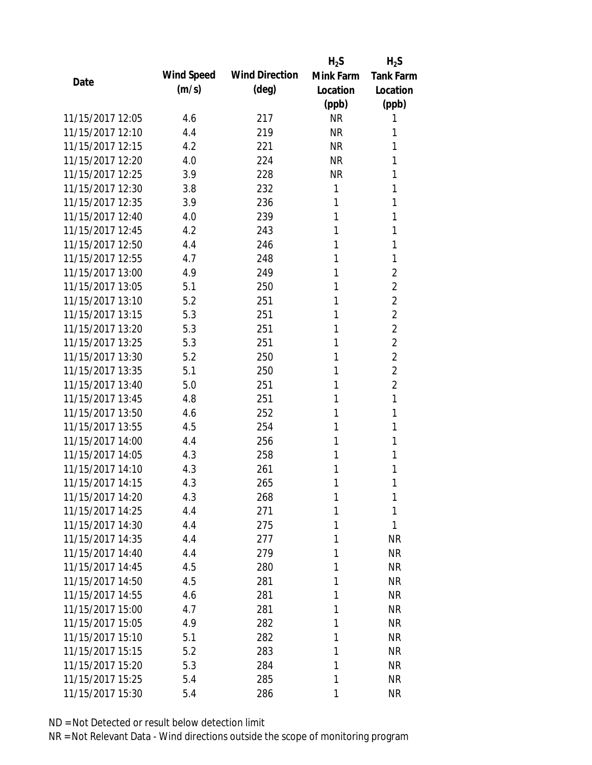|                  |            |                       | $H_2S$    | $H_2S$           |
|------------------|------------|-----------------------|-----------|------------------|
| Date             | Wind Speed | <b>Wind Direction</b> | Mink Farm | <b>Tank Farm</b> |
|                  | (m/s)      | $(\text{deg})$        | Location  | Location         |
|                  |            |                       | (ppb)     | (ppb)            |
| 11/15/2017 12:05 | 4.6        | 217                   | <b>NR</b> | 1                |
| 11/15/2017 12:10 | 4.4        | 219                   | <b>NR</b> | 1                |
| 11/15/2017 12:15 | 4.2        | 221                   | <b>NR</b> | 1                |
| 11/15/2017 12:20 | 4.0        | 224                   | <b>NR</b> | 1                |
| 11/15/2017 12:25 | 3.9        | 228                   | <b>NR</b> | 1                |
| 11/15/2017 12:30 | 3.8        | 232                   | 1         | 1                |
| 11/15/2017 12:35 | 3.9        | 236                   | 1         | 1                |
| 11/15/2017 12:40 | 4.0        | 239                   | 1         | 1                |
| 11/15/2017 12:45 | 4.2        | 243                   | 1         | 1                |
| 11/15/2017 12:50 | 4.4        | 246                   | 1         | 1                |
| 11/15/2017 12:55 | 4.7        | 248                   | 1         | 1                |
| 11/15/2017 13:00 | 4.9        | 249                   | 1         | $\overline{2}$   |
| 11/15/2017 13:05 | 5.1        | 250                   | 1         | $\overline{2}$   |
| 11/15/2017 13:10 | 5.2        | 251                   | 1         | $\overline{2}$   |
| 11/15/2017 13:15 | 5.3        | 251                   | 1         | $\overline{2}$   |
| 11/15/2017 13:20 | 5.3        | 251                   | 1         | $\overline{2}$   |
| 11/15/2017 13:25 | 5.3        | 251                   | 1         | $\overline{2}$   |
| 11/15/2017 13:30 | 5.2        | 250                   | 1         | $\overline{2}$   |
| 11/15/2017 13:35 | 5.1        | 250                   | 1         | $\overline{2}$   |
| 11/15/2017 13:40 | 5.0        | 251                   | 1         | $\overline{2}$   |
| 11/15/2017 13:45 | 4.8        | 251                   | 1         | 1                |
| 11/15/2017 13:50 | 4.6        | 252                   | 1         | 1                |
| 11/15/2017 13:55 | 4.5        | 254                   | 1         | 1                |
| 11/15/2017 14:00 | 4.4        | 256                   | 1         | 1                |
| 11/15/2017 14:05 | 4.3        | 258                   | 1         | 1                |
| 11/15/2017 14:10 | 4.3        | 261                   | 1         | 1                |
| 11/15/2017 14:15 | 4.3        | 265                   | 1         | 1                |
| 11/15/2017 14:20 | 4.3        | 268                   | 1         | 1                |
| 11/15/2017 14:25 | 4.4        | 271                   | 1         | 1                |
| 11/15/2017 14:30 | 4.4        | 275                   | 1         | 1                |
| 11/15/2017 14:35 | 4.4        | 277                   | 1         | <b>NR</b>        |
| 11/15/2017 14:40 | 4.4        | 279                   | 1         | <b>NR</b>        |
| 11/15/2017 14:45 | 4.5        | 280                   | 1         | <b>NR</b>        |
| 11/15/2017 14:50 | 4.5        | 281                   | 1         | <b>NR</b>        |
| 11/15/2017 14:55 | 4.6        | 281                   | 1         | <b>NR</b>        |
| 11/15/2017 15:00 | 4.7        | 281                   | 1         | <b>NR</b>        |
| 11/15/2017 15:05 | 4.9        | 282                   | 1         | <b>NR</b>        |
| 11/15/2017 15:10 | 5.1        | 282                   | 1         | <b>NR</b>        |
| 11/15/2017 15:15 | 5.2        | 283                   | 1         | <b>NR</b>        |
| 11/15/2017 15:20 | 5.3        | 284                   | 1         | <b>NR</b>        |
| 11/15/2017 15:25 | 5.4        | 285                   | 1         | <b>NR</b>        |
| 11/15/2017 15:30 | 5.4        | 286                   | 1         | <b>NR</b>        |
|                  |            |                       |           |                  |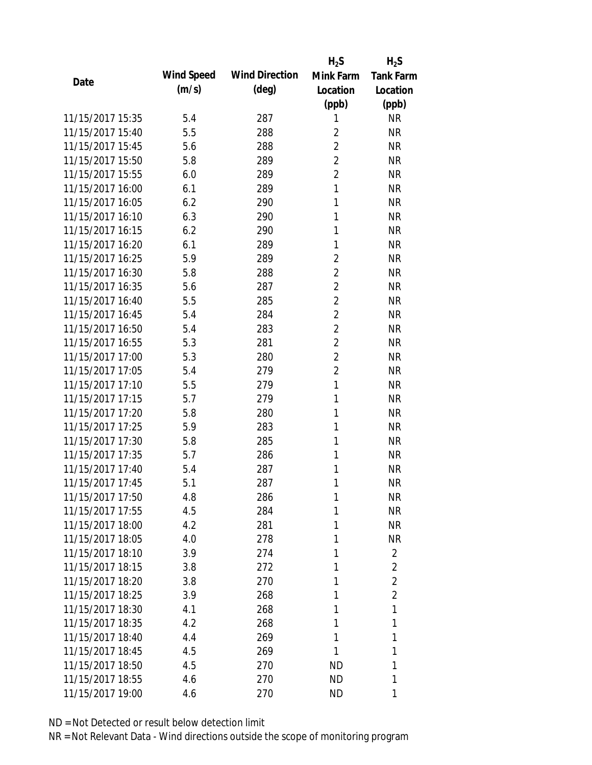|                  |                   |                       | $H_2S$         | $H_2S$           |
|------------------|-------------------|-----------------------|----------------|------------------|
| Date             | <b>Wind Speed</b> | <b>Wind Direction</b> | Mink Farm      | <b>Tank Farm</b> |
|                  | (m/s)             | $(\text{deg})$        | Location       | Location         |
|                  |                   |                       | (ppb)          | (ppb)            |
| 11/15/2017 15:35 | 5.4               | 287                   | 1              | <b>NR</b>        |
| 11/15/2017 15:40 | 5.5               | 288                   | 2              | <b>NR</b>        |
| 11/15/2017 15:45 | 5.6               | 288                   | $\overline{2}$ | <b>NR</b>        |
| 11/15/2017 15:50 | 5.8               | 289                   | $\overline{2}$ | <b>NR</b>        |
| 11/15/2017 15:55 | 6.0               | 289                   | $\overline{2}$ | <b>NR</b>        |
| 11/15/2017 16:00 | 6.1               | 289                   | 1              | <b>NR</b>        |
| 11/15/2017 16:05 | 6.2               | 290                   | 1              | <b>NR</b>        |
| 11/15/2017 16:10 | 6.3               | 290                   | 1              | <b>NR</b>        |
| 11/15/2017 16:15 | 6.2               | 290                   | 1              | <b>NR</b>        |
| 11/15/2017 16:20 | 6.1               | 289                   | 1              | <b>NR</b>        |
| 11/15/2017 16:25 | 5.9               | 289                   | $\overline{2}$ | <b>NR</b>        |
| 11/15/2017 16:30 | 5.8               | 288                   | $\overline{2}$ | <b>NR</b>        |
| 11/15/2017 16:35 | 5.6               | 287                   | $\overline{2}$ | <b>NR</b>        |
| 11/15/2017 16:40 | 5.5               | 285                   | $\overline{2}$ | <b>NR</b>        |
| 11/15/2017 16:45 | 5.4               | 284                   | $\overline{2}$ | <b>NR</b>        |
| 11/15/2017 16:50 | 5.4               | 283                   | $\overline{2}$ | <b>NR</b>        |
| 11/15/2017 16:55 | 5.3               | 281                   | $\overline{2}$ | <b>NR</b>        |
| 11/15/2017 17:00 | 5.3               | 280                   | $\overline{2}$ | <b>NR</b>        |
| 11/15/2017 17:05 | 5.4               | 279                   | $\overline{2}$ | <b>NR</b>        |
| 11/15/2017 17:10 | 5.5               | 279                   | 1              | <b>NR</b>        |
| 11/15/2017 17:15 | 5.7               | 279                   | 1              | <b>NR</b>        |
| 11/15/2017 17:20 | 5.8               | 280                   | 1              | <b>NR</b>        |
| 11/15/2017 17:25 | 5.9               | 283                   | 1              | <b>NR</b>        |
| 11/15/2017 17:30 | 5.8               | 285                   | 1              | <b>NR</b>        |
| 11/15/2017 17:35 | 5.7               | 286                   | 1              | <b>NR</b>        |
| 11/15/2017 17:40 | 5.4               | 287                   | 1              | <b>NR</b>        |
| 11/15/2017 17:45 | 5.1               | 287                   | 1              | <b>NR</b>        |
| 11/15/2017 17:50 | 4.8               | 286                   | 1              | <b>NR</b>        |
| 11/15/2017 17:55 | 4.5               | 284                   | 1              | <b>NR</b>        |
| 11/15/2017 18:00 | 4.2               | 281                   | 1              | <b>NR</b>        |
| 11/15/2017 18:05 | 4.0               | 278                   | 1              | <b>NR</b>        |
| 11/15/2017 18:10 | 3.9               | 274                   | 1              | $\overline{2}$   |
| 11/15/2017 18:15 | 3.8               | 272                   | 1              | 2                |
| 11/15/2017 18:20 | 3.8               | 270                   | 1              | $\overline{2}$   |
| 11/15/2017 18:25 | 3.9               | 268                   | 1              | $\overline{2}$   |
| 11/15/2017 18:30 | 4.1               | 268                   | 1              | 1                |
| 11/15/2017 18:35 | 4.2               | 268                   | 1              | 1                |
| 11/15/2017 18:40 | 4.4               | 269                   | 1              | 1                |
| 11/15/2017 18:45 | 4.5               | 269                   | 1              | 1                |
| 11/15/2017 18:50 | 4.5               | 270                   | ND             | 1                |
| 11/15/2017 18:55 | 4.6               | 270                   | <b>ND</b>      | 1                |
| 11/15/2017 19:00 | 4.6               | 270                   | ND             | 1                |
|                  |                   |                       |                |                  |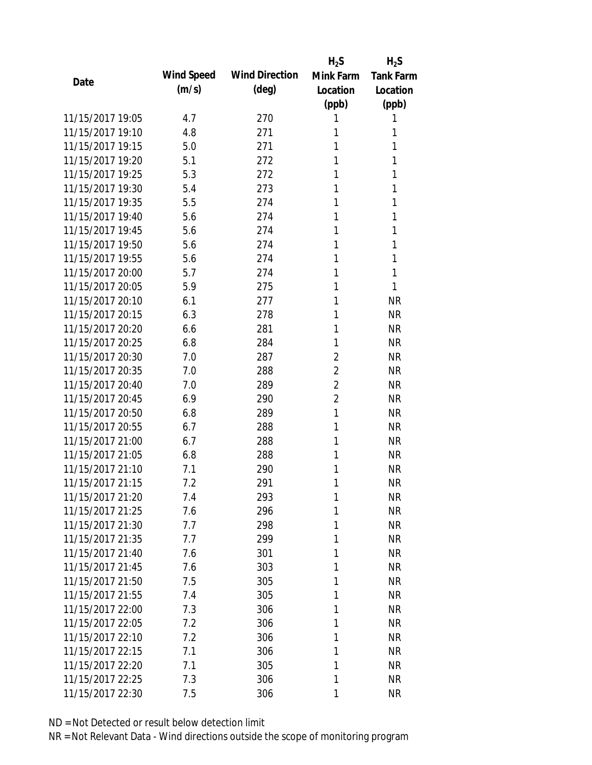|                  |            |                       | $H_2S$         | $H_2S$           |
|------------------|------------|-----------------------|----------------|------------------|
| Date             | Wind Speed | <b>Wind Direction</b> | Mink Farm      | <b>Tank Farm</b> |
|                  | (m/s)      | $(\text{deg})$        | Location       | Location         |
|                  |            |                       | (ppb)          | (ppb)            |
| 11/15/2017 19:05 | 4.7        | 270                   | 1              | 1                |
| 11/15/2017 19:10 | 4.8        | 271                   | 1              | 1                |
| 11/15/2017 19:15 | 5.0        | 271                   | 1              | 1                |
| 11/15/2017 19:20 | 5.1        | 272                   | 1              | 1                |
| 11/15/2017 19:25 | 5.3        | 272                   | 1              | 1                |
| 11/15/2017 19:30 | 5.4        | 273                   | 1              | 1                |
| 11/15/2017 19:35 | 5.5        | 274                   | 1              | 1                |
| 11/15/2017 19:40 | 5.6        | 274                   | 1              | 1                |
| 11/15/2017 19:45 | 5.6        | 274                   | 1              | 1                |
| 11/15/2017 19:50 | 5.6        | 274                   | 1              | 1                |
| 11/15/2017 19:55 | 5.6        | 274                   | 1              | 1                |
| 11/15/2017 20:00 | 5.7        | 274                   | 1              | 1                |
| 11/15/2017 20:05 | 5.9        | 275                   | 1              | 1                |
| 11/15/2017 20:10 | 6.1        | 277                   | 1              | <b>NR</b>        |
| 11/15/2017 20:15 | 6.3        | 278                   | 1              | <b>NR</b>        |
| 11/15/2017 20:20 | 6.6        | 281                   | 1              | <b>NR</b>        |
| 11/15/2017 20:25 | 6.8        | 284                   | 1              | <b>NR</b>        |
| 11/15/2017 20:30 | 7.0        | 287                   | $\overline{2}$ | <b>NR</b>        |
| 11/15/2017 20:35 | 7.0        | 288                   | $\overline{2}$ | <b>NR</b>        |
| 11/15/2017 20:40 | 7.0        | 289                   | $\overline{2}$ | <b>NR</b>        |
| 11/15/2017 20:45 | 6.9        | 290                   | $\overline{2}$ | <b>NR</b>        |
| 11/15/2017 20:50 | 6.8        | 289                   | 1              | <b>NR</b>        |
| 11/15/2017 20:55 | 6.7        | 288                   | 1              | <b>NR</b>        |
| 11/15/2017 21:00 | 6.7        | 288                   | 1              | <b>NR</b>        |
| 11/15/2017 21:05 | 6.8        | 288                   | 1              | <b>NR</b>        |
| 11/15/2017 21:10 | 7.1        | 290                   | 1              | <b>NR</b>        |
| 11/15/2017 21:15 | 7.2        | 291                   | 1              | <b>NR</b>        |
| 11/15/2017 21:20 | 7.4        | 293                   | 1              | NR               |
| 11/15/2017 21:25 | 7.6        | 296                   | 1              | <b>NR</b>        |
| 11/15/2017 21:30 | 7.7        | 298                   | 1              | <b>NR</b>        |
| 11/15/2017 21:35 | 7.7        | 299                   | 1              | <b>NR</b>        |
| 11/15/2017 21:40 | 7.6        | 301                   | 1              | <b>NR</b>        |
| 11/15/2017 21:45 | 7.6        | 303                   | 1              | <b>NR</b>        |
| 11/15/2017 21:50 | 7.5        | 305                   | 1              | <b>NR</b>        |
| 11/15/2017 21:55 | 7.4        | 305                   | 1              | <b>NR</b>        |
| 11/15/2017 22:00 | 7.3        | 306                   | 1              | <b>NR</b>        |
| 11/15/2017 22:05 | 7.2        | 306                   | 1              | <b>NR</b>        |
| 11/15/2017 22:10 | 7.2        | 306                   | 1              | <b>NR</b>        |
| 11/15/2017 22:15 | 7.1        | 306                   | 1              | <b>NR</b>        |
| 11/15/2017 22:20 | 7.1        | 305                   | 1              | <b>NR</b>        |
| 11/15/2017 22:25 | 7.3        | 306                   | 1              | <b>NR</b>        |
| 11/15/2017 22:30 | 7.5        | 306                   | 1              | <b>NR</b>        |
|                  |            |                       |                |                  |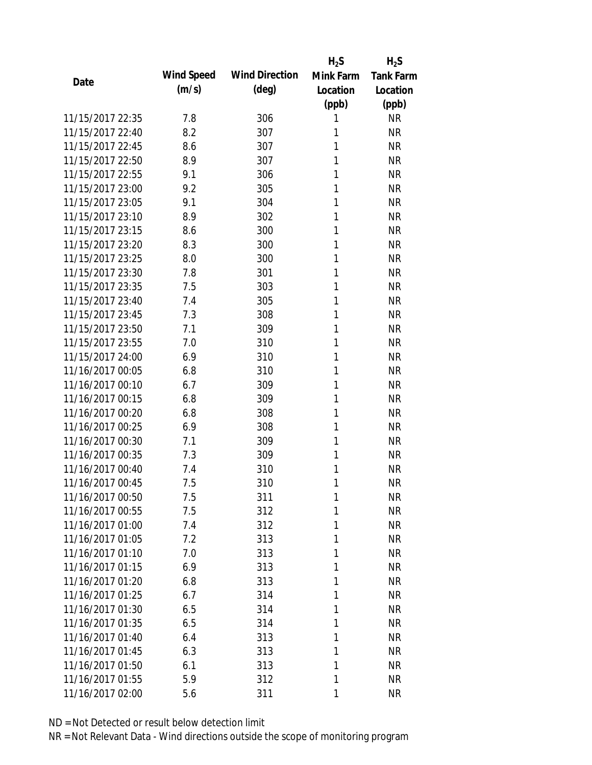|                  |            |                       | $H_2S$    | $H_2S$           |
|------------------|------------|-----------------------|-----------|------------------|
| Date             | Wind Speed | <b>Wind Direction</b> | Mink Farm | <b>Tank Farm</b> |
|                  | (m/s)      | $(\text{deg})$        | Location  | Location         |
|                  |            |                       | (ppb)     | (ppb)            |
| 11/15/2017 22:35 | 7.8        | 306                   | 1         | <b>NR</b>        |
| 11/15/2017 22:40 | 8.2        | 307                   | 1         | <b>NR</b>        |
| 11/15/2017 22:45 | 8.6        | 307                   | 1         | <b>NR</b>        |
| 11/15/2017 22:50 | 8.9        | 307                   | 1         | <b>NR</b>        |
| 11/15/2017 22:55 | 9.1        | 306                   | 1         | <b>NR</b>        |
| 11/15/2017 23:00 | 9.2        | 305                   | 1         | <b>NR</b>        |
| 11/15/2017 23:05 | 9.1        | 304                   | 1         | <b>NR</b>        |
| 11/15/2017 23:10 | 8.9        | 302                   | 1         | <b>NR</b>        |
| 11/15/2017 23:15 | 8.6        | 300                   | 1         | <b>NR</b>        |
| 11/15/2017 23:20 | 8.3        | 300                   | 1         | <b>NR</b>        |
| 11/15/2017 23:25 | 8.0        | 300                   | 1         | <b>NR</b>        |
| 11/15/2017 23:30 | 7.8        | 301                   | 1         | <b>NR</b>        |
| 11/15/2017 23:35 | 7.5        | 303                   | 1         | <b>NR</b>        |
| 11/15/2017 23:40 | 7.4        | 305                   | 1         | <b>NR</b>        |
| 11/15/2017 23:45 | 7.3        | 308                   | 1         | <b>NR</b>        |
| 11/15/2017 23:50 | 7.1        | 309                   | 1         | <b>NR</b>        |
| 11/15/2017 23:55 | 7.0        | 310                   | 1         | <b>NR</b>        |
| 11/15/2017 24:00 | 6.9        | 310                   | 1         | <b>NR</b>        |
| 11/16/2017 00:05 | 6.8        | 310                   | 1         | <b>NR</b>        |
| 11/16/2017 00:10 | 6.7        | 309                   | 1         | <b>NR</b>        |
| 11/16/2017 00:15 | 6.8        | 309                   | 1         | <b>NR</b>        |
| 11/16/2017 00:20 | 6.8        | 308                   | 1         | <b>NR</b>        |
| 11/16/2017 00:25 | 6.9        | 308                   | 1         | <b>NR</b>        |
| 11/16/2017 00:30 | 7.1        | 309                   | 1         | <b>NR</b>        |
| 11/16/2017 00:35 | 7.3        | 309                   | 1         | <b>NR</b>        |
| 11/16/2017 00:40 | 7.4        | 310                   | 1         | <b>NR</b>        |
| 11/16/2017 00:45 | 7.5        | 310                   | 1         | <b>NR</b>        |
| 11/16/2017 00:50 | 7.5        | 311                   | 1         | <b>NR</b>        |
| 11/16/2017 00:55 | 7.5        | 312                   | 1         | <b>NR</b>        |
| 11/16/2017 01:00 | 7.4        | 312                   | 1         | <b>NR</b>        |
| 11/16/2017 01:05 | 7.2        |                       | 1         | <b>NR</b>        |
| 11/16/2017 01:10 |            | 313                   |           |                  |
| 11/16/2017 01:15 | 7.0        | 313                   | 1         | <b>NR</b>        |
|                  | 6.9        | 313                   | 1         | <b>NR</b>        |
| 11/16/2017 01:20 | 6.8        | 313                   | 1         | <b>NR</b>        |
| 11/16/2017 01:25 | 6.7        | 314                   | 1         | <b>NR</b>        |
| 11/16/2017 01:30 | 6.5        | 314                   | 1         | <b>NR</b>        |
| 11/16/2017 01:35 | 6.5        | 314                   | 1         | <b>NR</b>        |
| 11/16/2017 01:40 | 6.4        | 313                   | 1         | <b>NR</b>        |
| 11/16/2017 01:45 | 6.3        | 313                   | 1         | <b>NR</b>        |
| 11/16/2017 01:50 | 6.1        | 313                   | 1         | <b>NR</b>        |
| 11/16/2017 01:55 | 5.9        | 312                   | 1         | <b>NR</b>        |
| 11/16/2017 02:00 | 5.6        | 311                   | 1         | <b>NR</b>        |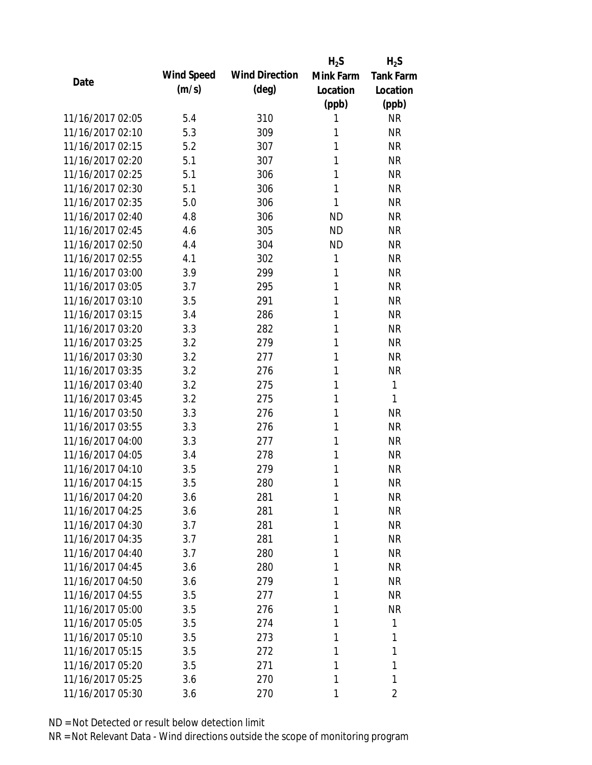|                  |            |                       | $H_2S$    | $H_2S$           |
|------------------|------------|-----------------------|-----------|------------------|
| Date             | Wind Speed | <b>Wind Direction</b> | Mink Farm | <b>Tank Farm</b> |
|                  | (m/s)      | $(\text{deg})$        | Location  | Location         |
|                  |            |                       | (ppb)     | (ppb)            |
| 11/16/2017 02:05 | 5.4        | 310                   | 1         | <b>NR</b>        |
| 11/16/2017 02:10 | 5.3        | 309                   | 1         | <b>NR</b>        |
| 11/16/2017 02:15 | 5.2        | 307                   | 1         | <b>NR</b>        |
| 11/16/2017 02:20 | 5.1        | 307                   | 1         | <b>NR</b>        |
| 11/16/2017 02:25 | 5.1        | 306                   | 1         | <b>NR</b>        |
| 11/16/2017 02:30 | 5.1        | 306                   | 1         | <b>NR</b>        |
| 11/16/2017 02:35 | 5.0        | 306                   | 1         | <b>NR</b>        |
| 11/16/2017 02:40 | 4.8        | 306                   | <b>ND</b> | <b>NR</b>        |
| 11/16/2017 02:45 | 4.6        | 305                   | <b>ND</b> | <b>NR</b>        |
| 11/16/2017 02:50 | 4.4        | 304                   | <b>ND</b> | <b>NR</b>        |
| 11/16/2017 02:55 | 4.1        | 302                   | 1         | <b>NR</b>        |
| 11/16/2017 03:00 | 3.9        | 299                   | 1         | <b>NR</b>        |
| 11/16/2017 03:05 | 3.7        | 295                   | 1         | <b>NR</b>        |
| 11/16/2017 03:10 | 3.5        | 291                   | 1         | <b>NR</b>        |
| 11/16/2017 03:15 | 3.4        | 286                   | 1         | <b>NR</b>        |
| 11/16/2017 03:20 | 3.3        | 282                   | 1         | <b>NR</b>        |
| 11/16/2017 03:25 | 3.2        | 279                   | 1         | <b>NR</b>        |
| 11/16/2017 03:30 | 3.2        | 277                   | 1         | <b>NR</b>        |
| 11/16/2017 03:35 | 3.2        | 276                   | 1         | <b>NR</b>        |
| 11/16/2017 03:40 | 3.2        | 275                   | 1         | 1                |
| 11/16/2017 03:45 | 3.2        | 275                   | 1         | 1                |
| 11/16/2017 03:50 | 3.3        | 276                   | 1         | <b>NR</b>        |
| 11/16/2017 03:55 | 3.3        | 276                   | 1         | <b>NR</b>        |
| 11/16/2017 04:00 | 3.3        | 277                   | 1         | <b>NR</b>        |
| 11/16/2017 04:05 | 3.4        | 278                   | 1         | <b>NR</b>        |
| 11/16/2017 04:10 | 3.5        | 279                   | 1         | <b>NR</b>        |
| 11/16/2017 04:15 | 3.5        | 280                   | 1         | <b>NR</b>        |
| 11/16/2017 04:20 | 3.6        | 281                   | 1         | NR               |
| 11/16/2017 04:25 | 3.6        | 281                   | 1         | <b>NR</b>        |
| 11/16/2017 04:30 | 3.7        | 281                   | 1         | <b>NR</b>        |
| 11/16/2017 04:35 | 3.7        | 281                   | 1         | <b>NR</b>        |
| 11/16/2017 04:40 | 3.7        | 280                   | 1         | <b>NR</b>        |
| 11/16/2017 04:45 | 3.6        | 280                   | 1         | <b>NR</b>        |
| 11/16/2017 04:50 | 3.6        | 279                   | 1         | <b>NR</b>        |
| 11/16/2017 04:55 | 3.5        | 277                   | 1         | <b>NR</b>        |
| 11/16/2017 05:00 | 3.5        | 276                   | 1         | <b>NR</b>        |
| 11/16/2017 05:05 | 3.5        | 274                   | 1         | 1                |
| 11/16/2017 05:10 | 3.5        | 273                   | 1         | 1                |
| 11/16/2017 05:15 | 3.5        | 272                   | 1         | 1                |
| 11/16/2017 05:20 | 3.5        | 271                   | 1         | 1                |
| 11/16/2017 05:25 | 3.6        | 270                   | 1         | 1                |
| 11/16/2017 05:30 | 3.6        | 270                   | 1         | 2                |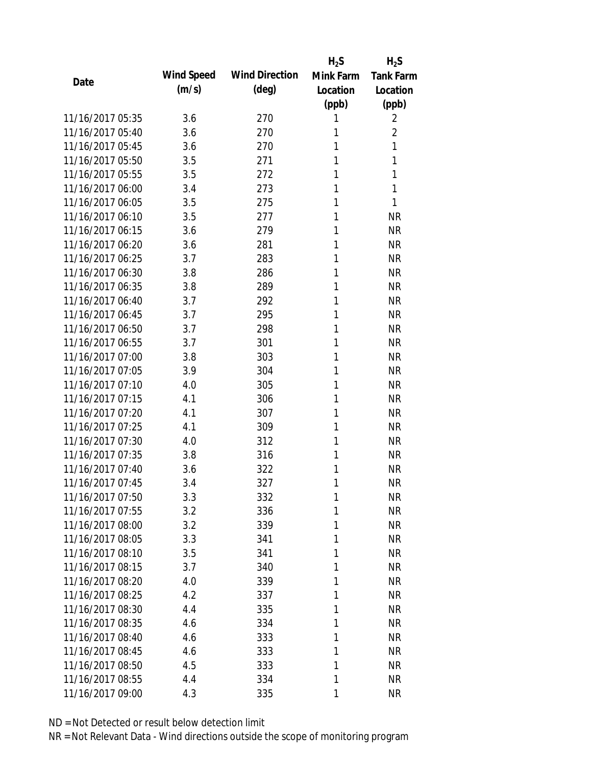|                  |            |                       | $H_2S$    | $H_2S$           |
|------------------|------------|-----------------------|-----------|------------------|
|                  | Wind Speed | <b>Wind Direction</b> | Mink Farm | <b>Tank Farm</b> |
| Date             | (m/s)      | $(\text{deg})$        | Location  | Location         |
|                  |            |                       | (ppb)     | (ppb)            |
| 11/16/2017 05:35 | 3.6        | 270                   | 1         | 2                |
| 11/16/2017 05:40 | 3.6        | 270                   | 1         | $\overline{2}$   |
| 11/16/2017 05:45 | 3.6        | 270                   | 1         | 1                |
| 11/16/2017 05:50 | 3.5        | 271                   | 1         | 1                |
| 11/16/2017 05:55 | 3.5        | 272                   | 1         | 1                |
| 11/16/2017 06:00 | 3.4        | 273                   | 1         | 1                |
| 11/16/2017 06:05 | 3.5        | 275                   | 1         | 1                |
| 11/16/2017 06:10 | 3.5        | 277                   | 1         | <b>NR</b>        |
| 11/16/2017 06:15 | 3.6        | 279                   | 1         | <b>NR</b>        |
| 11/16/2017 06:20 | 3.6        | 281                   | 1         | <b>NR</b>        |
| 11/16/2017 06:25 | 3.7        | 283                   | 1         | <b>NR</b>        |
| 11/16/2017 06:30 | 3.8        | 286                   | 1         | <b>NR</b>        |
| 11/16/2017 06:35 | 3.8        | 289                   | 1         | <b>NR</b>        |
| 11/16/2017 06:40 | 3.7        | 292                   | 1         | <b>NR</b>        |
| 11/16/2017 06:45 | 3.7        | 295                   | 1         | <b>NR</b>        |
| 11/16/2017 06:50 | 3.7        | 298                   | 1         | <b>NR</b>        |
| 11/16/2017 06:55 | 3.7        | 301                   | 1         | <b>NR</b>        |
| 11/16/2017 07:00 | 3.8        | 303                   | 1         | <b>NR</b>        |
| 11/16/2017 07:05 | 3.9        | 304                   | 1         | <b>NR</b>        |
| 11/16/2017 07:10 | 4.0        | 305                   | 1         | <b>NR</b>        |
| 11/16/2017 07:15 | 4.1        | 306                   | 1         | <b>NR</b>        |
| 11/16/2017 07:20 | 4.1        | 307                   | 1         | <b>NR</b>        |
| 11/16/2017 07:25 | 4.1        | 309                   | 1         | <b>NR</b>        |
| 11/16/2017 07:30 | 4.0        | 312                   | 1         | <b>NR</b>        |
| 11/16/2017 07:35 | 3.8        | 316                   | 1         | <b>NR</b>        |
| 11/16/2017 07:40 | 3.6        | 322                   | 1         | <b>NR</b>        |
| 11/16/2017 07:45 | 3.4        | 327                   | 1         | <b>NR</b>        |
| 11/16/2017 07:50 | 3.3        | 332                   | 1         | <b>NR</b>        |
| 11/16/2017 07:55 | 3.2        | 336                   | 1         | <b>NR</b>        |
| 11/16/2017 08:00 | 3.2        | 339                   | 1         | <b>NR</b>        |
| 11/16/2017 08:05 | 3.3        | 341                   | 1         | <b>NR</b>        |
| 11/16/2017 08:10 | 3.5        | 341                   | 1         | <b>NR</b>        |
| 11/16/2017 08:15 | 3.7        | 340                   | 1         | <b>NR</b>        |
| 11/16/2017 08:20 | 4.0        | 339                   | 1         | <b>NR</b>        |
| 11/16/2017 08:25 | 4.2        | 337                   | 1         | <b>NR</b>        |
| 11/16/2017 08:30 | 4.4        | 335                   | 1         | <b>NR</b>        |
| 11/16/2017 08:35 | 4.6        | 334                   | 1         | <b>NR</b>        |
| 11/16/2017 08:40 | 4.6        | 333                   | 1         | <b>NR</b>        |
| 11/16/2017 08:45 | 4.6        | 333                   | 1         | <b>NR</b>        |
| 11/16/2017 08:50 | 4.5        | 333                   | 1         | <b>NR</b>        |
| 11/16/2017 08:55 | 4.4        | 334                   | 1         | <b>NR</b>        |
| 11/16/2017 09:00 | 4.3        | 335                   | 1         | <b>NR</b>        |
|                  |            |                       |           |                  |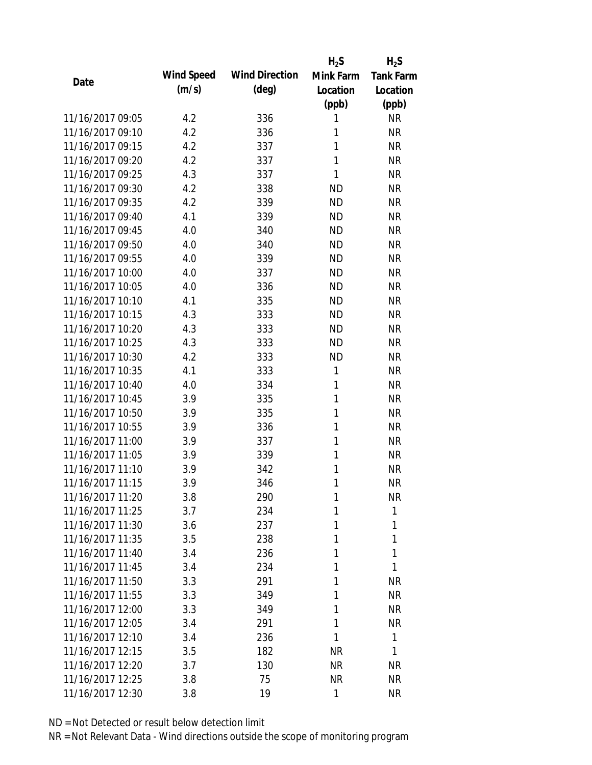|                  |            |                       | $H_2S$    | $H_2S$           |
|------------------|------------|-----------------------|-----------|------------------|
| Date             | Wind Speed | <b>Wind Direction</b> | Mink Farm | <b>Tank Farm</b> |
|                  | (m/s)      | $(\text{deg})$        | Location  | Location         |
|                  |            |                       | (ppb)     | (ppb)            |
| 11/16/2017 09:05 | 4.2        | 336                   | 1         | <b>NR</b>        |
| 11/16/2017 09:10 | 4.2        | 336                   | 1         | <b>NR</b>        |
| 11/16/2017 09:15 | 4.2        | 337                   | 1         | <b>NR</b>        |
| 11/16/2017 09:20 | 4.2        | 337                   | 1         | <b>NR</b>        |
| 11/16/2017 09:25 | 4.3        | 337                   | 1         | <b>NR</b>        |
| 11/16/2017 09:30 | 4.2        | 338                   | <b>ND</b> | <b>NR</b>        |
| 11/16/2017 09:35 | 4.2        | 339                   | <b>ND</b> | <b>NR</b>        |
| 11/16/2017 09:40 | 4.1        | 339                   | <b>ND</b> | <b>NR</b>        |
| 11/16/2017 09:45 | 4.0        | 340                   | <b>ND</b> | <b>NR</b>        |
| 11/16/2017 09:50 | 4.0        | 340                   | <b>ND</b> | <b>NR</b>        |
| 11/16/2017 09:55 | 4.0        | 339                   | <b>ND</b> | <b>NR</b>        |
| 11/16/2017 10:00 | 4.0        | 337                   | <b>ND</b> | <b>NR</b>        |
| 11/16/2017 10:05 | 4.0        | 336                   | <b>ND</b> | <b>NR</b>        |
| 11/16/2017 10:10 | 4.1        | 335                   | <b>ND</b> | <b>NR</b>        |
| 11/16/2017 10:15 | 4.3        | 333                   | <b>ND</b> | <b>NR</b>        |
| 11/16/2017 10:20 | 4.3        | 333                   | <b>ND</b> | <b>NR</b>        |
| 11/16/2017 10:25 | 4.3        | 333                   | <b>ND</b> | <b>NR</b>        |
| 11/16/2017 10:30 | 4.2        | 333                   | <b>ND</b> | <b>NR</b>        |
| 11/16/2017 10:35 | 4.1        | 333                   | 1         | <b>NR</b>        |
| 11/16/2017 10:40 | 4.0        | 334                   | 1         | <b>NR</b>        |
| 11/16/2017 10:45 | 3.9        | 335                   | 1         | <b>NR</b>        |
| 11/16/2017 10:50 | 3.9        | 335                   | 1         | <b>NR</b>        |
| 11/16/2017 10:55 | 3.9        | 336                   | 1         | <b>NR</b>        |
| 11/16/2017 11:00 | 3.9        | 337                   | 1         | <b>NR</b>        |
| 11/16/2017 11:05 | 3.9        | 339                   | 1         | <b>NR</b>        |
| 11/16/2017 11:10 | 3.9        | 342                   | 1         | <b>NR</b>        |
| 11/16/2017 11:15 | 3.9        | 346                   | 1         | <b>NR</b>        |
| 11/16/2017 11:20 | 3.8        | 290                   | 1         | NR               |
| 11/16/2017 11:25 | 3.7        | 234                   | 1         | 1                |
| 11/16/2017 11:30 | 3.6        | 237                   | 1         | 1                |
| 11/16/2017 11:35 | 3.5        | 238                   | 1         | 1                |
| 11/16/2017 11:40 | 3.4        | 236                   | 1         | 1                |
| 11/16/2017 11:45 | 3.4        | 234                   | 1         | 1                |
| 11/16/2017 11:50 | 3.3        | 291                   | 1         | <b>NR</b>        |
| 11/16/2017 11:55 | 3.3        | 349                   | 1         | <b>NR</b>        |
| 11/16/2017 12:00 | 3.3        | 349                   | 1         | <b>NR</b>        |
| 11/16/2017 12:05 | 3.4        | 291                   | 1         | <b>NR</b>        |
| 11/16/2017 12:10 | 3.4        | 236                   | 1         | 1                |
| 11/16/2017 12:15 | 3.5        | 182                   | <b>NR</b> | 1                |
| 11/16/2017 12:20 | 3.7        | 130                   | NR        | NR               |
| 11/16/2017 12:25 | 3.8        | 75                    | <b>NR</b> | <b>NR</b>        |
| 11/16/2017 12:30 | 3.8        | 19                    | 1         | <b>NR</b>        |
|                  |            |                       |           |                  |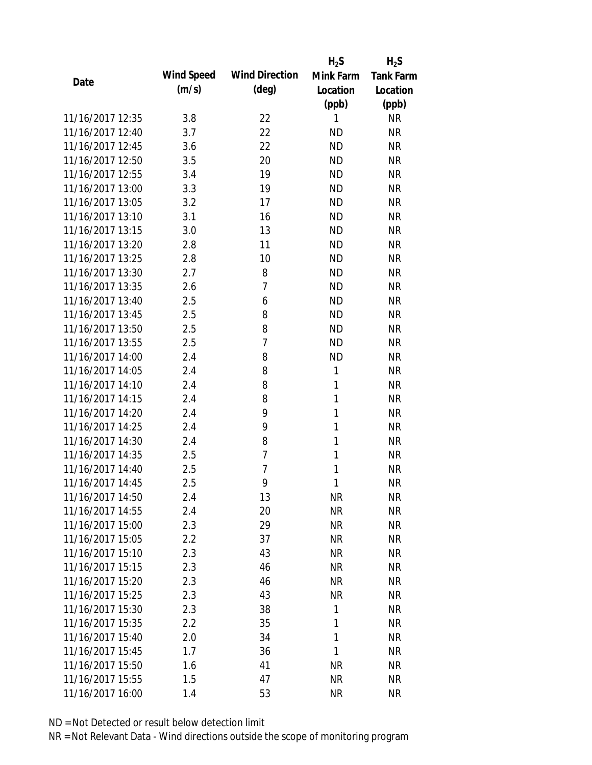|                  |            |                       | $H_2S$    | $H_2S$           |
|------------------|------------|-----------------------|-----------|------------------|
| Date             | Wind Speed | <b>Wind Direction</b> | Mink Farm | <b>Tank Farm</b> |
|                  | (m/s)      | $(\text{deg})$        | Location  | Location         |
|                  |            |                       | (ppb)     | (ppb)            |
| 11/16/2017 12:35 | 3.8        | 22                    | 1         | <b>NR</b>        |
| 11/16/2017 12:40 | 3.7        | 22                    | <b>ND</b> | <b>NR</b>        |
| 11/16/2017 12:45 | 3.6        | 22                    | <b>ND</b> | <b>NR</b>        |
| 11/16/2017 12:50 | 3.5        | 20                    | <b>ND</b> | <b>NR</b>        |
| 11/16/2017 12:55 | 3.4        | 19                    | <b>ND</b> | <b>NR</b>        |
| 11/16/2017 13:00 | 3.3        | 19                    | <b>ND</b> | <b>NR</b>        |
| 11/16/2017 13:05 | 3.2        | 17                    | <b>ND</b> | <b>NR</b>        |
| 11/16/2017 13:10 | 3.1        | 16                    | <b>ND</b> | <b>NR</b>        |
| 11/16/2017 13:15 | 3.0        | 13                    | <b>ND</b> | <b>NR</b>        |
| 11/16/2017 13:20 | 2.8        | 11                    | <b>ND</b> | <b>NR</b>        |
| 11/16/2017 13:25 | 2.8        | 10                    | <b>ND</b> | <b>NR</b>        |
| 11/16/2017 13:30 | 2.7        | 8                     | <b>ND</b> | <b>NR</b>        |
| 11/16/2017 13:35 | 2.6        | $\overline{7}$        | <b>ND</b> | <b>NR</b>        |
| 11/16/2017 13:40 | 2.5        | 6                     | <b>ND</b> | <b>NR</b>        |
| 11/16/2017 13:45 | 2.5        | 8                     | <b>ND</b> | <b>NR</b>        |
| 11/16/2017 13:50 | 2.5        | 8                     | <b>ND</b> | <b>NR</b>        |
| 11/16/2017 13:55 | 2.5        | $\overline{7}$        | <b>ND</b> | <b>NR</b>        |
| 11/16/2017 14:00 | 2.4        | 8                     | <b>ND</b> | <b>NR</b>        |
| 11/16/2017 14:05 | 2.4        | 8                     | 1         | <b>NR</b>        |
| 11/16/2017 14:10 | 2.4        | 8                     | 1         | <b>NR</b>        |
| 11/16/2017 14:15 | 2.4        | 8                     | 1         | <b>NR</b>        |
| 11/16/2017 14:20 | 2.4        | 9                     | 1         | <b>NR</b>        |
| 11/16/2017 14:25 | 2.4        | 9                     | 1         | <b>NR</b>        |
| 11/16/2017 14:30 | 2.4        | 8                     | 1         | <b>NR</b>        |
| 11/16/2017 14:35 | 2.5        | $\overline{7}$        | 1         | <b>NR</b>        |
| 11/16/2017 14:40 | 2.5        | 7                     | 1         | <b>NR</b>        |
| 11/16/2017 14:45 | 2.5        | 9                     | 1         | <b>NR</b>        |
| 11/16/2017 14:50 | 2.4        | 13                    | <b>NR</b> | NR               |
| 11/16/2017 14:55 | 2.4        | 20                    | <b>NR</b> | <b>NR</b>        |
| 11/16/2017 15:00 | 2.3        | 29                    | <b>NR</b> | <b>NR</b>        |
| 11/16/2017 15:05 | 2.2        | 37                    | <b>NR</b> | <b>NR</b>        |
| 11/16/2017 15:10 | 2.3        | 43                    | <b>NR</b> | <b>NR</b>        |
| 11/16/2017 15:15 | 2.3        | 46                    | NR        | <b>NR</b>        |
| 11/16/2017 15:20 | 2.3        | 46                    | <b>NR</b> | <b>NR</b>        |
| 11/16/2017 15:25 | 2.3        | 43                    | <b>NR</b> | <b>NR</b>        |
| 11/16/2017 15:30 | 2.3        | 38                    | 1         | <b>NR</b>        |
| 11/16/2017 15:35 | $2.2\,$    | 35                    | 1         | <b>NR</b>        |
| 11/16/2017 15:40 | 2.0        | 34                    | 1         | <b>NR</b>        |
| 11/16/2017 15:45 | 1.7        | 36                    | 1         | <b>NR</b>        |
| 11/16/2017 15:50 | 1.6        | 41                    | <b>NR</b> | <b>NR</b>        |
| 11/16/2017 15:55 | 1.5        | 47                    | <b>NR</b> | <b>NR</b>        |
| 11/16/2017 16:00 | 1.4        | 53                    | <b>NR</b> | <b>NR</b>        |
|                  |            |                       |           |                  |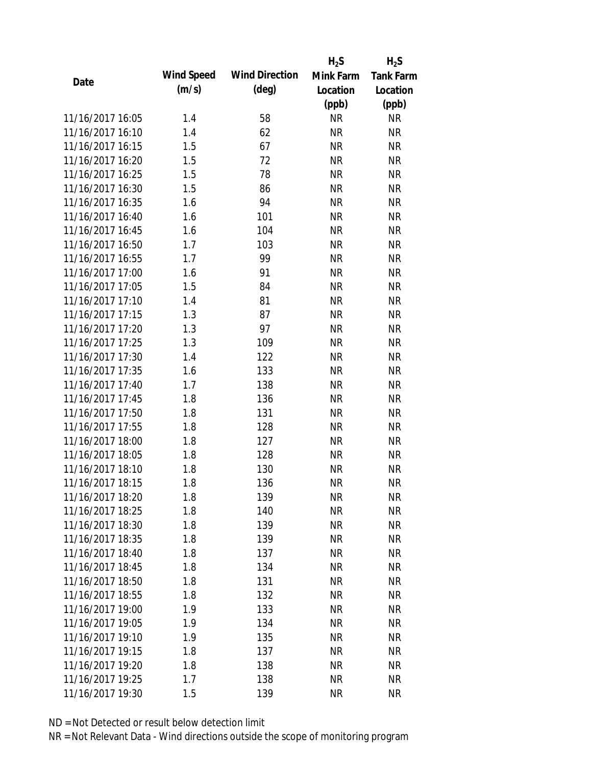|                  |            |                       | $H_2S$    | $H_2S$           |
|------------------|------------|-----------------------|-----------|------------------|
| Date             | Wind Speed | <b>Wind Direction</b> | Mink Farm | <b>Tank Farm</b> |
|                  | (m/s)      | $(\text{deg})$        | Location  | Location         |
|                  |            |                       | (ppb)     | (ppb)            |
| 11/16/2017 16:05 | 1.4        | 58                    | <b>NR</b> | <b>NR</b>        |
| 11/16/2017 16:10 | 1.4        | 62                    | <b>NR</b> | <b>NR</b>        |
| 11/16/2017 16:15 | 1.5        | 67                    | <b>NR</b> | <b>NR</b>        |
| 11/16/2017 16:20 | 1.5        | 72                    | <b>NR</b> | <b>NR</b>        |
| 11/16/2017 16:25 | 1.5        | 78                    | <b>NR</b> | <b>NR</b>        |
| 11/16/2017 16:30 | 1.5        | 86                    | <b>NR</b> | <b>NR</b>        |
| 11/16/2017 16:35 | 1.6        | 94                    | <b>NR</b> | <b>NR</b>        |
| 11/16/2017 16:40 | 1.6        | 101                   | <b>NR</b> | <b>NR</b>        |
| 11/16/2017 16:45 | 1.6        | 104                   | <b>NR</b> | <b>NR</b>        |
| 11/16/2017 16:50 | 1.7        | 103                   | <b>NR</b> | <b>NR</b>        |
| 11/16/2017 16:55 | 1.7        | 99                    | <b>NR</b> | <b>NR</b>        |
| 11/16/2017 17:00 | 1.6        | 91                    | <b>NR</b> | <b>NR</b>        |
| 11/16/2017 17:05 | 1.5        | 84                    | <b>NR</b> | <b>NR</b>        |
| 11/16/2017 17:10 | 1.4        | 81                    | <b>NR</b> | <b>NR</b>        |
| 11/16/2017 17:15 | 1.3        | 87                    | <b>NR</b> | <b>NR</b>        |
| 11/16/2017 17:20 | 1.3        | 97                    | <b>NR</b> | <b>NR</b>        |
| 11/16/2017 17:25 | 1.3        | 109                   | <b>NR</b> | <b>NR</b>        |
| 11/16/2017 17:30 | 1.4        | 122                   | <b>NR</b> | <b>NR</b>        |
| 11/16/2017 17:35 | 1.6        | 133                   | <b>NR</b> | <b>NR</b>        |
| 11/16/2017 17:40 | 1.7        | 138                   | <b>NR</b> | <b>NR</b>        |
| 11/16/2017 17:45 | 1.8        | 136                   | <b>NR</b> | <b>NR</b>        |
| 11/16/2017 17:50 | 1.8        | 131                   | <b>NR</b> | <b>NR</b>        |
| 11/16/2017 17:55 | 1.8        | 128                   | <b>NR</b> | <b>NR</b>        |
| 11/16/2017 18:00 | 1.8        | 127                   | <b>NR</b> | <b>NR</b>        |
| 11/16/2017 18:05 | 1.8        | 128                   | <b>NR</b> | <b>NR</b>        |
| 11/16/2017 18:10 | 1.8        | 130                   | <b>NR</b> | <b>NR</b>        |
| 11/16/2017 18:15 | 1.8        | 136                   | <b>NR</b> | <b>NR</b>        |
| 11/16/2017 18:20 | 1.8        | 139                   | <b>NR</b> | <b>NR</b>        |
| 11/16/2017 18:25 | 1.8        | 140                   | <b>NR</b> | <b>NR</b>        |
| 11/16/2017 18:30 | 1.8        | 139                   | <b>NR</b> | <b>NR</b>        |
| 11/16/2017 18:35 | 1.8        | 139                   | <b>NR</b> | <b>NR</b>        |
| 11/16/2017 18:40 | 1.8        | 137                   | <b>NR</b> | <b>NR</b>        |
| 11/16/2017 18:45 | 1.8        | 134                   | <b>NR</b> | <b>NR</b>        |
| 11/16/2017 18:50 | 1.8        | 131                   | <b>NR</b> | <b>NR</b>        |
| 11/16/2017 18:55 | 1.8        | 132                   | <b>NR</b> | <b>NR</b>        |
| 11/16/2017 19:00 | 1.9        | 133                   | <b>NR</b> | <b>NR</b>        |
| 11/16/2017 19:05 | 1.9        | 134                   | <b>NR</b> | <b>NR</b>        |
| 11/16/2017 19:10 | 1.9        | 135                   | NR        | <b>NR</b>        |
| 11/16/2017 19:15 | 1.8        | 137                   | <b>NR</b> | <b>NR</b>        |
| 11/16/2017 19:20 | 1.8        | 138                   | <b>NR</b> | <b>NR</b>        |
| 11/16/2017 19:25 | 1.7        | 138                   | <b>NR</b> | <b>NR</b>        |
| 11/16/2017 19:30 | 1.5        | 139                   | <b>NR</b> | <b>NR</b>        |
|                  |            |                       |           |                  |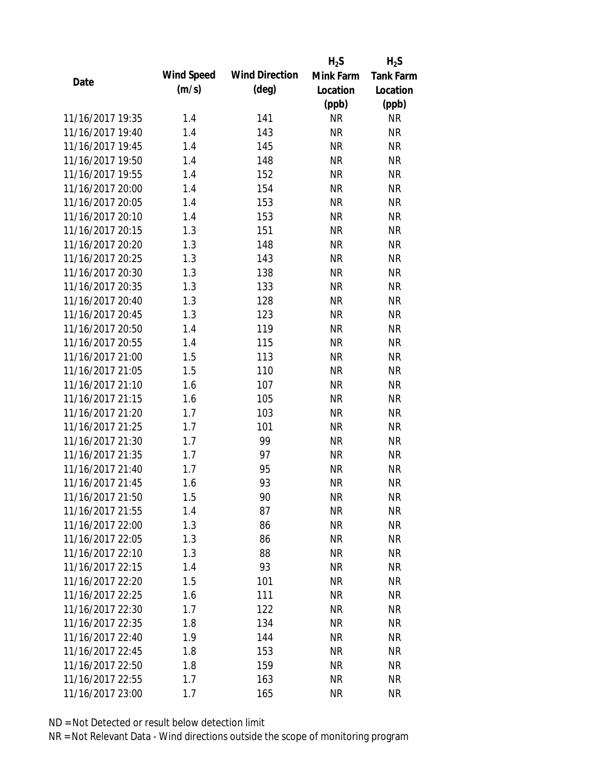|                  |            |                       | $H_2S$    | $H_2S$           |
|------------------|------------|-----------------------|-----------|------------------|
| Date             | Wind Speed | <b>Wind Direction</b> | Mink Farm | <b>Tank Farm</b> |
|                  | (m/s)      | $(\text{deg})$        | Location  | Location         |
|                  |            |                       | (ppb)     | (ppb)            |
| 11/16/2017 19:35 | 1.4        | 141                   | <b>NR</b> | <b>NR</b>        |
| 11/16/2017 19:40 | 1.4        | 143                   | <b>NR</b> | <b>NR</b>        |
| 11/16/2017 19:45 | 1.4        | 145                   | <b>NR</b> | <b>NR</b>        |
| 11/16/2017 19:50 | 1.4        | 148                   | <b>NR</b> | <b>NR</b>        |
| 11/16/2017 19:55 | 1.4        | 152                   | <b>NR</b> | <b>NR</b>        |
| 11/16/2017 20:00 | 1.4        | 154                   | <b>NR</b> | <b>NR</b>        |
| 11/16/2017 20:05 | 1.4        | 153                   | <b>NR</b> | <b>NR</b>        |
| 11/16/2017 20:10 | 1.4        | 153                   | <b>NR</b> | <b>NR</b>        |
| 11/16/2017 20:15 | 1.3        | 151                   | <b>NR</b> | <b>NR</b>        |
| 11/16/2017 20:20 | 1.3        | 148                   | <b>NR</b> | <b>NR</b>        |
| 11/16/2017 20:25 | 1.3        | 143                   | <b>NR</b> | <b>NR</b>        |
| 11/16/2017 20:30 | 1.3        | 138                   | <b>NR</b> | <b>NR</b>        |
| 11/16/2017 20:35 | 1.3        | 133                   | <b>NR</b> | <b>NR</b>        |
| 11/16/2017 20:40 | 1.3        | 128                   | <b>NR</b> | <b>NR</b>        |
| 11/16/2017 20:45 | 1.3        | 123                   | <b>NR</b> | <b>NR</b>        |
| 11/16/2017 20:50 | 1.4        | 119                   | <b>NR</b> | <b>NR</b>        |
| 11/16/2017 20:55 | 1.4        | 115                   | <b>NR</b> | <b>NR</b>        |
| 11/16/2017 21:00 | 1.5        | 113                   | <b>NR</b> | <b>NR</b>        |
| 11/16/2017 21:05 | 1.5        | 110                   | <b>NR</b> | <b>NR</b>        |
| 11/16/2017 21:10 | 1.6        | 107                   | <b>NR</b> | <b>NR</b>        |
| 11/16/2017 21:15 | 1.6        | 105                   | <b>NR</b> | <b>NR</b>        |
| 11/16/2017 21:20 | 1.7        | 103                   | <b>NR</b> | <b>NR</b>        |
| 11/16/2017 21:25 | 1.7        | 101                   | <b>NR</b> | <b>NR</b>        |
| 11/16/2017 21:30 | 1.7        | 99                    | <b>NR</b> | <b>NR</b>        |
| 11/16/2017 21:35 | 1.7        | 97                    | <b>NR</b> | <b>NR</b>        |
| 11/16/2017 21:40 | 1.7        | 95                    | <b>NR</b> | <b>NR</b>        |
| 11/16/2017 21:45 | 1.6        | 93                    | <b>NR</b> | <b>NR</b>        |
| 11/16/2017 21:50 | 1.5        | 90                    | <b>NR</b> | <b>NR</b>        |
| 11/16/2017 21:55 | 1.4        | 87                    | <b>NR</b> | <b>NR</b>        |
| 11/16/2017 22:00 | 1.3        | 86                    | NR        | <b>NR</b>        |
| 11/16/2017 22:05 | 1.3        | 86                    | <b>NR</b> | <b>NR</b>        |
| 11/16/2017 22:10 | 1.3        | 88                    | <b>NR</b> | <b>NR</b>        |
| 11/16/2017 22:15 | 1.4        | 93                    | <b>NR</b> | <b>NR</b>        |
| 11/16/2017 22:20 | 1.5        | 101                   | <b>NR</b> | <b>NR</b>        |
| 11/16/2017 22:25 | 1.6        | 111                   | <b>NR</b> | <b>NR</b>        |
| 11/16/2017 22:30 | 1.7        | 122                   | <b>NR</b> | <b>NR</b>        |
| 11/16/2017 22:35 | 1.8        | 134                   | NR        | <b>NR</b>        |
| 11/16/2017 22:40 | 1.9        | 144                   | NR        | <b>NR</b>        |
| 11/16/2017 22:45 | 1.8        | 153                   | <b>NR</b> | <b>NR</b>        |
| 11/16/2017 22:50 | 1.8        | 159                   | <b>NR</b> | <b>NR</b>        |
| 11/16/2017 22:55 | 1.7        | 163                   | <b>NR</b> | <b>NR</b>        |
| 11/16/2017 23:00 | 1.7        | 165                   | <b>NR</b> | <b>NR</b>        |
|                  |            |                       |           |                  |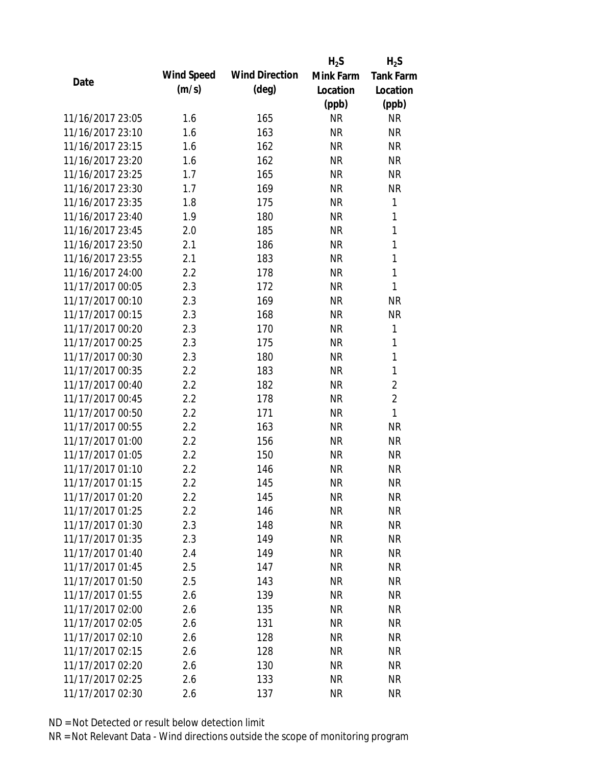|                  |            |                       | $H_2S$    | $H_2S$           |
|------------------|------------|-----------------------|-----------|------------------|
| Date             | Wind Speed | <b>Wind Direction</b> | Mink Farm | <b>Tank Farm</b> |
|                  | (m/s)      | $(\text{deg})$        | Location  | Location         |
|                  |            |                       | (ppb)     | (ppb)            |
| 11/16/2017 23:05 | 1.6        | 165                   | <b>NR</b> | <b>NR</b>        |
| 11/16/2017 23:10 | 1.6        | 163                   | <b>NR</b> | <b>NR</b>        |
| 11/16/2017 23:15 | 1.6        | 162                   | <b>NR</b> | <b>NR</b>        |
| 11/16/2017 23:20 | 1.6        | 162                   | <b>NR</b> | <b>NR</b>        |
| 11/16/2017 23:25 | 1.7        | 165                   | <b>NR</b> | <b>NR</b>        |
| 11/16/2017 23:30 | 1.7        | 169                   | <b>NR</b> | <b>NR</b>        |
| 11/16/2017 23:35 | 1.8        | 175                   | <b>NR</b> | 1                |
| 11/16/2017 23:40 | 1.9        | 180                   | <b>NR</b> | $\mathbf{1}$     |
| 11/16/2017 23:45 | 2.0        | 185                   | <b>NR</b> | 1                |
| 11/16/2017 23:50 | 2.1        | 186                   | <b>NR</b> | 1                |
| 11/16/2017 23:55 | 2.1        | 183                   | <b>NR</b> | 1                |
| 11/16/2017 24:00 | 2.2        | 178                   | <b>NR</b> | 1                |
| 11/17/2017 00:05 | 2.3        | 172                   | <b>NR</b> | 1                |
| 11/17/2017 00:10 | 2.3        | 169                   | <b>NR</b> | <b>NR</b>        |
| 11/17/2017 00:15 | 2.3        | 168                   | <b>NR</b> | <b>NR</b>        |
| 11/17/2017 00:20 | 2.3        | 170                   | <b>NR</b> | 1                |
| 11/17/2017 00:25 | 2.3        | 175                   | <b>NR</b> | 1                |
| 11/17/2017 00:30 | 2.3        | 180                   | <b>NR</b> | 1                |
| 11/17/2017 00:35 | 2.2        | 183                   | <b>NR</b> | 1                |
| 11/17/2017 00:40 | 2.2        | 182                   | <b>NR</b> | $\overline{2}$   |
| 11/17/2017 00:45 | 2.2        | 178                   | <b>NR</b> | $\overline{2}$   |
| 11/17/2017 00:50 | 2.2        | 171                   | <b>NR</b> | 1                |
| 11/17/2017 00:55 | 2.2        | 163                   | <b>NR</b> | <b>NR</b>        |
| 11/17/2017 01:00 | 2.2        | 156                   | <b>NR</b> | <b>NR</b>        |
| 11/17/2017 01:05 | 2.2        | 150                   | <b>NR</b> | <b>NR</b>        |
| 11/17/2017 01:10 | 2.2        | 146                   | <b>NR</b> | <b>NR</b>        |
| 11/17/2017 01:15 | 2.2        | 145                   | <b>NR</b> | <b>NR</b>        |
| 11/17/2017 01:20 | 2.2        | 145                   | <b>NR</b> | <b>NR</b>        |
| 11/17/2017 01:25 | 2.2        | 146                   | <b>NR</b> | <b>NR</b>        |
| 11/17/2017 01:30 | 2.3        | 148                   | NR        | <b>NR</b>        |
| 11/17/2017 01:35 | 2.3        | 149                   | <b>NR</b> | <b>NR</b>        |
| 11/17/2017 01:40 | 2.4        | 149                   | <b>NR</b> | <b>NR</b>        |
| 11/17/2017 01:45 | 2.5        | 147                   | <b>NR</b> | <b>NR</b>        |
| 11/17/2017 01:50 | 2.5        | 143                   | <b>NR</b> | <b>NR</b>        |
| 11/17/2017 01:55 | 2.6        | 139                   | <b>NR</b> | <b>NR</b>        |
| 11/17/2017 02:00 | 2.6        | 135                   | <b>NR</b> | <b>NR</b>        |
| 11/17/2017 02:05 | 2.6        | 131                   | NR        | <b>NR</b>        |
| 11/17/2017 02:10 | 2.6        | 128                   | NR        | <b>NR</b>        |
| 11/17/2017 02:15 | 2.6        | 128                   | <b>NR</b> | <b>NR</b>        |
| 11/17/2017 02:20 | 2.6        | 130                   | <b>NR</b> | <b>NR</b>        |
| 11/17/2017 02:25 | 2.6        | 133                   | <b>NR</b> | <b>NR</b>        |
| 11/17/2017 02:30 | 2.6        | 137                   | <b>NR</b> | <b>NR</b>        |
|                  |            |                       |           |                  |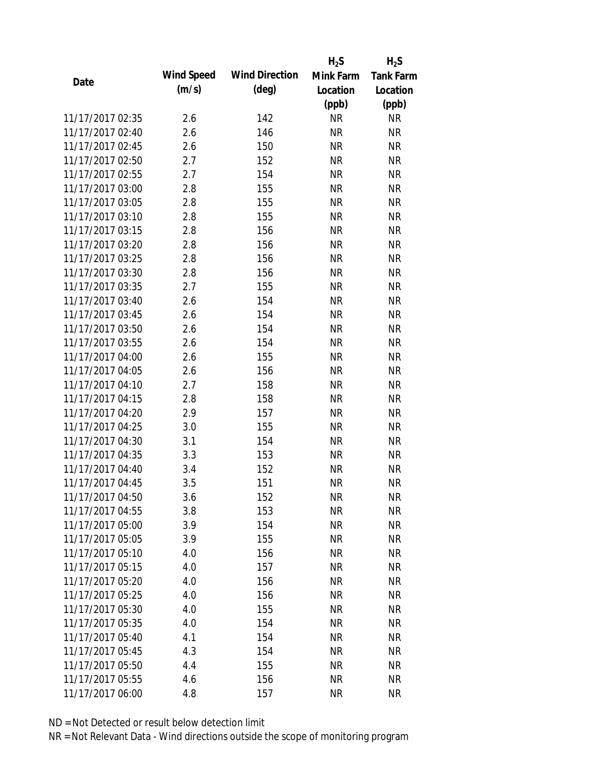|                  |            |                       | $H_2S$    | $H_2S$           |
|------------------|------------|-----------------------|-----------|------------------|
| Date             | Wind Speed | <b>Wind Direction</b> | Mink Farm | <b>Tank Farm</b> |
|                  | (m/s)      | $(\text{deg})$        | Location  | Location         |
|                  |            |                       | (ppb)     | (ppb)            |
| 11/17/2017 02:35 | 2.6        | 142                   | <b>NR</b> | <b>NR</b>        |
| 11/17/2017 02:40 | 2.6        | 146                   | <b>NR</b> | <b>NR</b>        |
| 11/17/2017 02:45 | 2.6        | 150                   | <b>NR</b> | <b>NR</b>        |
| 11/17/2017 02:50 | 2.7        | 152                   | <b>NR</b> | <b>NR</b>        |
| 11/17/2017 02:55 | 2.7        | 154                   | <b>NR</b> | <b>NR</b>        |
| 11/17/2017 03:00 | 2.8        | 155                   | <b>NR</b> | <b>NR</b>        |
| 11/17/2017 03:05 | 2.8        | 155                   | <b>NR</b> | <b>NR</b>        |
| 11/17/2017 03:10 | 2.8        | 155                   | <b>NR</b> | <b>NR</b>        |
| 11/17/2017 03:15 | 2.8        | 156                   | <b>NR</b> | <b>NR</b>        |
| 11/17/2017 03:20 | 2.8        | 156                   | <b>NR</b> | <b>NR</b>        |
| 11/17/2017 03:25 | 2.8        | 156                   | <b>NR</b> | <b>NR</b>        |
| 11/17/2017 03:30 | 2.8        | 156                   | <b>NR</b> | <b>NR</b>        |
| 11/17/2017 03:35 | 2.7        | 155                   | <b>NR</b> | <b>NR</b>        |
| 11/17/2017 03:40 | 2.6        | 154                   | <b>NR</b> | <b>NR</b>        |
| 11/17/2017 03:45 | 2.6        | 154                   | <b>NR</b> | <b>NR</b>        |
| 11/17/2017 03:50 | 2.6        | 154                   | <b>NR</b> | <b>NR</b>        |
| 11/17/2017 03:55 | 2.6        | 154                   | <b>NR</b> | <b>NR</b>        |
| 11/17/2017 04:00 | 2.6        | 155                   | <b>NR</b> | <b>NR</b>        |
| 11/17/2017 04:05 | 2.6        | 156                   | <b>NR</b> | <b>NR</b>        |
| 11/17/2017 04:10 | 2.7        | 158                   | <b>NR</b> | <b>NR</b>        |
| 11/17/2017 04:15 | 2.8        | 158                   | <b>NR</b> | <b>NR</b>        |
| 11/17/2017 04:20 | 2.9        | 157                   | <b>NR</b> | <b>NR</b>        |
| 11/17/2017 04:25 | 3.0        | 155                   | <b>NR</b> | <b>NR</b>        |
| 11/17/2017 04:30 | 3.1        | 154                   | <b>NR</b> | <b>NR</b>        |
| 11/17/2017 04:35 | 3.3        | 153                   | <b>NR</b> | <b>NR</b>        |
| 11/17/2017 04:40 | 3.4        | 152                   | <b>NR</b> | <b>NR</b>        |
| 11/17/2017 04:45 | 3.5        | 151                   | <b>NR</b> | <b>NR</b>        |
| 11/17/2017 04:50 | 3.6        | 152                   | <b>NR</b> | <b>NR</b>        |
| 11/17/2017 04:55 | 3.8        | 153                   | <b>NR</b> | <b>NR</b>        |
| 11/17/2017 05:00 | 3.9        | 154                   | NR        | <b>NR</b>        |
| 11/17/2017 05:05 | 3.9        | 155                   | <b>NR</b> | <b>NR</b>        |
| 11/17/2017 05:10 | 4.0        | 156                   | <b>NR</b> | <b>NR</b>        |
| 11/17/2017 05:15 | 4.0        | 157                   | <b>NR</b> | <b>NR</b>        |
| 11/17/2017 05:20 | 4.0        | 156                   | <b>NR</b> | <b>NR</b>        |
| 11/17/2017 05:25 | 4.0        | 156                   | <b>NR</b> | <b>NR</b>        |
| 11/17/2017 05:30 | 4.0        | 155                   | <b>NR</b> | <b>NR</b>        |
| 11/17/2017 05:35 | 4.0        | 154                   | NR        | <b>NR</b>        |
| 11/17/2017 05:40 | 4.1        | 154                   | NR        | <b>NR</b>        |
| 11/17/2017 05:45 | 4.3        | 154                   | <b>NR</b> | <b>NR</b>        |
| 11/17/2017 05:50 | 4.4        | 155                   | <b>NR</b> | <b>NR</b>        |
| 11/17/2017 05:55 | 4.6        | 156                   | <b>NR</b> | <b>NR</b>        |
| 11/17/2017 06:00 | 4.8        | 157                   | <b>NR</b> | <b>NR</b>        |
|                  |            |                       |           |                  |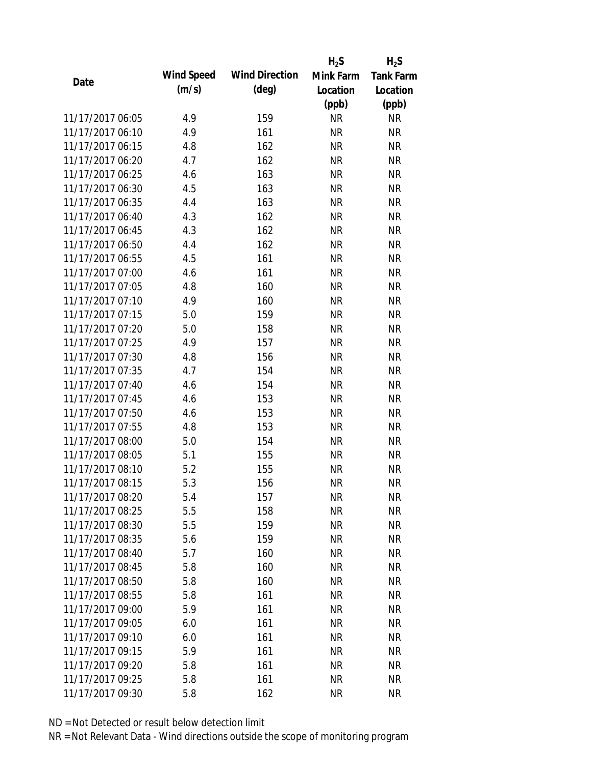|                  |            |                       | $H_2S$    | $H_2S$           |
|------------------|------------|-----------------------|-----------|------------------|
| Date             | Wind Speed | <b>Wind Direction</b> | Mink Farm | <b>Tank Farm</b> |
|                  | (m/s)      | $(\text{deg})$        | Location  | Location         |
|                  |            |                       | (ppb)     | (ppb)            |
| 11/17/2017 06:05 | 4.9        | 159                   | <b>NR</b> | <b>NR</b>        |
| 11/17/2017 06:10 | 4.9        | 161                   | <b>NR</b> | <b>NR</b>        |
| 11/17/2017 06:15 | 4.8        | 162                   | <b>NR</b> | <b>NR</b>        |
| 11/17/2017 06:20 | 4.7        | 162                   | <b>NR</b> | <b>NR</b>        |
| 11/17/2017 06:25 | 4.6        | 163                   | <b>NR</b> | <b>NR</b>        |
| 11/17/2017 06:30 | 4.5        | 163                   | <b>NR</b> | <b>NR</b>        |
| 11/17/2017 06:35 | 4.4        | 163                   | <b>NR</b> | <b>NR</b>        |
| 11/17/2017 06:40 | 4.3        | 162                   | <b>NR</b> | <b>NR</b>        |
| 11/17/2017 06:45 | 4.3        | 162                   | <b>NR</b> | <b>NR</b>        |
| 11/17/2017 06:50 | 4.4        | 162                   | <b>NR</b> | <b>NR</b>        |
| 11/17/2017 06:55 | 4.5        | 161                   | <b>NR</b> | <b>NR</b>        |
| 11/17/2017 07:00 | 4.6        | 161                   | <b>NR</b> | <b>NR</b>        |
| 11/17/2017 07:05 | 4.8        | 160                   | <b>NR</b> | <b>NR</b>        |
| 11/17/2017 07:10 | 4.9        | 160                   | <b>NR</b> | <b>NR</b>        |
| 11/17/2017 07:15 | 5.0        | 159                   | <b>NR</b> | <b>NR</b>        |
| 11/17/2017 07:20 | 5.0        | 158                   | <b>NR</b> | <b>NR</b>        |
| 11/17/2017 07:25 | 4.9        | 157                   | <b>NR</b> | <b>NR</b>        |
| 11/17/2017 07:30 | 4.8        | 156                   | <b>NR</b> | <b>NR</b>        |
| 11/17/2017 07:35 | 4.7        | 154                   | <b>NR</b> | <b>NR</b>        |
| 11/17/2017 07:40 | 4.6        | 154                   | <b>NR</b> | <b>NR</b>        |
| 11/17/2017 07:45 | 4.6        | 153                   | <b>NR</b> | <b>NR</b>        |
| 11/17/2017 07:50 | 4.6        | 153                   | <b>NR</b> | <b>NR</b>        |
| 11/17/2017 07:55 | 4.8        | 153                   | <b>NR</b> | <b>NR</b>        |
| 11/17/2017 08:00 | 5.0        | 154                   | <b>NR</b> | <b>NR</b>        |
| 11/17/2017 08:05 | 5.1        | 155                   | <b>NR</b> | <b>NR</b>        |
| 11/17/2017 08:10 | 5.2        | 155                   | <b>NR</b> | <b>NR</b>        |
| 11/17/2017 08:15 | 5.3        | 156                   | <b>NR</b> | <b>NR</b>        |
| 11/17/2017 08:20 | 5.4        | 157                   | <b>NR</b> | <b>NR</b>        |
| 11/17/2017 08:25 | 5.5        | 158                   | <b>NR</b> | <b>NR</b>        |
| 11/17/2017 08:30 | 5.5        | 159                   | <b>NR</b> | <b>NR</b>        |
| 11/17/2017 08:35 | 5.6        | 159                   | <b>NR</b> | <b>NR</b>        |
| 11/17/2017 08:40 | 5.7        | 160                   | <b>NR</b> | <b>NR</b>        |
| 11/17/2017 08:45 | 5.8        | 160                   | <b>NR</b> | <b>NR</b>        |
| 11/17/2017 08:50 | 5.8        | 160                   | <b>NR</b> | <b>NR</b>        |
| 11/17/2017 08:55 | 5.8        | 161                   | <b>NR</b> | <b>NR</b>        |
| 11/17/2017 09:00 | 5.9        | 161                   | <b>NR</b> | <b>NR</b>        |
| 11/17/2017 09:05 | 6.0        | 161                   | NR        | <b>NR</b>        |
| 11/17/2017 09:10 | 6.0        | 161                   | NR        | <b>NR</b>        |
| 11/17/2017 09:15 | 5.9        | 161                   | <b>NR</b> | <b>NR</b>        |
| 11/17/2017 09:20 | 5.8        | 161                   | <b>NR</b> | <b>NR</b>        |
| 11/17/2017 09:25 | 5.8        | 161                   | <b>NR</b> | <b>NR</b>        |
| 11/17/2017 09:30 | 5.8        | 162                   | <b>NR</b> | <b>NR</b>        |
|                  |            |                       |           |                  |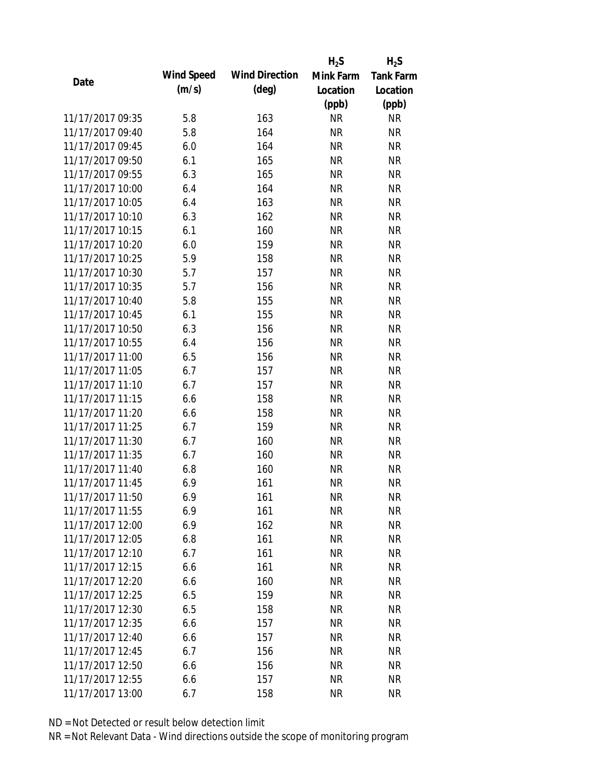|                  |            |                       | $H_2S$    | $H_2S$           |
|------------------|------------|-----------------------|-----------|------------------|
| Date             | Wind Speed | <b>Wind Direction</b> | Mink Farm | <b>Tank Farm</b> |
|                  | (m/s)      | $(\text{deg})$        | Location  | Location         |
|                  |            |                       | (ppb)     | (ppb)            |
| 11/17/2017 09:35 | 5.8        | 163                   | <b>NR</b> | <b>NR</b>        |
| 11/17/2017 09:40 | 5.8        | 164                   | <b>NR</b> | <b>NR</b>        |
| 11/17/2017 09:45 | 6.0        | 164                   | <b>NR</b> | <b>NR</b>        |
| 11/17/2017 09:50 | 6.1        | 165                   | <b>NR</b> | <b>NR</b>        |
| 11/17/2017 09:55 | 6.3        | 165                   | <b>NR</b> | <b>NR</b>        |
| 11/17/2017 10:00 | 6.4        | 164                   | <b>NR</b> | <b>NR</b>        |
| 11/17/2017 10:05 | 6.4        | 163                   | <b>NR</b> | <b>NR</b>        |
| 11/17/2017 10:10 | 6.3        | 162                   | <b>NR</b> | <b>NR</b>        |
| 11/17/2017 10:15 | 6.1        | 160                   | <b>NR</b> | <b>NR</b>        |
| 11/17/2017 10:20 | 6.0        | 159                   | <b>NR</b> | <b>NR</b>        |
| 11/17/2017 10:25 | 5.9        | 158                   | <b>NR</b> | <b>NR</b>        |
| 11/17/2017 10:30 | 5.7        | 157                   | <b>NR</b> | <b>NR</b>        |
| 11/17/2017 10:35 | 5.7        | 156                   | <b>NR</b> | <b>NR</b>        |
| 11/17/2017 10:40 | 5.8        | 155                   | <b>NR</b> | <b>NR</b>        |
| 11/17/2017 10:45 | 6.1        | 155                   | <b>NR</b> | <b>NR</b>        |
| 11/17/2017 10:50 | 6.3        | 156                   | <b>NR</b> | <b>NR</b>        |
| 11/17/2017 10:55 | 6.4        | 156                   | <b>NR</b> | <b>NR</b>        |
| 11/17/2017 11:00 | 6.5        | 156                   | <b>NR</b> | <b>NR</b>        |
| 11/17/2017 11:05 | 6.7        | 157                   | <b>NR</b> | <b>NR</b>        |
| 11/17/2017 11:10 | 6.7        | 157                   | <b>NR</b> | <b>NR</b>        |
| 11/17/2017 11:15 | 6.6        | 158                   | <b>NR</b> | <b>NR</b>        |
| 11/17/2017 11:20 | 6.6        | 158                   | <b>NR</b> | <b>NR</b>        |
| 11/17/2017 11:25 | 6.7        | 159                   | <b>NR</b> | <b>NR</b>        |
| 11/17/2017 11:30 | 6.7        | 160                   | <b>NR</b> | <b>NR</b>        |
| 11/17/2017 11:35 | 6.7        | 160                   | <b>NR</b> | <b>NR</b>        |
| 11/17/2017 11:40 | 6.8        | 160                   | <b>NR</b> | <b>NR</b>        |
| 11/17/2017 11:45 | 6.9        | 161                   | <b>NR</b> | <b>NR</b>        |
| 11/17/2017 11:50 | 6.9        | 161                   | <b>NR</b> | <b>NR</b>        |
| 11/17/2017 11:55 | 6.9        | 161                   | <b>NR</b> | <b>NR</b>        |
| 11/17/2017 12:00 | 6.9        | 162                   | NR        | <b>NR</b>        |
| 11/17/2017 12:05 | 6.8        | 161                   | <b>NR</b> | <b>NR</b>        |
| 11/17/2017 12:10 | 6.7        | 161                   | <b>NR</b> | <b>NR</b>        |
| 11/17/2017 12:15 | 6.6        | 161                   | <b>NR</b> | <b>NR</b>        |
| 11/17/2017 12:20 | 6.6        | 160                   | <b>NR</b> | <b>NR</b>        |
| 11/17/2017 12:25 | 6.5        | 159                   | <b>NR</b> | <b>NR</b>        |
| 11/17/2017 12:30 | 6.5        | 158                   | <b>NR</b> | <b>NR</b>        |
| 11/17/2017 12:35 | 6.6        | 157                   | NR        | <b>NR</b>        |
| 11/17/2017 12:40 | 6.6        | 157                   | NR        | <b>NR</b>        |
| 11/17/2017 12:45 | 6.7        | 156                   | <b>NR</b> | <b>NR</b>        |
| 11/17/2017 12:50 | 6.6        | 156                   | <b>NR</b> | <b>NR</b>        |
| 11/17/2017 12:55 | 6.6        | 157                   | <b>NR</b> | <b>NR</b>        |
| 11/17/2017 13:00 | 6.7        | 158                   | <b>NR</b> | <b>NR</b>        |
|                  |            |                       |           |                  |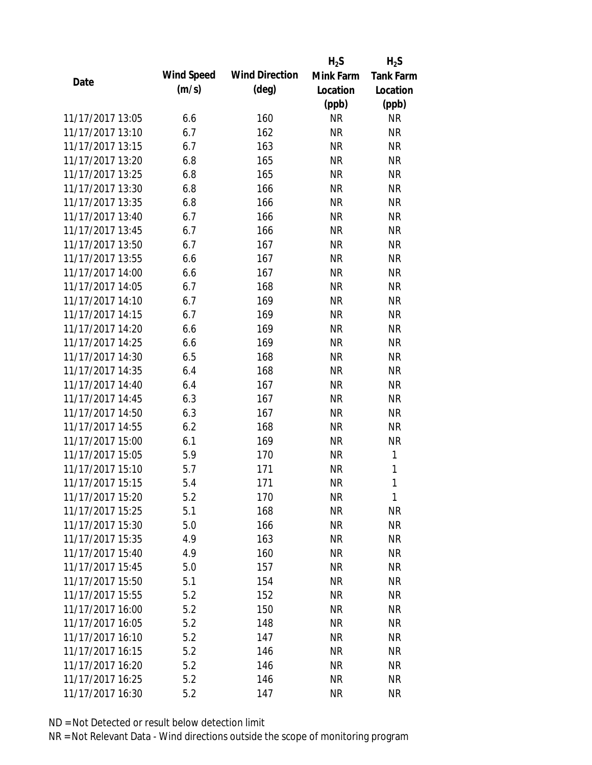|                  |            |                       | $H_2S$    | $H_2S$           |
|------------------|------------|-----------------------|-----------|------------------|
|                  | Wind Speed | <b>Wind Direction</b> | Mink Farm | <b>Tank Farm</b> |
| Date             | (m/s)      | $(\text{deg})$        | Location  | Location         |
|                  |            |                       | (ppb)     | (ppb)            |
| 11/17/2017 13:05 | 6.6        | 160                   | <b>NR</b> | <b>NR</b>        |
| 11/17/2017 13:10 | 6.7        | 162                   | <b>NR</b> | <b>NR</b>        |
| 11/17/2017 13:15 | 6.7        | 163                   | <b>NR</b> | <b>NR</b>        |
| 11/17/2017 13:20 | 6.8        | 165                   | <b>NR</b> | <b>NR</b>        |
| 11/17/2017 13:25 | 6.8        | 165                   | <b>NR</b> | <b>NR</b>        |
| 11/17/2017 13:30 | 6.8        | 166                   | <b>NR</b> | <b>NR</b>        |
| 11/17/2017 13:35 | 6.8        | 166                   | <b>NR</b> | <b>NR</b>        |
| 11/17/2017 13:40 | 6.7        | 166                   | <b>NR</b> | <b>NR</b>        |
| 11/17/2017 13:45 | 6.7        | 166                   | <b>NR</b> | <b>NR</b>        |
| 11/17/2017 13:50 | 6.7        | 167                   | <b>NR</b> | <b>NR</b>        |
| 11/17/2017 13:55 | 6.6        | 167                   | <b>NR</b> | <b>NR</b>        |
| 11/17/2017 14:00 | 6.6        | 167                   | <b>NR</b> | <b>NR</b>        |
| 11/17/2017 14:05 | 6.7        | 168                   | <b>NR</b> | <b>NR</b>        |
| 11/17/2017 14:10 | 6.7        | 169                   | <b>NR</b> | <b>NR</b>        |
| 11/17/2017 14:15 | 6.7        | 169                   | <b>NR</b> | <b>NR</b>        |
| 11/17/2017 14:20 | 6.6        | 169                   | <b>NR</b> | <b>NR</b>        |
| 11/17/2017 14:25 | 6.6        | 169                   | <b>NR</b> | <b>NR</b>        |
| 11/17/2017 14:30 | 6.5        | 168                   | <b>NR</b> | <b>NR</b>        |
| 11/17/2017 14:35 | 6.4        | 168                   | <b>NR</b> | <b>NR</b>        |
| 11/17/2017 14:40 | 6.4        | 167                   | <b>NR</b> | <b>NR</b>        |
| 11/17/2017 14:45 | 6.3        | 167                   | <b>NR</b> | <b>NR</b>        |
| 11/17/2017 14:50 | 6.3        | 167                   | <b>NR</b> | <b>NR</b>        |
| 11/17/2017 14:55 | 6.2        | 168                   | <b>NR</b> | <b>NR</b>        |
| 11/17/2017 15:00 | 6.1        | 169                   | <b>NR</b> | <b>NR</b>        |
| 11/17/2017 15:05 | 5.9        | 170                   | <b>NR</b> | 1                |
| 11/17/2017 15:10 | 5.7        | 171                   | <b>NR</b> | $\mathbf{1}$     |
| 11/17/2017 15:15 | 5.4        | 171                   | <b>NR</b> | 1                |
| 11/17/2017 15:20 | 5.2        | 170                   | <b>NR</b> | 1                |
| 11/17/2017 15:25 | 5.1        | 168                   | <b>NR</b> | <b>NR</b>        |
| 11/17/2017 15:30 | 5.0        | 166                   | NR        | <b>NR</b>        |
| 11/17/2017 15:35 | 4.9        | 163                   | <b>NR</b> | <b>NR</b>        |
| 11/17/2017 15:40 | 4.9        | 160                   | <b>NR</b> | <b>NR</b>        |
| 11/17/2017 15:45 | 5.0        | 157                   | <b>NR</b> | <b>NR</b>        |
| 11/17/2017 15:50 | 5.1        | 154                   | <b>NR</b> | <b>NR</b>        |
| 11/17/2017 15:55 | 5.2        | 152                   | <b>NR</b> | <b>NR</b>        |
| 11/17/2017 16:00 | 5.2        | 150                   | <b>NR</b> | <b>NR</b>        |
| 11/17/2017 16:05 | 5.2        | 148                   | <b>NR</b> | <b>NR</b>        |
| 11/17/2017 16:10 | 5.2        | 147                   | NR        | <b>NR</b>        |
| 11/17/2017 16:15 | 5.2        | 146                   | <b>NR</b> | <b>NR</b>        |
| 11/17/2017 16:20 | 5.2        | 146                   | <b>NR</b> | <b>NR</b>        |
| 11/17/2017 16:25 | 5.2        | 146                   | <b>NR</b> | <b>NR</b>        |
| 11/17/2017 16:30 | 5.2        | 147                   | <b>NR</b> | <b>NR</b>        |
|                  |            |                       |           |                  |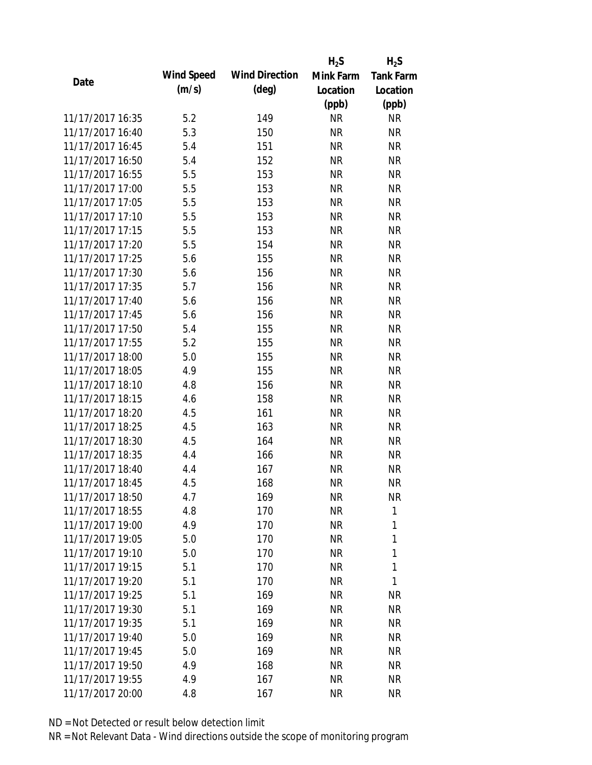|                  |            |                       | $H_2S$    | $H_2S$           |
|------------------|------------|-----------------------|-----------|------------------|
| Date             | Wind Speed | <b>Wind Direction</b> | Mink Farm | <b>Tank Farm</b> |
|                  | (m/s)      | $(\text{deg})$        | Location  | Location         |
|                  |            |                       | (ppb)     | (ppb)            |
| 11/17/2017 16:35 | 5.2        | 149                   | <b>NR</b> | <b>NR</b>        |
| 11/17/2017 16:40 | 5.3        | 150                   | <b>NR</b> | <b>NR</b>        |
| 11/17/2017 16:45 | 5.4        | 151                   | <b>NR</b> | <b>NR</b>        |
| 11/17/2017 16:50 | 5.4        | 152                   | <b>NR</b> | <b>NR</b>        |
| 11/17/2017 16:55 | 5.5        | 153                   | <b>NR</b> | <b>NR</b>        |
| 11/17/2017 17:00 | 5.5        | 153                   | <b>NR</b> | <b>NR</b>        |
| 11/17/2017 17:05 | 5.5        | 153                   | <b>NR</b> | <b>NR</b>        |
| 11/17/2017 17:10 | 5.5        | 153                   | <b>NR</b> | <b>NR</b>        |
| 11/17/2017 17:15 | 5.5        | 153                   | <b>NR</b> | <b>NR</b>        |
| 11/17/2017 17:20 | 5.5        | 154                   | <b>NR</b> | <b>NR</b>        |
| 11/17/2017 17:25 | 5.6        | 155                   | <b>NR</b> | <b>NR</b>        |
| 11/17/2017 17:30 | 5.6        | 156                   | <b>NR</b> | <b>NR</b>        |
| 11/17/2017 17:35 | 5.7        | 156                   | <b>NR</b> | <b>NR</b>        |
| 11/17/2017 17:40 | 5.6        | 156                   | <b>NR</b> | <b>NR</b>        |
| 11/17/2017 17:45 | 5.6        | 156                   | <b>NR</b> | <b>NR</b>        |
| 11/17/2017 17:50 | 5.4        | 155                   | <b>NR</b> | <b>NR</b>        |
| 11/17/2017 17:55 | 5.2        | 155                   | <b>NR</b> | <b>NR</b>        |
| 11/17/2017 18:00 | 5.0        | 155                   | <b>NR</b> | <b>NR</b>        |
| 11/17/2017 18:05 | 4.9        | 155                   | <b>NR</b> | <b>NR</b>        |
| 11/17/2017 18:10 | 4.8        | 156                   | <b>NR</b> | <b>NR</b>        |
| 11/17/2017 18:15 | 4.6        | 158                   | <b>NR</b> | <b>NR</b>        |
| 11/17/2017 18:20 | 4.5        | 161                   | <b>NR</b> | <b>NR</b>        |
| 11/17/2017 18:25 | 4.5        | 163                   | <b>NR</b> | <b>NR</b>        |
| 11/17/2017 18:30 | 4.5        | 164                   | <b>NR</b> | <b>NR</b>        |
| 11/17/2017 18:35 | 4.4        | 166                   | <b>NR</b> | <b>NR</b>        |
| 11/17/2017 18:40 | 4.4        | 167                   | <b>NR</b> | <b>NR</b>        |
| 11/17/2017 18:45 | 4.5        | 168                   | <b>NR</b> | <b>NR</b>        |
| 11/17/2017 18:50 | 4.7        | 169                   | <b>NR</b> | <b>NR</b>        |
| 11/17/2017 18:55 | 4.8        | 170                   | <b>NR</b> | 1                |
| 11/17/2017 19:00 | 4.9        | 170                   | <b>NR</b> | 1                |
| 11/17/2017 19:05 | 5.0        | 170                   | <b>NR</b> | 1                |
| 11/17/2017 19:10 | 5.0        | 170                   | <b>NR</b> | 1                |
| 11/17/2017 19:15 | 5.1        | 170                   | <b>NR</b> | 1                |
| 11/17/2017 19:20 | 5.1        | 170                   | <b>NR</b> | 1                |
| 11/17/2017 19:25 | 5.1        | 169                   | <b>NR</b> | NR               |
| 11/17/2017 19:30 | 5.1        | 169                   | <b>NR</b> | <b>NR</b>        |
| 11/17/2017 19:35 | 5.1        | 169                   | NR        | <b>NR</b>        |
| 11/17/2017 19:40 | 5.0        | 169                   | NR        | <b>NR</b>        |
| 11/17/2017 19:45 | 5.0        | 169                   | <b>NR</b> | <b>NR</b>        |
| 11/17/2017 19:50 | 4.9        | 168                   | <b>NR</b> | <b>NR</b>        |
| 11/17/2017 19:55 | 4.9        | 167                   | <b>NR</b> | <b>NR</b>        |
| 11/17/2017 20:00 | 4.8        | 167                   | <b>NR</b> | <b>NR</b>        |
|                  |            |                       |           |                  |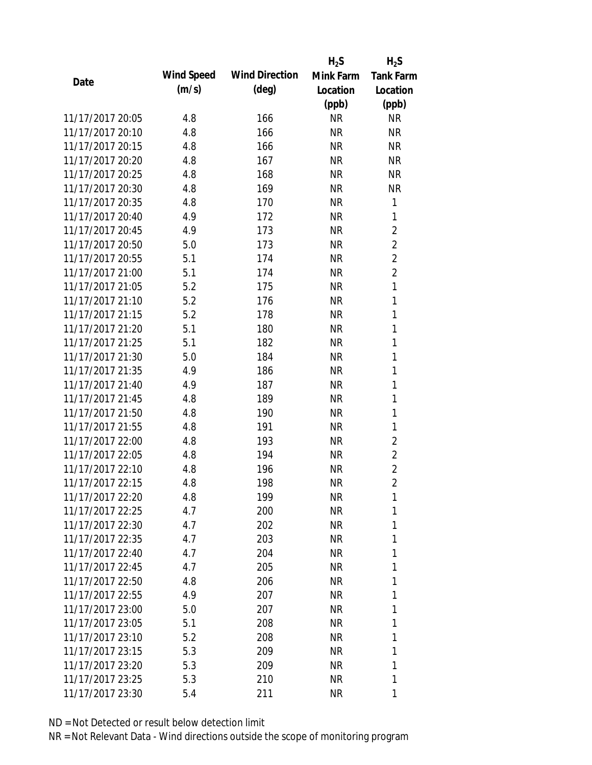|                  |            |                       | $H_2S$    | $H_2S$           |
|------------------|------------|-----------------------|-----------|------------------|
| Date             | Wind Speed | <b>Wind Direction</b> | Mink Farm | <b>Tank Farm</b> |
|                  | (m/s)      | $(\text{deg})$        | Location  | Location         |
|                  |            |                       | (ppb)     | (ppb)            |
| 11/17/2017 20:05 | 4.8        | 166                   | <b>NR</b> | <b>NR</b>        |
| 11/17/2017 20:10 | 4.8        | 166                   | <b>NR</b> | <b>NR</b>        |
| 11/17/2017 20:15 | 4.8        | 166                   | <b>NR</b> | <b>NR</b>        |
| 11/17/2017 20:20 | 4.8        | 167                   | <b>NR</b> | <b>NR</b>        |
| 11/17/2017 20:25 | 4.8        | 168                   | <b>NR</b> | <b>NR</b>        |
| 11/17/2017 20:30 | 4.8        | 169                   | <b>NR</b> | <b>NR</b>        |
| 11/17/2017 20:35 | 4.8        | 170                   | <b>NR</b> | 1                |
| 11/17/2017 20:40 | 4.9        | 172                   | <b>NR</b> | 1                |
| 11/17/2017 20:45 | 4.9        | 173                   | <b>NR</b> | $\overline{c}$   |
| 11/17/2017 20:50 | 5.0        | 173                   | <b>NR</b> | $\overline{2}$   |
| 11/17/2017 20:55 | 5.1        | 174                   | <b>NR</b> | $\overline{2}$   |
| 11/17/2017 21:00 | 5.1        | 174                   | <b>NR</b> | $\overline{2}$   |
| 11/17/2017 21:05 | 5.2        | 175                   | <b>NR</b> | $\mathbf{1}$     |
| 11/17/2017 21:10 | 5.2        | 176                   | <b>NR</b> | 1                |
| 11/17/2017 21:15 | 5.2        | 178                   | <b>NR</b> | 1                |
| 11/17/2017 21:20 | 5.1        | 180                   | <b>NR</b> | 1                |
| 11/17/2017 21:25 | 5.1        | 182                   | <b>NR</b> | 1                |
| 11/17/2017 21:30 | 5.0        | 184                   | <b>NR</b> | 1                |
| 11/17/2017 21:35 | 4.9        | 186                   | <b>NR</b> | $\mathbf{1}$     |
| 11/17/2017 21:40 | 4.9        | 187                   | <b>NR</b> | 1                |
| 11/17/2017 21:45 | 4.8        | 189                   | <b>NR</b> | 1                |
| 11/17/2017 21:50 | 4.8        | 190                   | <b>NR</b> | 1                |
| 11/17/2017 21:55 | 4.8        | 191                   | <b>NR</b> | 1                |
| 11/17/2017 22:00 | 4.8        | 193                   | <b>NR</b> | $\overline{2}$   |
| 11/17/2017 22:05 | 4.8        | 194                   | <b>NR</b> | $\overline{2}$   |
| 11/17/2017 22:10 | 4.8        | 196                   | <b>NR</b> | $\overline{2}$   |
| 11/17/2017 22:15 | 4.8        | 198                   | <b>NR</b> | $\overline{2}$   |
| 11/17/2017 22:20 | 4.8        | 199                   | <b>NR</b> | 1                |
| 11/17/2017 22:25 | 4.7        | 200                   | <b>NR</b> | 1                |
| 11/17/2017 22:30 | 4.7        | 202                   | <b>NR</b> | 1                |
| 11/17/2017 22:35 | 4.7        | 203                   | <b>NR</b> | 1                |
| 11/17/2017 22:40 | 4.7        | 204                   | <b>NR</b> | 1                |
| 11/17/2017 22:45 | 4.7        | 205                   | <b>NR</b> | 1                |
| 11/17/2017 22:50 | 4.8        | 206                   | <b>NR</b> | 1                |
| 11/17/2017 22:55 | 4.9        | 207                   | <b>NR</b> | 1                |
| 11/17/2017 23:00 | 5.0        | 207                   | <b>NR</b> | 1                |
| 11/17/2017 23:05 | 5.1        | 208                   | <b>NR</b> | 1                |
| 11/17/2017 23:10 | 5.2        | 208                   | <b>NR</b> | 1                |
| 11/17/2017 23:15 | 5.3        | 209                   | <b>NR</b> | 1                |
| 11/17/2017 23:20 | 5.3        | 209                   | <b>NR</b> | 1                |
| 11/17/2017 23:25 | 5.3        | 210                   | <b>NR</b> | 1                |
| 11/17/2017 23:30 | 5.4        | 211                   | <b>NR</b> | 1                |
|                  |            |                       |           |                  |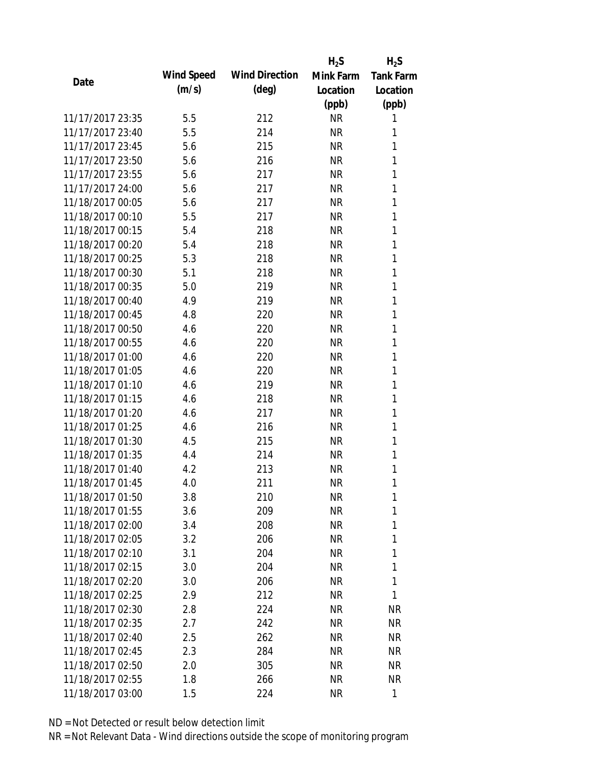|                  |            |                       | $H_2S$    | $H_2S$           |
|------------------|------------|-----------------------|-----------|------------------|
| Date             | Wind Speed | <b>Wind Direction</b> | Mink Farm | <b>Tank Farm</b> |
|                  | (m/s)      | $(\text{deg})$        | Location  | Location         |
|                  |            |                       | (ppb)     | (ppb)            |
| 11/17/2017 23:35 | 5.5        | 212                   | <b>NR</b> | 1                |
| 11/17/2017 23:40 | 5.5        | 214                   | <b>NR</b> | 1                |
| 11/17/2017 23:45 | 5.6        | 215                   | <b>NR</b> | 1                |
| 11/17/2017 23:50 | 5.6        | 216                   | <b>NR</b> | 1                |
| 11/17/2017 23:55 | 5.6        | 217                   | <b>NR</b> | 1                |
| 11/17/2017 24:00 | 5.6        | 217                   | <b>NR</b> | 1                |
| 11/18/2017 00:05 | 5.6        | 217                   | <b>NR</b> | 1                |
| 11/18/2017 00:10 | 5.5        | 217                   | <b>NR</b> | 1                |
| 11/18/2017 00:15 | 5.4        | 218                   | <b>NR</b> | 1                |
| 11/18/2017 00:20 | 5.4        | 218                   | <b>NR</b> | 1                |
| 11/18/2017 00:25 | 5.3        | 218                   | <b>NR</b> | 1                |
| 11/18/2017 00:30 | 5.1        | 218                   | <b>NR</b> | 1                |
| 11/18/2017 00:35 | 5.0        | 219                   | <b>NR</b> | 1                |
| 11/18/2017 00:40 | 4.9        | 219                   | <b>NR</b> | 1                |
| 11/18/2017 00:45 | 4.8        | 220                   | <b>NR</b> | 1                |
| 11/18/2017 00:50 | 4.6        | 220                   | <b>NR</b> | 1                |
| 11/18/2017 00:55 | 4.6        | 220                   | <b>NR</b> | 1                |
| 11/18/2017 01:00 | 4.6        | 220                   | <b>NR</b> | 1                |
| 11/18/2017 01:05 | 4.6        | 220                   | <b>NR</b> | 1                |
| 11/18/2017 01:10 | 4.6        | 219                   | <b>NR</b> | 1                |
| 11/18/2017 01:15 | 4.6        | 218                   | <b>NR</b> | 1                |
| 11/18/2017 01:20 | 4.6        | 217                   | <b>NR</b> | 1                |
| 11/18/2017 01:25 | 4.6        | 216                   | <b>NR</b> | 1                |
| 11/18/2017 01:30 | 4.5        | 215                   | <b>NR</b> | 1                |
| 11/18/2017 01:35 | 4.4        | 214                   | <b>NR</b> | 1                |
| 11/18/2017 01:40 | 4.2        | 213                   | <b>NR</b> | 1                |
| 11/18/2017 01:45 | 4.0        | 211                   | <b>NR</b> | 1                |
| 11/18/2017 01:50 | 3.8        | 210                   | <b>NR</b> | 1                |
| 11/18/2017 01:55 | 3.6        | 209                   | <b>NR</b> | 1                |
| 11/18/2017 02:00 | 3.4        | 208                   | NR        | 1                |
| 11/18/2017 02:05 | 3.2        | 206                   | NR        | 1                |
| 11/18/2017 02:10 | 3.1        | 204                   | <b>NR</b> | 1                |
| 11/18/2017 02:15 | 3.0        | 204                   | NR        | 1                |
| 11/18/2017 02:20 | 3.0        | 206                   | <b>NR</b> | 1                |
| 11/18/2017 02:25 | 2.9        | 212                   | NR        | 1                |
| 11/18/2017 02:30 | 2.8        | 224                   | NR        | <b>NR</b>        |
| 11/18/2017 02:35 | 2.7        | 242                   | NR        | <b>NR</b>        |
| 11/18/2017 02:40 | 2.5        | 262                   | NR        | NR               |
| 11/18/2017 02:45 | 2.3        | 284                   | <b>NR</b> | NR               |
| 11/18/2017 02:50 | 2.0        | 305                   | <b>NR</b> | NR               |
| 11/18/2017 02:55 | 1.8        | 266                   | <b>NR</b> | <b>NR</b>        |
| 11/18/2017 03:00 | 1.5        | 224                   | <b>NR</b> | 1                |
|                  |            |                       |           |                  |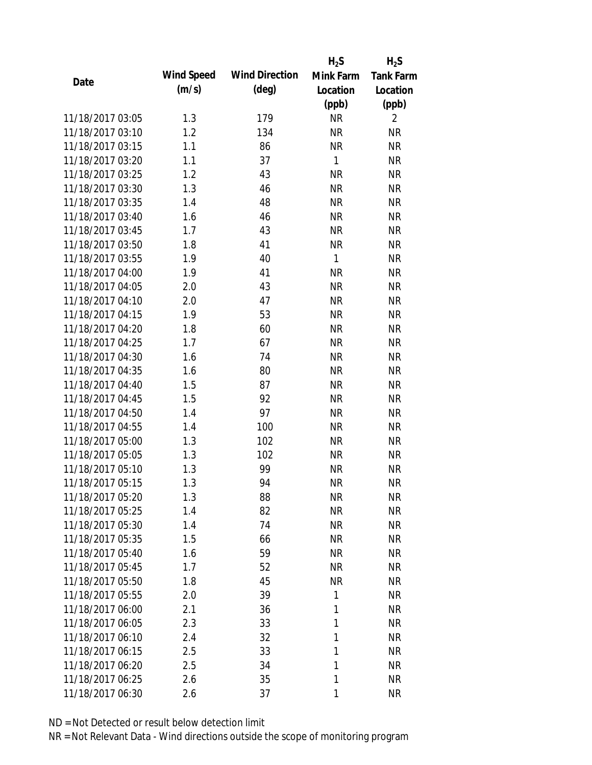|                  |            |                       | $H_2S$       | $H_2S$           |
|------------------|------------|-----------------------|--------------|------------------|
| Date             | Wind Speed | <b>Wind Direction</b> | Mink Farm    | <b>Tank Farm</b> |
|                  | (m/s)      | $(\text{deg})$        | Location     | Location         |
|                  |            |                       | (ppb)        | (ppb)            |
| 11/18/2017 03:05 | 1.3        | 179                   | <b>NR</b>    | $\overline{2}$   |
| 11/18/2017 03:10 | 1.2        | 134                   | <b>NR</b>    | <b>NR</b>        |
| 11/18/2017 03:15 | 1.1        | 86                    | <b>NR</b>    | <b>NR</b>        |
| 11/18/2017 03:20 | 1.1        | 37                    | $\mathbf{1}$ | <b>NR</b>        |
| 11/18/2017 03:25 | 1.2        | 43                    | <b>NR</b>    | <b>NR</b>        |
| 11/18/2017 03:30 | 1.3        | 46                    | <b>NR</b>    | <b>NR</b>        |
| 11/18/2017 03:35 | 1.4        | 48                    | <b>NR</b>    | <b>NR</b>        |
| 11/18/2017 03:40 | 1.6        | 46                    | <b>NR</b>    | <b>NR</b>        |
| 11/18/2017 03:45 | 1.7        | 43                    | <b>NR</b>    | <b>NR</b>        |
| 11/18/2017 03:50 | 1.8        | 41                    | <b>NR</b>    | <b>NR</b>        |
| 11/18/2017 03:55 | 1.9        | 40                    | $\mathbf{1}$ | <b>NR</b>        |
| 11/18/2017 04:00 | 1.9        | 41                    | <b>NR</b>    | <b>NR</b>        |
| 11/18/2017 04:05 | 2.0        | 43                    | <b>NR</b>    | <b>NR</b>        |
| 11/18/2017 04:10 | 2.0        | 47                    | <b>NR</b>    | <b>NR</b>        |
| 11/18/2017 04:15 | 1.9        | 53                    | <b>NR</b>    | <b>NR</b>        |
| 11/18/2017 04:20 | 1.8        | 60                    | <b>NR</b>    | <b>NR</b>        |
| 11/18/2017 04:25 | 1.7        | 67                    | <b>NR</b>    | <b>NR</b>        |
| 11/18/2017 04:30 | 1.6        | 74                    | <b>NR</b>    | <b>NR</b>        |
| 11/18/2017 04:35 | 1.6        | 80                    | <b>NR</b>    | <b>NR</b>        |
| 11/18/2017 04:40 | 1.5        | 87                    | <b>NR</b>    | <b>NR</b>        |
| 11/18/2017 04:45 | 1.5        | 92                    | <b>NR</b>    | <b>NR</b>        |
| 11/18/2017 04:50 | 1.4        | 97                    | <b>NR</b>    | <b>NR</b>        |
| 11/18/2017 04:55 | 1.4        | 100                   | <b>NR</b>    | <b>NR</b>        |
| 11/18/2017 05:00 | 1.3        | 102                   | <b>NR</b>    | <b>NR</b>        |
| 11/18/2017 05:05 | 1.3        | 102                   | <b>NR</b>    | <b>NR</b>        |
| 11/18/2017 05:10 | 1.3        | 99                    | <b>NR</b>    | <b>NR</b>        |
| 11/18/2017 05:15 | 1.3        | 94                    | <b>NR</b>    | <b>NR</b>        |
| 11/18/2017 05:20 | 1.3        | 88                    | <b>NR</b>    | NR               |
| 11/18/2017 05:25 | 1.4        | 82                    | <b>NR</b>    | <b>NR</b>        |
| 11/18/2017 05:30 | 1.4        | 74                    | <b>NR</b>    | <b>NR</b>        |
| 11/18/2017 05:35 | 1.5        | 66                    | NR           | <b>NR</b>        |
| 11/18/2017 05:40 | 1.6        | 59                    | <b>NR</b>    | <b>NR</b>        |
| 11/18/2017 05:45 | 1.7        | 52                    | <b>NR</b>    | <b>NR</b>        |
| 11/18/2017 05:50 | 1.8        | 45                    | <b>NR</b>    | <b>NR</b>        |
| 11/18/2017 05:55 | 2.0        | 39                    | 1            | <b>NR</b>        |
| 11/18/2017 06:00 | 2.1        | 36                    | 1            | <b>NR</b>        |
| 11/18/2017 06:05 | 2.3        | 33                    | 1            | <b>NR</b>        |
| 11/18/2017 06:10 | 2.4        | 32                    | 1            | <b>NR</b>        |
| 11/18/2017 06:15 | 2.5        | 33                    | 1            | <b>NR</b>        |
| 11/18/2017 06:20 | 2.5        | 34                    | 1            | <b>NR</b>        |
| 11/18/2017 06:25 | 2.6        | 35                    | 1            | <b>NR</b>        |
| 11/18/2017 06:30 | 2.6        | 37                    | 1            | <b>NR</b>        |
|                  |            |                       |              |                  |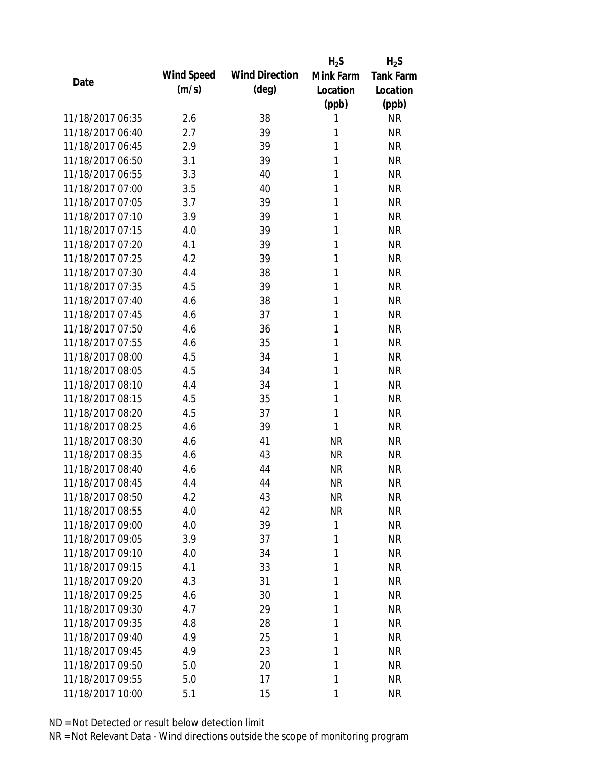|                  |            |                       | $H_2S$    | $H_2S$           |
|------------------|------------|-----------------------|-----------|------------------|
| Date             | Wind Speed | <b>Wind Direction</b> | Mink Farm | <b>Tank Farm</b> |
|                  | (m/s)      | $(\text{deg})$        | Location  | Location         |
|                  |            |                       | (ppb)     | (ppb)            |
| 11/18/2017 06:35 | 2.6        | 38                    | 1         | <b>NR</b>        |
| 11/18/2017 06:40 | 2.7        | 39                    | 1         | <b>NR</b>        |
| 11/18/2017 06:45 | 2.9        | 39                    | 1         | <b>NR</b>        |
| 11/18/2017 06:50 | 3.1        | 39                    | 1         | <b>NR</b>        |
| 11/18/2017 06:55 | 3.3        | 40                    | 1         | <b>NR</b>        |
| 11/18/2017 07:00 | 3.5        | 40                    | 1         | <b>NR</b>        |
| 11/18/2017 07:05 | 3.7        | 39                    | 1         | <b>NR</b>        |
| 11/18/2017 07:10 | 3.9        | 39                    | 1         | <b>NR</b>        |
| 11/18/2017 07:15 | 4.0        | 39                    | 1         | <b>NR</b>        |
| 11/18/2017 07:20 | 4.1        | 39                    | 1         | <b>NR</b>        |
| 11/18/2017 07:25 | 4.2        | 39                    | 1         | <b>NR</b>        |
| 11/18/2017 07:30 | 4.4        | 38                    | 1         | <b>NR</b>        |
| 11/18/2017 07:35 | 4.5        | 39                    | 1         | <b>NR</b>        |
| 11/18/2017 07:40 | 4.6        | 38                    | 1         | <b>NR</b>        |
| 11/18/2017 07:45 | 4.6        | 37                    | 1         | <b>NR</b>        |
| 11/18/2017 07:50 | 4.6        | 36                    | 1         | <b>NR</b>        |
| 11/18/2017 07:55 | 4.6        | 35                    | 1         | <b>NR</b>        |
| 11/18/2017 08:00 | 4.5        | 34                    | 1         | <b>NR</b>        |
| 11/18/2017 08:05 | 4.5        | 34                    | 1         | <b>NR</b>        |
| 11/18/2017 08:10 | 4.4        | 34                    | 1         | <b>NR</b>        |
| 11/18/2017 08:15 | 4.5        | 35                    | 1         | <b>NR</b>        |
| 11/18/2017 08:20 | 4.5        | 37                    | 1         | <b>NR</b>        |
| 11/18/2017 08:25 | 4.6        | 39                    | 1         | <b>NR</b>        |
| 11/18/2017 08:30 | 4.6        | 41                    | <b>NR</b> | <b>NR</b>        |
| 11/18/2017 08:35 | 4.6        | 43                    | <b>NR</b> | <b>NR</b>        |
| 11/18/2017 08:40 | 4.6        | 44                    | <b>NR</b> | <b>NR</b>        |
| 11/18/2017 08:45 | 4.4        | 44                    | <b>NR</b> | <b>NR</b>        |
| 11/18/2017 08:50 | 4.2        | 43                    | <b>NR</b> | <b>NR</b>        |
| 11/18/2017 08:55 | 4.0        | 42                    | <b>NR</b> | <b>NR</b>        |
| 11/18/2017 09:00 | 4.0        | 39                    | 1         | <b>NR</b>        |
| 11/18/2017 09:05 | 3.9        | 37                    | 1         | <b>NR</b>        |
| 11/18/2017 09:10 | 4.0        | 34                    | 1         | <b>NR</b>        |
| 11/18/2017 09:15 | 4.1        | 33                    | 1         | <b>NR</b>        |
| 11/18/2017 09:20 | 4.3        | 31                    | 1         | <b>NR</b>        |
| 11/18/2017 09:25 | 4.6        | 30                    | 1         | <b>NR</b>        |
| 11/18/2017 09:30 | 4.7        | 29                    | 1         | <b>NR</b>        |
| 11/18/2017 09:35 | 4.8        | 28                    | 1         | <b>NR</b>        |
| 11/18/2017 09:40 | 4.9        | 25                    | 1         | <b>NR</b>        |
| 11/18/2017 09:45 | 4.9        | 23                    | 1         | <b>NR</b>        |
| 11/18/2017 09:50 | 5.0        | 20                    | 1         | <b>NR</b>        |
|                  |            |                       | 1         |                  |
| 11/18/2017 09:55 | 5.0        | 17                    |           | <b>NR</b>        |
| 11/18/2017 10:00 | 5.1        | 15                    | 1         | <b>NR</b>        |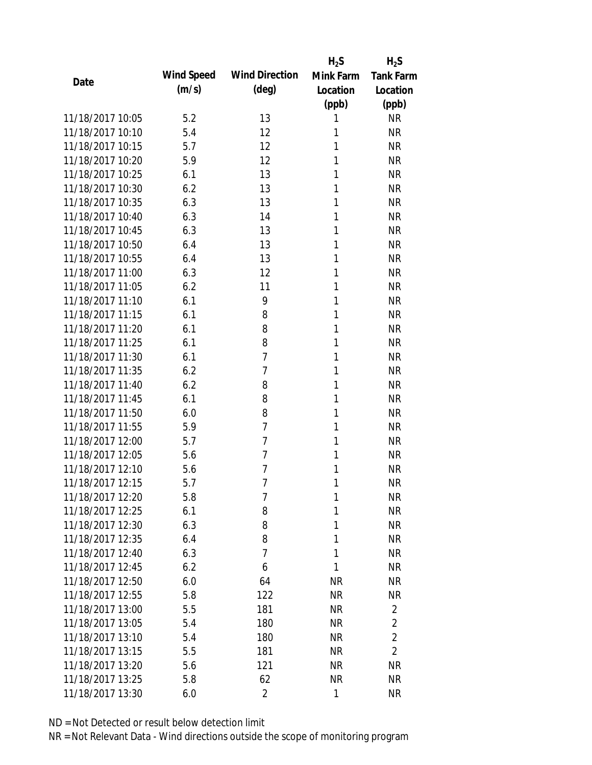|                  |            |                       | $H_2S$    | $H_2S$           |
|------------------|------------|-----------------------|-----------|------------------|
| Date             | Wind Speed | <b>Wind Direction</b> | Mink Farm | <b>Tank Farm</b> |
|                  | (m/s)      | (deg)                 | Location  | Location         |
|                  |            |                       | (ppb)     | (ppb)            |
| 11/18/2017 10:05 | 5.2        | 13                    | 1         | <b>NR</b>        |
| 11/18/2017 10:10 | 5.4        | 12                    | 1         | <b>NR</b>        |
| 11/18/2017 10:15 | 5.7        | 12                    | 1         | <b>NR</b>        |
| 11/18/2017 10:20 | 5.9        | 12                    | 1         | <b>NR</b>        |
| 11/18/2017 10:25 | 6.1        | 13                    | 1         | <b>NR</b>        |
| 11/18/2017 10:30 | 6.2        | 13                    | 1         | <b>NR</b>        |
| 11/18/2017 10:35 | 6.3        | 13                    | 1         | <b>NR</b>        |
| 11/18/2017 10:40 | 6.3        | 14                    | 1         | <b>NR</b>        |
| 11/18/2017 10:45 | 6.3        | 13                    | 1         | <b>NR</b>        |
| 11/18/2017 10:50 | 6.4        | 13                    | 1         | <b>NR</b>        |
| 11/18/2017 10:55 | 6.4        | 13                    | 1         | <b>NR</b>        |
| 11/18/2017 11:00 | 6.3        | 12                    | 1         | <b>NR</b>        |
| 11/18/2017 11:05 | 6.2        | 11                    | 1         | <b>NR</b>        |
| 11/18/2017 11:10 | 6.1        | 9                     | 1         | <b>NR</b>        |
| 11/18/2017 11:15 | 6.1        | 8                     | 1         | <b>NR</b>        |
| 11/18/2017 11:20 | 6.1        | 8                     | 1         | <b>NR</b>        |
| 11/18/2017 11:25 | 6.1        | 8                     | 1         | <b>NR</b>        |
| 11/18/2017 11:30 | 6.1        | $\overline{7}$        | 1         | <b>NR</b>        |
| 11/18/2017 11:35 | 6.2        | 7                     | 1         | <b>NR</b>        |
| 11/18/2017 11:40 | 6.2        | 8                     | 1         | <b>NR</b>        |
| 11/18/2017 11:45 | 6.1        | 8                     | 1         | <b>NR</b>        |
| 11/18/2017 11:50 | 6.0        | 8                     | 1         | <b>NR</b>        |
| 11/18/2017 11:55 | 5.9        | 7                     | 1         | <b>NR</b>        |
| 11/18/2017 12:00 | 5.7        | $\overline{7}$        | 1         | <b>NR</b>        |
| 11/18/2017 12:05 | 5.6        | $\overline{7}$        | 1         | <b>NR</b>        |
| 11/18/2017 12:10 | 5.6        | 7                     | 1         | <b>NR</b>        |
| 11/18/2017 12:15 | 5.7        | $\overline{7}$        | 1         | <b>NR</b>        |
| 11/18/2017 12:20 | 5.8        | 7                     | 1         | <b>NR</b>        |
| 11/18/2017 12:25 | 6.1        | 8                     | 1         | <b>NR</b>        |
| 11/18/2017 12:30 | 6.3        | 8                     | 1         | <b>NR</b>        |
| 11/18/2017 12:35 | 6.4        | 8                     | 1         | <b>NR</b>        |
| 11/18/2017 12:40 | 6.3        | 7                     | 1         | <b>NR</b>        |
| 11/18/2017 12:45 | 6.2        | 6                     | 1         | <b>NR</b>        |
| 11/18/2017 12:50 | 6.0        | 64                    | <b>NR</b> | <b>NR</b>        |
| 11/18/2017 12:55 | 5.8        | 122                   | <b>NR</b> | <b>NR</b>        |
| 11/18/2017 13:00 | 5.5        | 181                   | <b>NR</b> | 2                |
| 11/18/2017 13:05 | 5.4        | 180                   | NR        | $\overline{2}$   |
| 11/18/2017 13:10 | 5.4        | 180                   | NR        | $\overline{2}$   |
| 11/18/2017 13:15 | 5.5        | 181                   | <b>NR</b> | $\overline{2}$   |
| 11/18/2017 13:20 | 5.6        | 121                   | NR        | NR               |
| 11/18/2017 13:25 | 5.8        | 62                    | <b>NR</b> | <b>NR</b>        |
| 11/18/2017 13:30 | 6.0        | $\overline{2}$        | 1         | <b>NR</b>        |
|                  |            |                       |           |                  |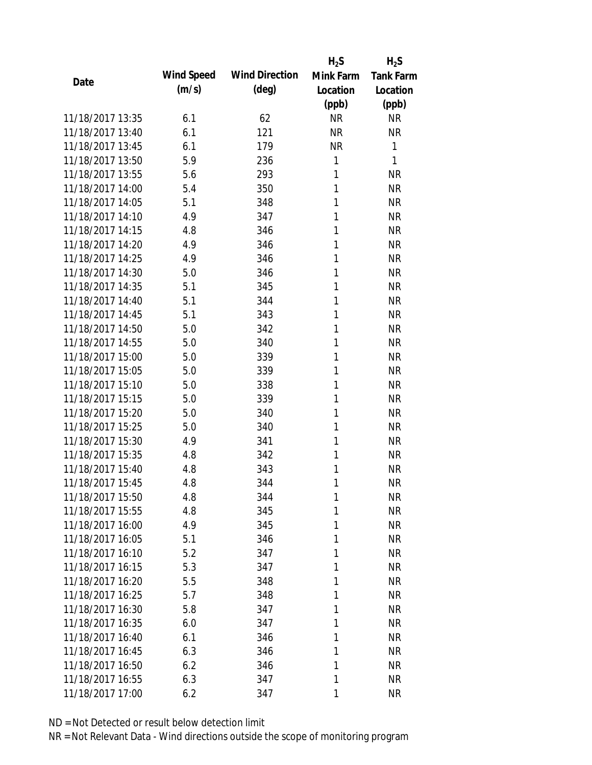|                  |            |                       | $H_2S$    | $H_2S$           |
|------------------|------------|-----------------------|-----------|------------------|
| Date             | Wind Speed | <b>Wind Direction</b> | Mink Farm | <b>Tank Farm</b> |
|                  | (m/s)      | $(\text{deg})$        | Location  | Location         |
|                  |            |                       | (ppb)     | (ppb)            |
| 11/18/2017 13:35 | 6.1        | 62                    | <b>NR</b> | <b>NR</b>        |
| 11/18/2017 13:40 | 6.1        | 121                   | <b>NR</b> | <b>NR</b>        |
| 11/18/2017 13:45 | 6.1        | 179                   | <b>NR</b> | $\mathbf{1}$     |
| 11/18/2017 13:50 | 5.9        | 236                   | 1         | 1                |
| 11/18/2017 13:55 | 5.6        | 293                   | 1         | <b>NR</b>        |
| 11/18/2017 14:00 | 5.4        | 350                   | 1         | <b>NR</b>        |
| 11/18/2017 14:05 | 5.1        | 348                   | 1         | <b>NR</b>        |
| 11/18/2017 14:10 | 4.9        | 347                   | 1         | <b>NR</b>        |
| 11/18/2017 14:15 | 4.8        | 346                   | 1         | <b>NR</b>        |
| 11/18/2017 14:20 | 4.9        | 346                   | 1         | <b>NR</b>        |
| 11/18/2017 14:25 | 4.9        | 346                   | 1         | <b>NR</b>        |
| 11/18/2017 14:30 | 5.0        | 346                   | 1         | <b>NR</b>        |
| 11/18/2017 14:35 | 5.1        | 345                   | 1         | <b>NR</b>        |
| 11/18/2017 14:40 | 5.1        | 344                   | 1         | <b>NR</b>        |
| 11/18/2017 14:45 | 5.1        | 343                   | 1         | <b>NR</b>        |
| 11/18/2017 14:50 | 5.0        | 342                   | 1         | <b>NR</b>        |
| 11/18/2017 14:55 | 5.0        | 340                   | 1         | <b>NR</b>        |
| 11/18/2017 15:00 | 5.0        | 339                   | 1         | <b>NR</b>        |
| 11/18/2017 15:05 | 5.0        | 339                   | 1         | <b>NR</b>        |
| 11/18/2017 15:10 | 5.0        | 338                   | 1         | <b>NR</b>        |
| 11/18/2017 15:15 | 5.0        | 339                   | 1         | <b>NR</b>        |
| 11/18/2017 15:20 | 5.0        | 340                   | 1         | <b>NR</b>        |
| 11/18/2017 15:25 | 5.0        | 340                   | 1         | <b>NR</b>        |
| 11/18/2017 15:30 | 4.9        | 341                   | 1         | <b>NR</b>        |
| 11/18/2017 15:35 | 4.8        | 342                   | 1         | <b>NR</b>        |
| 11/18/2017 15:40 | 4.8        | 343                   | 1         | <b>NR</b>        |
| 11/18/2017 15:45 | 4.8        | 344                   | 1         | <b>NR</b>        |
| 11/18/2017 15:50 | 4.8        | 344                   | 1         | <b>NR</b>        |
| 11/18/2017 15:55 | 4.8        | 345                   | 1         | <b>NR</b>        |
| 11/18/2017 16:00 | 4.9        | 345                   | 1         | <b>NR</b>        |
| 11/18/2017 16:05 | 5.1        | 346                   | 1         | <b>NR</b>        |
| 11/18/2017 16:10 | 5.2        | 347                   | 1         | <b>NR</b>        |
| 11/18/2017 16:15 | 5.3        | 347                   | 1         | <b>NR</b>        |
| 11/18/2017 16:20 | 5.5        | 348                   | 1         | <b>NR</b>        |
| 11/18/2017 16:25 | 5.7        | 348                   | 1         | <b>NR</b>        |
| 11/18/2017 16:30 | 5.8        | 347                   | 1         | <b>NR</b>        |
| 11/18/2017 16:35 | 6.0        | 347                   | 1         | <b>NR</b>        |
| 11/18/2017 16:40 | 6.1        | 346                   | 1         | <b>NR</b>        |
| 11/18/2017 16:45 | 6.3        | 346                   | 1         | <b>NR</b>        |
| 11/18/2017 16:50 | 6.2        | 346                   | 1         | <b>NR</b>        |
| 11/18/2017 16:55 | 6.3        | 347                   | 1         | <b>NR</b>        |
| 11/18/2017 17:00 | 6.2        | 347                   | 1         | <b>NR</b>        |
|                  |            |                       |           |                  |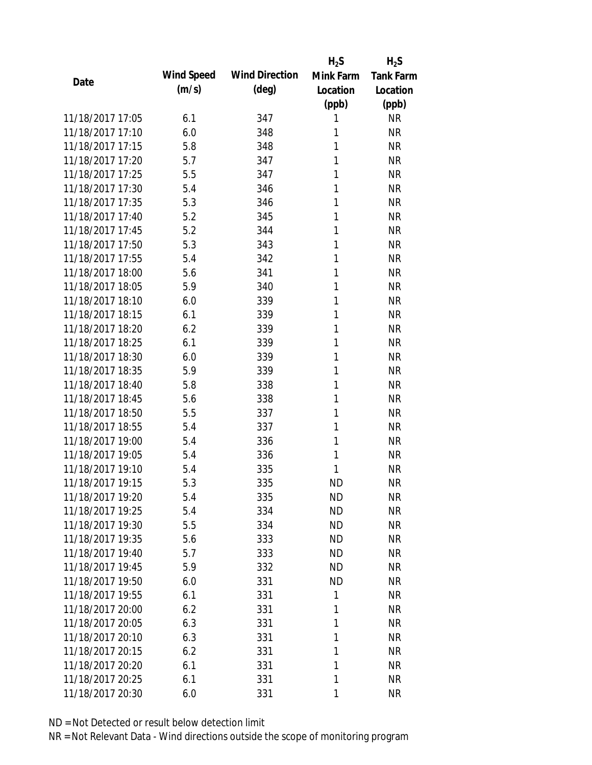|                  |            |                       | $H_2S$    | $H_2S$           |
|------------------|------------|-----------------------|-----------|------------------|
| Date             | Wind Speed | <b>Wind Direction</b> | Mink Farm | <b>Tank Farm</b> |
|                  | (m/s)      | $(\text{deg})$        | Location  | Location         |
|                  |            |                       | (ppb)     | (ppb)            |
| 11/18/2017 17:05 | 6.1        | 347                   | 1         | <b>NR</b>        |
| 11/18/2017 17:10 | 6.0        | 348                   | 1         | <b>NR</b>        |
| 11/18/2017 17:15 | 5.8        | 348                   | 1         | <b>NR</b>        |
| 11/18/2017 17:20 | 5.7        | 347                   | 1         | <b>NR</b>        |
| 11/18/2017 17:25 | 5.5        | 347                   | 1         | <b>NR</b>        |
| 11/18/2017 17:30 | 5.4        | 346                   | 1         | <b>NR</b>        |
| 11/18/2017 17:35 | 5.3        | 346                   | 1         | <b>NR</b>        |
| 11/18/2017 17:40 | 5.2        | 345                   | 1         | <b>NR</b>        |
| 11/18/2017 17:45 | 5.2        | 344                   | 1         | <b>NR</b>        |
| 11/18/2017 17:50 | 5.3        | 343                   | 1         | <b>NR</b>        |
| 11/18/2017 17:55 | 5.4        | 342                   | 1         | <b>NR</b>        |
| 11/18/2017 18:00 | 5.6        | 341                   | 1         | <b>NR</b>        |
| 11/18/2017 18:05 | 5.9        | 340                   | 1         | <b>NR</b>        |
| 11/18/2017 18:10 | 6.0        | 339                   | 1         | <b>NR</b>        |
| 11/18/2017 18:15 | 6.1        | 339                   | 1         | <b>NR</b>        |
| 11/18/2017 18:20 | 6.2        | 339                   | 1         | <b>NR</b>        |
| 11/18/2017 18:25 | 6.1        | 339                   | 1         | <b>NR</b>        |
| 11/18/2017 18:30 | 6.0        | 339                   | 1         | <b>NR</b>        |
| 11/18/2017 18:35 | 5.9        | 339                   | 1         | <b>NR</b>        |
| 11/18/2017 18:40 | 5.8        | 338                   | 1         | <b>NR</b>        |
| 11/18/2017 18:45 | 5.6        | 338                   | 1         | <b>NR</b>        |
| 11/18/2017 18:50 | 5.5        | 337                   | 1         | <b>NR</b>        |
| 11/18/2017 18:55 | 5.4        | 337                   | 1         | <b>NR</b>        |
| 11/18/2017 19:00 | 5.4        | 336                   | 1         | <b>NR</b>        |
| 11/18/2017 19:05 | 5.4        | 336                   | 1         | <b>NR</b>        |
| 11/18/2017 19:10 | 5.4        | 335                   | 1         | <b>NR</b>        |
| 11/18/2017 19:15 | 5.3        | 335                   | <b>ND</b> | <b>NR</b>        |
| 11/18/2017 19:20 | 5.4        | 335                   | <b>ND</b> | <b>NR</b>        |
| 11/18/2017 19:25 | 5.4        | 334                   | <b>ND</b> | <b>NR</b>        |
| 11/18/2017 19:30 | 5.5        | 334                   | ND        | <b>NR</b>        |
| 11/18/2017 19:35 | 5.6        | 333                   | <b>ND</b> | <b>NR</b>        |
| 11/18/2017 19:40 | 5.7        | 333                   | <b>ND</b> | <b>NR</b>        |
| 11/18/2017 19:45 | 5.9        | 332                   | <b>ND</b> | <b>NR</b>        |
| 11/18/2017 19:50 | 6.0        | 331                   | <b>ND</b> | <b>NR</b>        |
| 11/18/2017 19:55 | 6.1        | 331                   | 1         | <b>NR</b>        |
| 11/18/2017 20:00 | 6.2        | 331                   | 1         | <b>NR</b>        |
| 11/18/2017 20:05 | 6.3        | 331                   | 1         | <b>NR</b>        |
| 11/18/2017 20:10 | 6.3        | 331                   | 1         | <b>NR</b>        |
| 11/18/2017 20:15 | 6.2        | 331                   | 1         | <b>NR</b>        |
| 11/18/2017 20:20 | 6.1        | 331                   | 1         | <b>NR</b>        |
| 11/18/2017 20:25 | 6.1        |                       | 1         | <b>NR</b>        |
|                  |            | 331                   |           |                  |
| 11/18/2017 20:30 | 6.0        | 331                   | 1         | <b>NR</b>        |